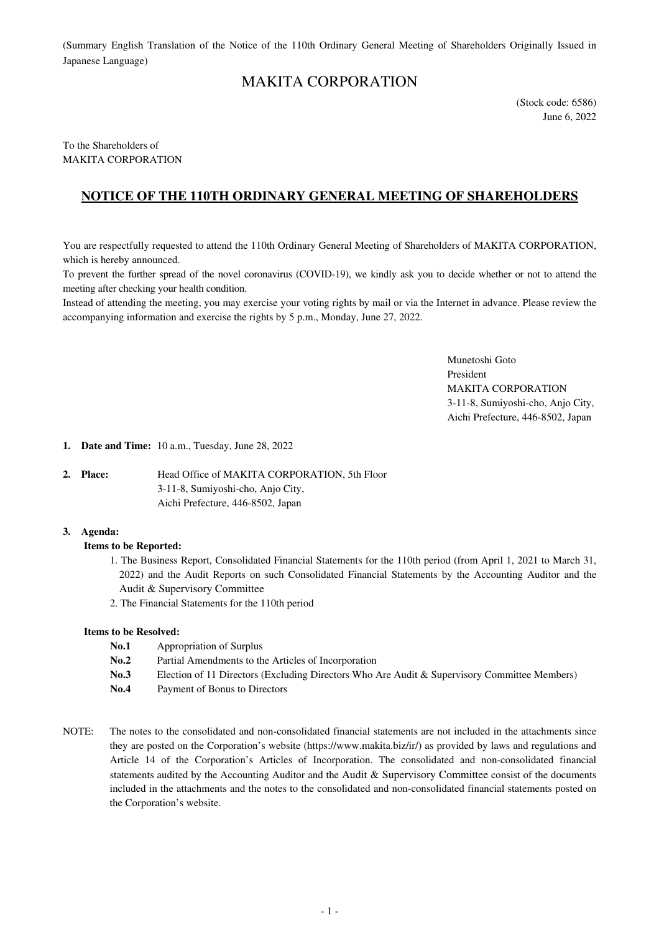(Summary English Translation of the Notice of the 110th Ordinary General Meeting of Shareholders Originally Issued in Japanese Language)

# MAKITA CORPORATION

(Stock code: 6586) June 6, 2022

To the Shareholders of MAKITA CORPORATION

# **NOTICE OF THE 110TH ORDINARY GENERAL MEETING OF SHAREHOLDERS**

You are respectfully requested to attend the 110th Ordinary General Meeting of Shareholders of MAKITA CORPORATION, which is hereby announced.

To prevent the further spread of the novel coronavirus (COVID-19), we kindly ask you to decide whether or not to attend the meeting after checking your health condition.

Instead of attending the meeting, you may exercise your voting rights by mail or via the Internet in advance. Please review the accompanying information and exercise the rights by 5 p.m., Monday, June 27, 2022.

> Munetoshi Goto President MAKITA CORPORATION 3-11-8, Sumiyoshi-cho, Anjo City, Aichi Prefecture, 446-8502, Japan

**1. Date and Time:** 10 a.m., Tuesday, June 28, 2022

2. Place: Head Office of MAKITA CORPORATION, 5th Floor 3-11-8, Sumiyoshi-cho, Anjo City, Aichi Prefecture, 446-8502, Japan

#### **3. Agenda:**

#### **Items to be Reported:**

- 1. The Business Report, Consolidated Financial Statements for the 110th period (from April 1, 2021 to March 31, 2022) and the Audit Reports on such Consolidated Financial Statements by the Accounting Auditor and the Audit & Supervisory Committee
- 2. The Financial Statements for the 110th period

#### **Items to be Resolved:**

- **No.1** Appropriation of Surplus
- **No.2** Partial Amendments to the Articles of Incorporation
- **No.3** Election of 11 Directors (Excluding Directors Who Are Audit & Supervisory Committee Members)
- **No.4** Payment of Bonus to Directors
- NOTE: The notes to the consolidated and non-consolidated financial statements are not included in the attachments since they are posted on the Corporation's website (https://www.makita.biz/ir/) as provided by laws and regulations and Article 14 of the Corporation's Articles of Incorporation. The consolidated and non-consolidated financial statements audited by the Accounting Auditor and the Audit & Supervisory Committee consist of the documents included in the attachments and the notes to the consolidated and non-consolidated financial statements posted on the Corporation's website.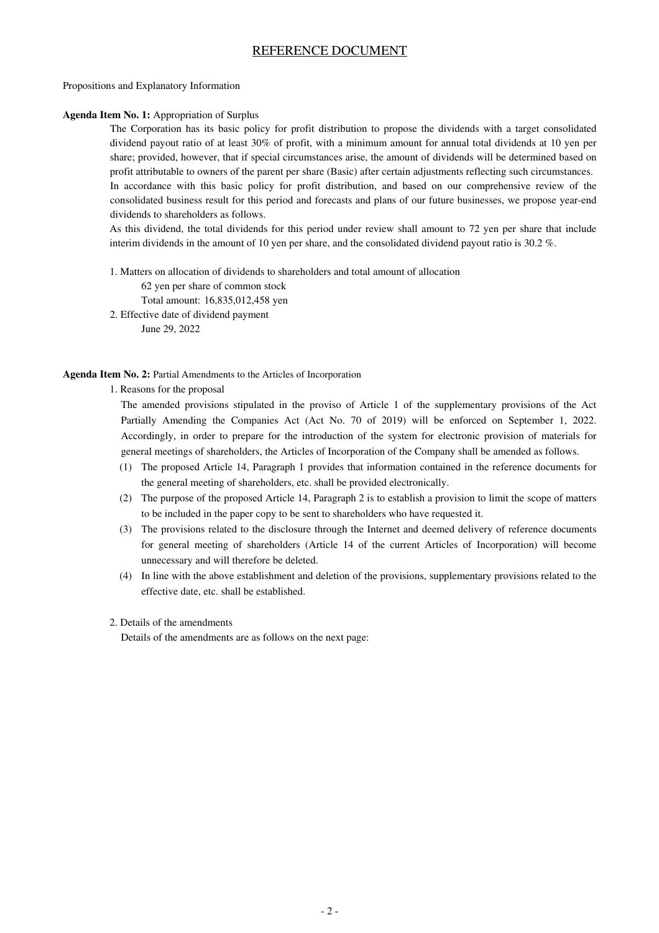# REFERENCE DOCUMENT

Propositions and Explanatory Information

**Agenda Item No. 1:** Appropriation of Surplus

The Corporation has its basic policy for profit distribution to propose the dividends with a target consolidated dividend payout ratio of at least 30% of profit, with a minimum amount for annual total dividends at 10 yen per share; provided, however, that if special circumstances arise, the amount of dividends will be determined based on profit attributable to owners of the parent per share (Basic) after certain adjustments reflecting such circumstances. In accordance with this basic policy for profit distribution, and based on our comprehensive review of the consolidated business result for this period and forecasts and plans of our future businesses, we propose year-end dividends to shareholders as follows.

As this dividend, the total dividends for this period under review shall amount to 72 yen per share that include interim dividends in the amount of 10 yen per share, and the consolidated dividend payout ratio is 30.2 %.

1. Matters on allocation of dividends to shareholders and total amount of allocation

62 yen per share of common stock Total amount: 16,835,012,458 yen

2. Effective date of dividend payment June 29, 2022

#### **Agenda Item No. 2:** Partial Amendments to the Articles of Incorporation

1. Reasons for the proposal

The amended provisions stipulated in the proviso of Article 1 of the supplementary provisions of the Act Partially Amending the Companies Act (Act No. 70 of 2019) will be enforced on September 1, 2022. Accordingly, in order to prepare for the introduction of the system for electronic provision of materials for general meetings of shareholders, the Articles of Incorporation of the Company shall be amended as follows.

- (1) The proposed Article 14, Paragraph 1 provides that information contained in the reference documents for the general meeting of shareholders, etc. shall be provided electronically.
- (2) The purpose of the proposed Article 14, Paragraph 2 is to establish a provision to limit the scope of matters to be included in the paper copy to be sent to shareholders who have requested it.
- (3) The provisions related to the disclosure through the Internet and deemed delivery of reference documents for general meeting of shareholders (Article 14 of the current Articles of Incorporation) will become unnecessary and will therefore be deleted.
- (4) In line with the above establishment and deletion of the provisions, supplementary provisions related to the effective date, etc. shall be established.
- 2. Details of the amendments

Details of the amendments are as follows on the next page: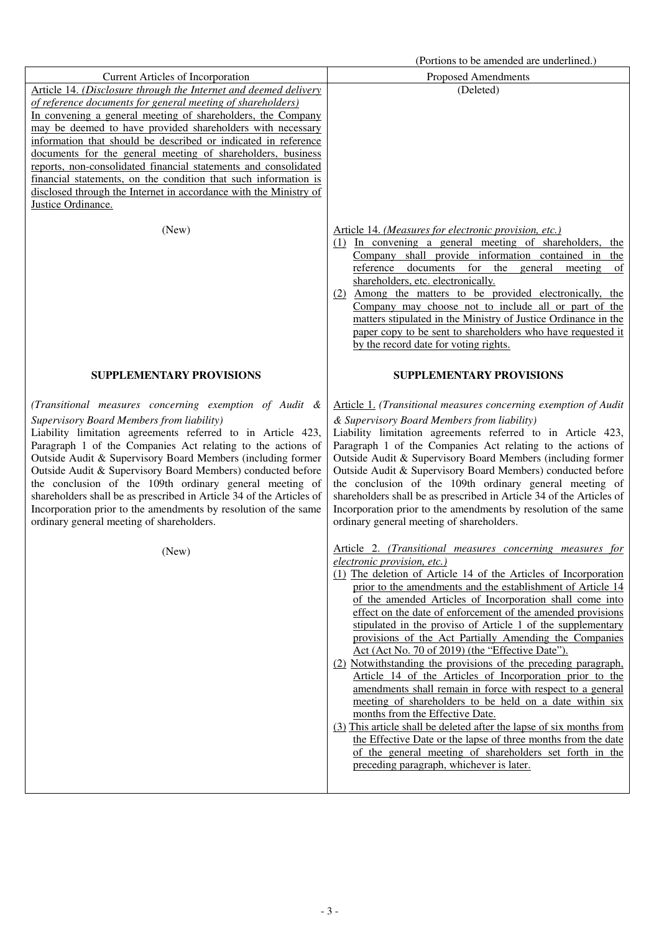(Portions to be amended are underlined.)

|                                                                                                                                                                                                                                                                                                                                                                                                                                                                                                                                                                                                                    | (Portions to be amended are underlined.)                                                                                                                                                                                                                                                                                                                                                                                                                                                                                                                                                                                                                                                                                                                                                                                                                                                                                                                                                                                                                                            |
|--------------------------------------------------------------------------------------------------------------------------------------------------------------------------------------------------------------------------------------------------------------------------------------------------------------------------------------------------------------------------------------------------------------------------------------------------------------------------------------------------------------------------------------------------------------------------------------------------------------------|-------------------------------------------------------------------------------------------------------------------------------------------------------------------------------------------------------------------------------------------------------------------------------------------------------------------------------------------------------------------------------------------------------------------------------------------------------------------------------------------------------------------------------------------------------------------------------------------------------------------------------------------------------------------------------------------------------------------------------------------------------------------------------------------------------------------------------------------------------------------------------------------------------------------------------------------------------------------------------------------------------------------------------------------------------------------------------------|
| <b>Current Articles of Incorporation</b>                                                                                                                                                                                                                                                                                                                                                                                                                                                                                                                                                                           | Proposed Amendments                                                                                                                                                                                                                                                                                                                                                                                                                                                                                                                                                                                                                                                                                                                                                                                                                                                                                                                                                                                                                                                                 |
| Article 14. (Disclosure through the Internet and deemed delivery                                                                                                                                                                                                                                                                                                                                                                                                                                                                                                                                                   | (Deleted)                                                                                                                                                                                                                                                                                                                                                                                                                                                                                                                                                                                                                                                                                                                                                                                                                                                                                                                                                                                                                                                                           |
| of reference documents for general meeting of shareholders)                                                                                                                                                                                                                                                                                                                                                                                                                                                                                                                                                        |                                                                                                                                                                                                                                                                                                                                                                                                                                                                                                                                                                                                                                                                                                                                                                                                                                                                                                                                                                                                                                                                                     |
| In convening a general meeting of shareholders, the Company<br>may be deemed to have provided shareholders with necessary                                                                                                                                                                                                                                                                                                                                                                                                                                                                                          |                                                                                                                                                                                                                                                                                                                                                                                                                                                                                                                                                                                                                                                                                                                                                                                                                                                                                                                                                                                                                                                                                     |
| information that should be described or indicated in reference                                                                                                                                                                                                                                                                                                                                                                                                                                                                                                                                                     |                                                                                                                                                                                                                                                                                                                                                                                                                                                                                                                                                                                                                                                                                                                                                                                                                                                                                                                                                                                                                                                                                     |
| documents for the general meeting of shareholders, business                                                                                                                                                                                                                                                                                                                                                                                                                                                                                                                                                        |                                                                                                                                                                                                                                                                                                                                                                                                                                                                                                                                                                                                                                                                                                                                                                                                                                                                                                                                                                                                                                                                                     |
| reports, non-consolidated financial statements and consolidated                                                                                                                                                                                                                                                                                                                                                                                                                                                                                                                                                    |                                                                                                                                                                                                                                                                                                                                                                                                                                                                                                                                                                                                                                                                                                                                                                                                                                                                                                                                                                                                                                                                                     |
| financial statements, on the condition that such information is                                                                                                                                                                                                                                                                                                                                                                                                                                                                                                                                                    |                                                                                                                                                                                                                                                                                                                                                                                                                                                                                                                                                                                                                                                                                                                                                                                                                                                                                                                                                                                                                                                                                     |
| disclosed through the Internet in accordance with the Ministry of                                                                                                                                                                                                                                                                                                                                                                                                                                                                                                                                                  |                                                                                                                                                                                                                                                                                                                                                                                                                                                                                                                                                                                                                                                                                                                                                                                                                                                                                                                                                                                                                                                                                     |
| Justice Ordinance.                                                                                                                                                                                                                                                                                                                                                                                                                                                                                                                                                                                                 |                                                                                                                                                                                                                                                                                                                                                                                                                                                                                                                                                                                                                                                                                                                                                                                                                                                                                                                                                                                                                                                                                     |
| (New)                                                                                                                                                                                                                                                                                                                                                                                                                                                                                                                                                                                                              | Article 14. (Measures for electronic provision, etc.)<br>(1) In convening a general meeting of shareholders, the<br>Company shall provide information contained in the<br>reference documents for the general<br>meeting<br>of<br>shareholders, etc. electronically.<br>(2) Among the matters to be provided electronically, the<br>Company may choose not to include all or part of the<br>matters stipulated in the Ministry of Justice Ordinance in the<br>paper copy to be sent to shareholders who have requested it<br>by the record date for voting rights.                                                                                                                                                                                                                                                                                                                                                                                                                                                                                                                  |
| <b>SUPPLEMENTARY PROVISIONS</b>                                                                                                                                                                                                                                                                                                                                                                                                                                                                                                                                                                                    | <b>SUPPLEMENTARY PROVISIONS</b>                                                                                                                                                                                                                                                                                                                                                                                                                                                                                                                                                                                                                                                                                                                                                                                                                                                                                                                                                                                                                                                     |
| (Transitional measures concerning exemption of Audit &<br>Supervisory Board Members from liability)<br>Liability limitation agreements referred to in Article 423,<br>Paragraph 1 of the Companies Act relating to the actions of<br>Outside Audit & Supervisory Board Members (including former<br>Outside Audit & Supervisory Board Members) conducted before<br>the conclusion of the 109th ordinary general meeting of<br>shareholders shall be as prescribed in Article 34 of the Articles of<br>Incorporation prior to the amendments by resolution of the same<br>ordinary general meeting of shareholders. | Article 1. (Transitional measures concerning exemption of Audit<br>& Supervisory Board Members from liability)<br>Liability limitation agreements referred to in Article 423,<br>Paragraph 1 of the Companies Act relating to the actions of<br>Outside Audit & Supervisory Board Members (including former<br>Outside Audit & Supervisory Board Members) conducted before<br>the conclusion of the 109th ordinary general meeting of<br>shareholders shall be as prescribed in Article 34 of the Articles of<br>Incorporation prior to the amendments by resolution of the same<br>ordinary general meeting of shareholders.                                                                                                                                                                                                                                                                                                                                                                                                                                                       |
| (New)                                                                                                                                                                                                                                                                                                                                                                                                                                                                                                                                                                                                              | Article 2. (Transitional measures concerning measures for<br><i>electronic provision, etc.)</i><br>(1) The deletion of Article 14 of the Articles of Incorporation<br>prior to the amendments and the establishment of Article 14<br>of the amended Articles of Incorporation shall come into<br>effect on the date of enforcement of the amended provisions<br>stipulated in the proviso of Article 1 of the supplementary<br>provisions of the Act Partially Amending the Companies<br>Act (Act No. 70 of 2019) (the "Effective Date").<br>(2) Notwithstanding the provisions of the preceding paragraph,<br>Article 14 of the Articles of Incorporation prior to the<br>amendments shall remain in force with respect to a general<br>meeting of shareholders to be held on a date within six<br>months from the Effective Date.<br>(3) This article shall be deleted after the lapse of six months from<br>the Effective Date or the lapse of three months from the date<br>of the general meeting of shareholders set forth in the<br>preceding paragraph, whichever is later. |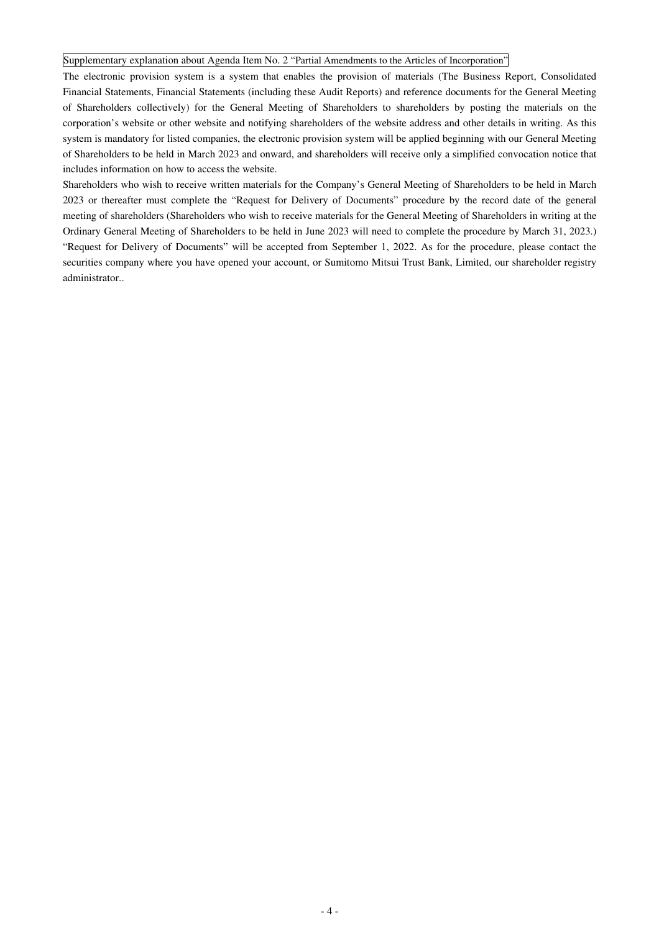# Supplementary explanation about Agenda Item No. 2 "Partial Amendments to the Articles of Incorporation"

The electronic provision system is a system that enables the provision of materials (The Business Report, Consolidated Financial Statements, Financial Statements (including these Audit Reports) and reference documents for the General Meeting of Shareholders collectively) for the General Meeting of Shareholders to shareholders by posting the materials on the corporation's website or other website and notifying shareholders of the website address and other details in writing. As this system is mandatory for listed companies, the electronic provision system will be applied beginning with our General Meeting of Shareholders to be held in March 2023 and onward, and shareholders will receive only a simplified convocation notice that includes information on how to access the website.

Shareholders who wish to receive written materials for the Company's General Meeting of Shareholders to be held in March 2023 or thereafter must complete the "Request for Delivery of Documents" procedure by the record date of the general meeting of shareholders (Shareholders who wish to receive materials for the General Meeting of Shareholders in writing at the Ordinary General Meeting of Shareholders to be held in June 2023 will need to complete the procedure by March 31, 2023.) "Request for Delivery of Documents" will be accepted from September 1, 2022. As for the procedure, please contact the securities company where you have opened your account, or Sumitomo Mitsui Trust Bank, Limited, our shareholder registry administrator..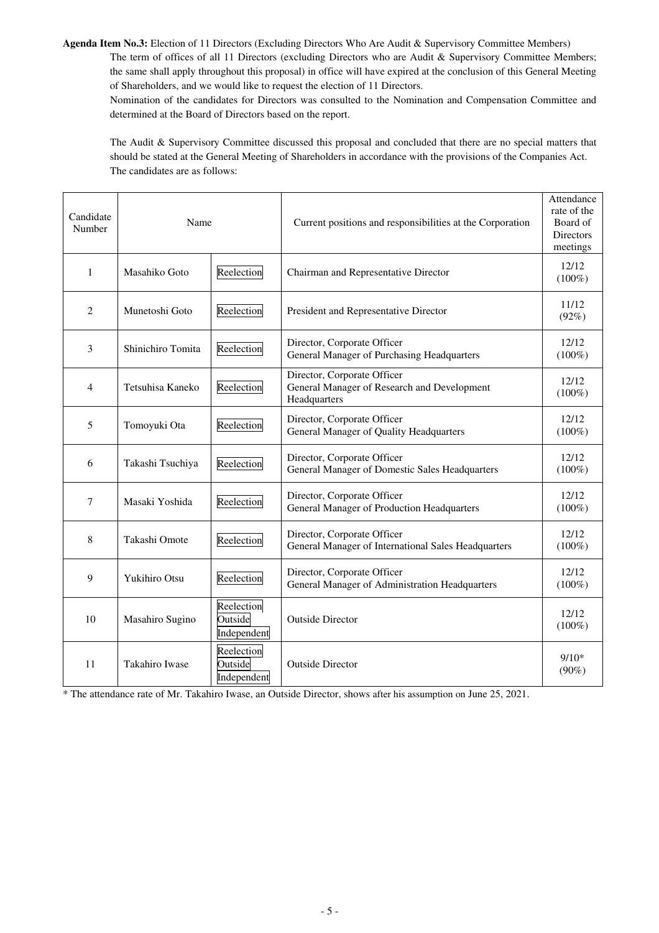**Agenda Item No.3:** Election of 11 Directors (Excluding Directors Who Are Audit & Supervisory Committee Members) The term of offices of all 11 Directors (excluding Directors who are Audit & Supervisory Committee Members; the same shall apply throughout this proposal) in office will have expired at the conclusion of this General Meeting of Shareholders, and we would like to request the election of 11 Directors.

Nomination of the candidates for Directors was consulted to the Nomination and Compensation Committee and determined at the Board of Directors based on the report.

The Audit & Supervisory Committee discussed this proposal and concluded that there are no special matters that should be stated at the General Meeting of Shareholders in accordance with the provisions of the Companies Act. The candidates are as follows:

| Candidate<br>Number | Name                 |                                      | Current positions and responsibilities at the Corporation                                  | Attendance<br>rate of the<br>Board of<br>Directors<br>meetings |
|---------------------|----------------------|--------------------------------------|--------------------------------------------------------------------------------------------|----------------------------------------------------------------|
| $\mathbf{1}$        | Masahiko Goto        | Reelection                           | Chairman and Representative Director                                                       | 12/12<br>$(100\%)$                                             |
| 2                   | Munetoshi Goto       | Reelection                           | President and Representative Director                                                      | 11/12<br>(92%)                                                 |
| 3                   | Shinichiro Tomita    | Reelection                           | Director, Corporate Officer<br>General Manager of Purchasing Headquarters                  | 12/12<br>$(100\%)$                                             |
| 4                   | Tetsuhisa Kaneko     | Reelection                           | Director, Corporate Officer<br>General Manager of Research and Development<br>Headquarters | 12/12<br>$(100\%)$                                             |
| 5                   | Tomoyuki Ota         | Reelection                           | Director, Corporate Officer<br>General Manager of Quality Headquarters                     | 12/12<br>$(100\%)$                                             |
| 6                   | Takashi Tsuchiya     | Reelection                           | Director, Corporate Officer<br>General Manager of Domestic Sales Headquarters              | 12/12<br>$(100\%)$                                             |
| $\overline{7}$      | Masaki Yoshida       | Reelection                           | Director, Corporate Officer<br>General Manager of Production Headquarters                  | 12/12<br>$(100\%)$                                             |
| 8                   | Takashi Omote        | Reelection                           | Director, Corporate Officer<br>General Manager of International Sales Headquarters         | 12/12<br>$(100\%)$                                             |
| 9                   | <b>Yukihiro Otsu</b> | Reelection                           | Director, Corporate Officer<br>General Manager of Administration Headquarters              | 12/12<br>$(100\%)$                                             |
| 10                  | Masahiro Sugino      | Reelection<br>Outside<br>Independent | <b>Outside Director</b>                                                                    | 12/12<br>$(100\%)$                                             |
| 11                  | Takahiro Iwase       | Reelection<br>Outside<br>Independent | <b>Outside Director</b>                                                                    | $9/10*$<br>$(90\%)$                                            |

\* The attendance rate of Mr. Takahiro Iwase, an Outside Director, shows after his assumption on June 25, 2021.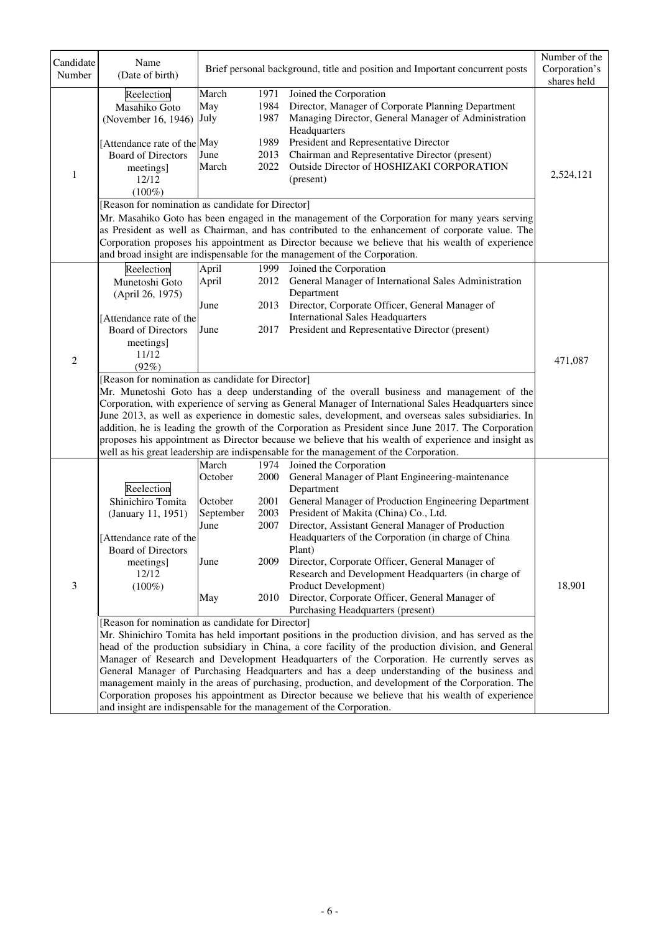| Candidate<br>Number | Name<br>(Date of birth)                                                                                                                                                                               | Brief personal background, title and position and Important concurrent posts                            |                              |                                                                                                                                                                                                                                                                                                                                                                                                                                                                                                                                                                                                                                                                                                                                                                                                                                                                                                                                                                                                                                                                                                                                                                                                                                          | Number of the<br>Corporation's<br>shares held |
|---------------------|-------------------------------------------------------------------------------------------------------------------------------------------------------------------------------------------------------|---------------------------------------------------------------------------------------------------------|------------------------------|------------------------------------------------------------------------------------------------------------------------------------------------------------------------------------------------------------------------------------------------------------------------------------------------------------------------------------------------------------------------------------------------------------------------------------------------------------------------------------------------------------------------------------------------------------------------------------------------------------------------------------------------------------------------------------------------------------------------------------------------------------------------------------------------------------------------------------------------------------------------------------------------------------------------------------------------------------------------------------------------------------------------------------------------------------------------------------------------------------------------------------------------------------------------------------------------------------------------------------------|-----------------------------------------------|
| $\mathbf{1}$        | Reelection<br>Masahiko Goto<br>(November 16, 1946) July<br>[Attendance rate of the May<br><b>Board of Directors</b><br>meetings]<br>12/12                                                             | March<br>1971<br>May<br>1987<br>June<br>2022<br>March                                                   | 1984<br>1989<br>2013         | Joined the Corporation<br>Director, Manager of Corporate Planning Department<br>Managing Director, General Manager of Administration<br>Headquarters<br>President and Representative Director<br>Chairman and Representative Director (present)<br><b>Outside Director of HOSHIZAKI CORPORATION</b><br>(present)                                                                                                                                                                                                                                                                                                                                                                                                                                                                                                                                                                                                                                                                                                                                                                                                                                                                                                                         | 2,524,121                                     |
|                     | $(100\%)$<br>[Reason for nomination as candidate for Director]                                                                                                                                        |                                                                                                         |                              | Mr. Masahiko Goto has been engaged in the management of the Corporation for many years serving<br>as President as well as Chairman, and has contributed to the enhancement of corporate value. The<br>Corporation proposes his appointment as Director because we believe that his wealth of experience<br>and broad insight are indispensable for the management of the Corporation.                                                                                                                                                                                                                                                                                                                                                                                                                                                                                                                                                                                                                                                                                                                                                                                                                                                    |                                               |
| $\overline{2}$      | Reelection<br>Munetoshi Goto<br>(April 26, 1975)<br>[Attendance rate of the<br><b>Board of Directors</b><br>meetings]<br>11/12<br>(92%)<br>[Reason for nomination as candidate for Director]          | April<br>April<br>June<br>June                                                                          | 1999<br>2012<br>2013<br>2017 | Joined the Corporation<br>General Manager of International Sales Administration<br>Department<br>Director, Corporate Officer, General Manager of<br><b>International Sales Headquarters</b><br>President and Representative Director (present)<br>Mr. Munetoshi Goto has a deep understanding of the overall business and management of the<br>Corporation, with experience of serving as General Manager of International Sales Headquarters since<br>June 2013, as well as experience in domestic sales, development, and overseas sales subsidiaries. In<br>addition, he is leading the growth of the Corporation as President since June 2017. The Corporation<br>proposes his appointment as Director because we believe that his wealth of experience and insight as<br>well as his great leadership are indispensable for the management of the Corporation.                                                                                                                                                                                                                                                                                                                                                                      | 471,087                                       |
| $\mathfrak{Z}$      | Reelection<br>Shinichiro Tomita<br>(January 11, 1951)<br>[Attendance rate of the<br><b>Board of Directors</b><br>meetings]<br>12/12<br>$(100\%)$<br>[Reason for nomination as candidate for Director] | March<br>October<br>2000<br>October<br>2001<br>September<br>2003<br>2007<br>June<br>2009<br>June<br>May | 1974<br>2010                 | Joined the Corporation<br>General Manager of Plant Engineering-maintenance<br>Department<br>General Manager of Production Engineering Department<br>President of Makita (China) Co., Ltd.<br>Director, Assistant General Manager of Production<br>Headquarters of the Corporation (in charge of China<br>Plant)<br>Director, Corporate Officer, General Manager of<br>Research and Development Headquarters (in charge of<br>Product Development)<br>Director, Corporate Officer, General Manager of<br>Purchasing Headquarters (present)<br>Mr. Shinichiro Tomita has held important positions in the production division, and has served as the<br>head of the production subsidiary in China, a core facility of the production division, and General<br>Manager of Research and Development Headquarters of the Corporation. He currently serves as<br>General Manager of Purchasing Headquarters and has a deep understanding of the business and<br>management mainly in the areas of purchasing, production, and development of the Corporation. The<br>Corporation proposes his appointment as Director because we believe that his wealth of experience<br>and insight are indispensable for the management of the Corporation. | 18,901                                        |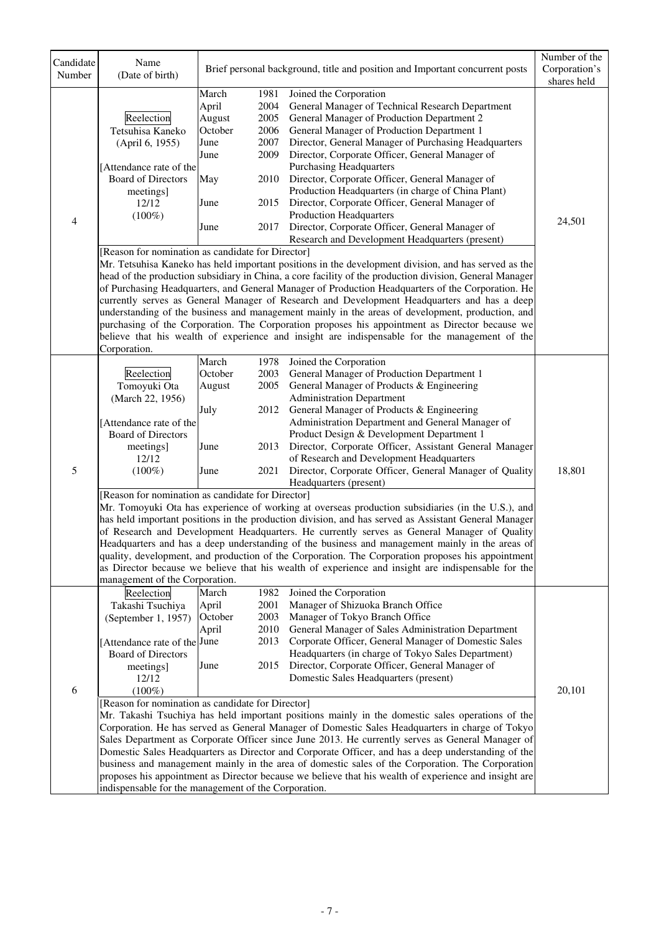| Candidate<br>Number | Name<br>(Date of birth)                                                                                                                                                                                                                                            | Brief personal background, title and position and Important concurrent posts | Number of the<br>Corporation's<br>shares held                        |                                                                                                                                                                                                                                                                                                                                                                                                                                                                                                                                                                                                                                                                                                                                                                                                                                                                                                                                                                                                                                                                                                                                                                                                                                                                                                                                                |        |
|---------------------|--------------------------------------------------------------------------------------------------------------------------------------------------------------------------------------------------------------------------------------------------------------------|------------------------------------------------------------------------------|----------------------------------------------------------------------|------------------------------------------------------------------------------------------------------------------------------------------------------------------------------------------------------------------------------------------------------------------------------------------------------------------------------------------------------------------------------------------------------------------------------------------------------------------------------------------------------------------------------------------------------------------------------------------------------------------------------------------------------------------------------------------------------------------------------------------------------------------------------------------------------------------------------------------------------------------------------------------------------------------------------------------------------------------------------------------------------------------------------------------------------------------------------------------------------------------------------------------------------------------------------------------------------------------------------------------------------------------------------------------------------------------------------------------------|--------|
| 4                   | Reelection<br>Tetsuhisa Kaneko<br>(April 6, 1955)<br>[Attendance rate of the<br><b>Board of Directors</b><br>meetings]<br>12/12<br>$(100\%)$<br>[Reason for nomination as candidate for Director]<br>Corporation.                                                  | March<br>April<br>August<br>October<br>June<br>June<br>May<br>June<br>June   | 1981<br>2004<br>2005<br>2006<br>2007<br>2009<br>2010<br>2015<br>2017 | Joined the Corporation<br>General Manager of Technical Research Department<br>General Manager of Production Department 2<br>General Manager of Production Department 1<br>Director, General Manager of Purchasing Headquarters<br>Director, Corporate Officer, General Manager of<br><b>Purchasing Headquarters</b><br>Director, Corporate Officer, General Manager of<br>Production Headquarters (in charge of China Plant)<br>Director, Corporate Officer, General Manager of<br>Production Headquarters<br>Director, Corporate Officer, General Manager of<br>Research and Development Headquarters (present)<br>Mr. Tetsuhisa Kaneko has held important positions in the development division, and has served as the<br>head of the production subsidiary in China, a core facility of the production division, General Manager<br>of Purchasing Headquarters, and General Manager of Production Headquarters of the Corporation. He<br>currently serves as General Manager of Research and Development Headquarters and has a deep<br>understanding of the business and management mainly in the areas of development, production, and<br>purchasing of the Corporation. The Corporation proposes his appointment as Director because we<br>believe that his wealth of experience and insight are indispensable for the management of the | 24,501 |
| 5                   | Reelection<br>Tomoyuki Ota<br>(March 22, 1956)<br>[Attendance rate of the<br><b>Board of Directors</b><br>meetings]<br>12/12<br>$(100\%)$<br>[Reason for nomination as candidate for Director]<br>management of the Corporation.                                   | March<br>October<br>August<br>July<br>June<br>June                           | 1978<br>2003<br>2005<br>2012<br>2013<br>2021                         | Joined the Corporation<br>General Manager of Production Department 1<br>General Manager of Products & Engineering<br><b>Administration Department</b><br>General Manager of Products & Engineering<br>Administration Department and General Manager of<br>Product Design & Development Department 1<br>Director, Corporate Officer, Assistant General Manager<br>of Research and Development Headquarters<br>Director, Corporate Officer, General Manager of Quality<br>Headquarters (present)<br>Mr. Tomoyuki Ota has experience of working at overseas production subsidiaries (in the U.S.), and<br>has held important positions in the production division, and has served as Assistant General Manager<br>of Research and Development Headquarters. He currently serves as General Manager of Quality<br>Headquarters and has a deep understanding of the business and management mainly in the areas of<br>quality, development, and production of the Corporation. The Corporation proposes his appointment<br>as Director because we believe that his wealth of experience and insight are indispensable for the                                                                                                                                                                                                                       | 18,801 |
| 6                   | Reelection<br>Takashi Tsuchiya<br>(September 1, 1957)<br>[Attendance rate of the June<br><b>Board of Directors</b><br>meetings]<br>12/12<br>$(100\%)$<br>[Reason for nomination as candidate for Director]<br>indispensable for the management of the Corporation. | March<br>April<br>October<br>April<br>June                                   | 1982<br>2001<br>2003<br>2010<br>2013<br>2015                         | Joined the Corporation<br>Manager of Shizuoka Branch Office<br>Manager of Tokyo Branch Office<br>General Manager of Sales Administration Department<br>Corporate Officer, General Manager of Domestic Sales<br>Headquarters (in charge of Tokyo Sales Department)<br>Director, Corporate Officer, General Manager of<br>Domestic Sales Headquarters (present)<br>Mr. Takashi Tsuchiya has held important positions mainly in the domestic sales operations of the<br>Corporation. He has served as General Manager of Domestic Sales Headquarters in charge of Tokyo<br>Sales Department as Corporate Officer since June 2013. He currently serves as General Manager of<br>Domestic Sales Headquarters as Director and Corporate Officer, and has a deep understanding of the<br>business and management mainly in the area of domestic sales of the Corporation. The Corporation<br>proposes his appointment as Director because we believe that his wealth of experience and insight are                                                                                                                                                                                                                                                                                                                                                    | 20,101 |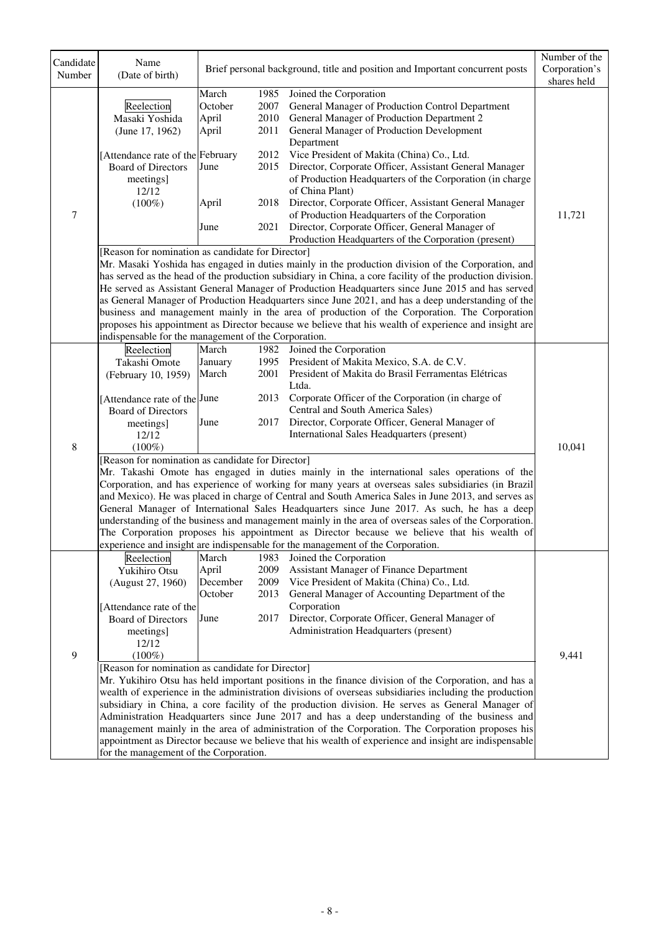| Candidate<br>Name<br>(Date of birth)                                                                                                                                                                                                                                                                                                                                                                                                                                                                                                                                                                                                                                                    | Number of the<br>Brief personal background, title and position and Important concurrent posts |                                                                                                                      |                                                                                                                                                                                                                                                                                                                                |                                                                                                                                                                                                                                                                                                                                                                                                                                                                                                                                                                                                                                                                                                                                                                                                                                                              |  |  |
|-----------------------------------------------------------------------------------------------------------------------------------------------------------------------------------------------------------------------------------------------------------------------------------------------------------------------------------------------------------------------------------------------------------------------------------------------------------------------------------------------------------------------------------------------------------------------------------------------------------------------------------------------------------------------------------------|-----------------------------------------------------------------------------------------------|----------------------------------------------------------------------------------------------------------------------|--------------------------------------------------------------------------------------------------------------------------------------------------------------------------------------------------------------------------------------------------------------------------------------------------------------------------------|--------------------------------------------------------------------------------------------------------------------------------------------------------------------------------------------------------------------------------------------------------------------------------------------------------------------------------------------------------------------------------------------------------------------------------------------------------------------------------------------------------------------------------------------------------------------------------------------------------------------------------------------------------------------------------------------------------------------------------------------------------------------------------------------------------------------------------------------------------------|--|--|
| Reelection<br>Masaki Yoshida<br>(June 17, 1962)                                                                                                                                                                                                                                                                                                                                                                                                                                                                                                                                                                                                                                         | March<br>October<br>April<br>April                                                            | 1985<br>2007<br>2010<br>2011                                                                                         | Joined the Corporation<br>General Manager of Production Control Department<br>General Manager of Production Department 2<br>General Manager of Production Development                                                                                                                                                          | shares held                                                                                                                                                                                                                                                                                                                                                                                                                                                                                                                                                                                                                                                                                                                                                                                                                                                  |  |  |
| <b>Board of Directors</b><br>meetings]                                                                                                                                                                                                                                                                                                                                                                                                                                                                                                                                                                                                                                                  |                                                                                               | 2012<br>2015                                                                                                         | Vice President of Makita (China) Co., Ltd.<br>Director, Corporate Officer, Assistant General Manager<br>of Production Headquarters of the Corporation (in charge                                                                                                                                                               |                                                                                                                                                                                                                                                                                                                                                                                                                                                                                                                                                                                                                                                                                                                                                                                                                                                              |  |  |
| $(100\%)$                                                                                                                                                                                                                                                                                                                                                                                                                                                                                                                                                                                                                                                                               | June                                                                                          | 2018<br>2021                                                                                                         | Director, Corporate Officer, Assistant General Manager<br>of Production Headquarters of the Corporation<br>Director, Corporate Officer, General Manager of                                                                                                                                                                     | 11,721                                                                                                                                                                                                                                                                                                                                                                                                                                                                                                                                                                                                                                                                                                                                                                                                                                                       |  |  |
| [Reason for nomination as candidate for Director]<br>Mr. Masaki Yoshida has engaged in duties mainly in the production division of the Corporation, and<br>has served as the head of the production subsidiary in China, a core facility of the production division.<br>He served as Assistant General Manager of Production Headquarters since June 2015 and has served<br>as General Manager of Production Headquarters since June 2021, and has a deep understanding of the<br>business and management mainly in the area of production of the Corporation. The Corporation<br>proposes his appointment as Director because we believe that his wealth of experience and insight are |                                                                                               |                                                                                                                      |                                                                                                                                                                                                                                                                                                                                |                                                                                                                                                                                                                                                                                                                                                                                                                                                                                                                                                                                                                                                                                                                                                                                                                                                              |  |  |
| Reelection<br>Takashi Omote<br>(February 10, 1959)<br><b>Board of Directors</b><br>meetings]<br>12/12                                                                                                                                                                                                                                                                                                                                                                                                                                                                                                                                                                                   | January<br>June                                                                               | 1982<br>1995<br>2001<br>2013<br>2017                                                                                 | Joined the Corporation<br>President of Makita Mexico, S.A. de C.V.<br>President of Makita do Brasil Ferramentas Elétricas<br>Ltda.<br>Corporate Officer of the Corporation (in charge of<br>Central and South America Sales)<br>Director, Corporate Officer, General Manager of<br>International Sales Headquarters (present)  | 10,041                                                                                                                                                                                                                                                                                                                                                                                                                                                                                                                                                                                                                                                                                                                                                                                                                                                       |  |  |
| [Reason for nomination as candidate for Director]<br>Mr. Takashi Omote has engaged in duties mainly in the international sales operations of the<br>Corporation, and has experience of working for many years at overseas sales subsidiaries (in Brazil<br>and Mexico). He was placed in charge of Central and South America Sales in June 2013, and serves as<br>General Manager of International Sales Headquarters since June 2017. As such, he has a deep<br>understanding of the business and management mainly in the area of overseas sales of the Corporation.                                                                                                                  |                                                                                               |                                                                                                                      |                                                                                                                                                                                                                                                                                                                                |                                                                                                                                                                                                                                                                                                                                                                                                                                                                                                                                                                                                                                                                                                                                                                                                                                                              |  |  |
| Reelection<br>Yukihiro Otsu<br>(August 27, 1960)<br>[Attendance rate of the<br><b>Board of Directors</b><br>meetings]<br>12/12<br>$(100\%)$                                                                                                                                                                                                                                                                                                                                                                                                                                                                                                                                             | April<br>December<br>October                                                                  | 1983<br>2009<br>2009<br>2013<br>2017                                                                                 | Joined the Corporation<br>Assistant Manager of Finance Department<br>Vice President of Makita (China) Co., Ltd.<br>General Manager of Accounting Department of the<br>Corporation<br>Administration Headquarters (present)<br>management mainly in the area of administration of the Corporation. The Corporation proposes his | 9,441                                                                                                                                                                                                                                                                                                                                                                                                                                                                                                                                                                                                                                                                                                                                                                                                                                                        |  |  |
|                                                                                                                                                                                                                                                                                                                                                                                                                                                                                                                                                                                                                                                                                         | 12/12<br>$(100\%)$                                                                            | [Attendance rate of the February<br>June<br>April<br>March<br>March<br>[Attendance rate of the June<br>March<br>June |                                                                                                                                                                                                                                                                                                                                | Department<br>of China Plant)<br>Production Headquarters of the Corporation (present)<br>indispensable for the management of the Corporation.<br>The Corporation proposes his appointment as Director because we believe that his wealth of<br>experience and insight are indispensable for the management of the Corporation.<br>Director, Corporate Officer, General Manager of<br>[Reason for nomination as candidate for Director]<br>Mr. Yukihiro Otsu has held important positions in the finance division of the Corporation, and has a<br>wealth of experience in the administration divisions of overseas subsidiaries including the production<br>subsidiary in China, a core facility of the production division. He serves as General Manager of<br>Administration Headquarters since June 2017 and has a deep understanding of the business and |  |  |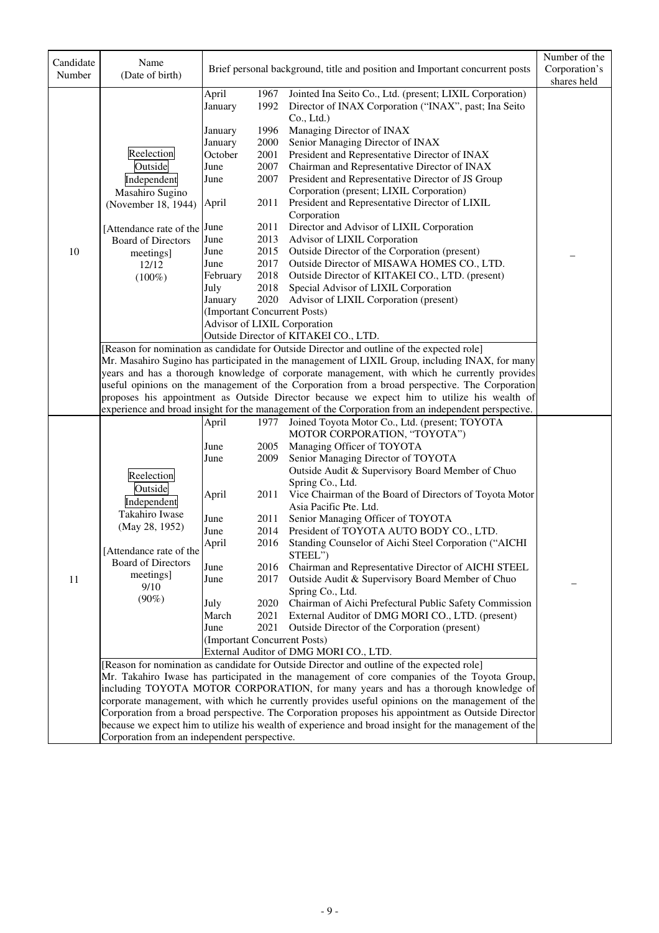| Candidate<br>Number | Name<br>(Date of birth)                                                                         |                              |                                                                                                     | Brief personal background, title and position and Important concurrent posts                                                    | Number of the<br>Corporation's<br>shares held |  |
|---------------------|-------------------------------------------------------------------------------------------------|------------------------------|-----------------------------------------------------------------------------------------------------|---------------------------------------------------------------------------------------------------------------------------------|-----------------------------------------------|--|
|                     |                                                                                                 | April<br>January             | 1967<br>1992                                                                                        | Jointed Ina Seito Co., Ltd. (present; LIXIL Corporation)<br>Director of INAX Corporation ("INAX", past; Ina Seito<br>Co., Ltd.) |                                               |  |
|                     |                                                                                                 | January                      | 1996                                                                                                | Managing Director of INAX                                                                                                       |                                               |  |
|                     | Reelection                                                                                      | January                      | 2000                                                                                                | Senior Managing Director of INAX                                                                                                |                                               |  |
|                     | Outside                                                                                         | October<br>June              | 2001                                                                                                | President and Representative Director of INAX<br>Chairman and Representative Director of INAX                                   |                                               |  |
|                     |                                                                                                 | June                         | 2007<br>2007                                                                                        | President and Representative Director of JS Group                                                                               |                                               |  |
|                     | Independent<br>Masahiro Sugino                                                                  |                              |                                                                                                     | Corporation (present; LIXIL Corporation)                                                                                        |                                               |  |
|                     | (November 18, 1944)                                                                             | April                        | 2011                                                                                                | President and Representative Director of LIXIL                                                                                  |                                               |  |
|                     |                                                                                                 |                              |                                                                                                     | Corporation                                                                                                                     |                                               |  |
|                     | [Attendance rate of the June                                                                    |                              | 2011                                                                                                | Director and Advisor of LIXIL Corporation                                                                                       |                                               |  |
| 10                  | Board of Directors                                                                              | June<br>June                 | 2013<br>2015                                                                                        | Advisor of LIXIL Corporation<br>Outside Director of the Corporation (present)                                                   |                                               |  |
|                     | meetings]                                                                                       | June                         | 2017                                                                                                | Outside Director of MISAWA HOMES CO., LTD.                                                                                      |                                               |  |
|                     | 12/12                                                                                           | February                     | 2018                                                                                                | Outside Director of KITAKEI CO., LTD. (present)                                                                                 |                                               |  |
|                     | $(100\%)$                                                                                       | July                         | 2018                                                                                                | Special Advisor of LIXIL Corporation                                                                                            |                                               |  |
|                     |                                                                                                 | January                      | 2020                                                                                                | Advisor of LIXIL Corporation (present)                                                                                          |                                               |  |
|                     |                                                                                                 | (Important Concurrent Posts) |                                                                                                     |                                                                                                                                 |                                               |  |
|                     |                                                                                                 |                              |                                                                                                     | Advisor of LIXIL Corporation                                                                                                    |                                               |  |
|                     |                                                                                                 |                              |                                                                                                     | Outside Director of KITAKEI CO., LTD.                                                                                           |                                               |  |
|                     |                                                                                                 |                              | [Reason for nomination as candidate for Outside Director and outline of the expected role]          |                                                                                                                                 |                                               |  |
|                     | Mr. Masahiro Sugino has participated in the management of LIXIL Group, including INAX, for many |                              |                                                                                                     |                                                                                                                                 |                                               |  |
|                     |                                                                                                 |                              |                                                                                                     | years and has a thorough knowledge of corporate management, with which he currently provides                                    |                                               |  |
|                     |                                                                                                 |                              |                                                                                                     | useful opinions on the management of the Corporation from a broad perspective. The Corporation                                  |                                               |  |
|                     |                                                                                                 |                              |                                                                                                     | proposes his appointment as Outside Director because we expect him to utilize his wealth of                                     |                                               |  |
|                     |                                                                                                 |                              | experience and broad insight for the management of the Corporation from an independent perspective. |                                                                                                                                 |                                               |  |
|                     |                                                                                                 | April                        | 1977                                                                                                | Joined Toyota Motor Co., Ltd. (present; TOYOTA                                                                                  |                                               |  |
|                     |                                                                                                 |                              |                                                                                                     | MOTOR CORPORATION, "TOYOTA")                                                                                                    |                                               |  |
|                     |                                                                                                 | June                         | 2005                                                                                                | Managing Officer of TOYOTA                                                                                                      |                                               |  |
|                     |                                                                                                 | June                         | 2009                                                                                                | Senior Managing Director of TOYOTA                                                                                              |                                               |  |
|                     | Reelection                                                                                      |                              |                                                                                                     | Outside Audit & Supervisory Board Member of Chuo                                                                                |                                               |  |
|                     | Outside                                                                                         |                              |                                                                                                     | Spring Co., Ltd.                                                                                                                |                                               |  |
|                     | Independent                                                                                     | April                        | 2011                                                                                                | Vice Chairman of the Board of Directors of Toyota Motor                                                                         |                                               |  |
|                     | Takahiro Iwase                                                                                  |                              |                                                                                                     | Asia Pacific Pte. Ltd.                                                                                                          |                                               |  |
|                     | (May 28, 1952)                                                                                  | June                         | 2011                                                                                                | Senior Managing Officer of TOYOTA                                                                                               |                                               |  |
|                     |                                                                                                 | June                         | 2014                                                                                                | President of TOYOTA AUTO BODY CO., LTD.                                                                                         |                                               |  |
|                     | [Attendance rate of the                                                                         | April                        |                                                                                                     | 2016 Standing Counselor of Aichi Steel Corporation ("AICHI                                                                      |                                               |  |
|                     | Board of Directors                                                                              | June                         | 2016                                                                                                | STEEL")<br>Chairman and Representative Director of AICHI STEEL                                                                  |                                               |  |
| 11                  | meetings]                                                                                       | June                         | 2017                                                                                                | Outside Audit & Supervisory Board Member of Chuo                                                                                |                                               |  |
|                     | 9/10                                                                                            |                              |                                                                                                     | Spring Co., Ltd.                                                                                                                |                                               |  |
|                     | $(90\%)$                                                                                        | July                         | 2020                                                                                                | Chairman of Aichi Prefectural Public Safety Commission                                                                          |                                               |  |
|                     |                                                                                                 | March                        | 2021                                                                                                | External Auditor of DMG MORI CO., LTD. (present)                                                                                |                                               |  |
|                     |                                                                                                 | June                         | 2021                                                                                                | Outside Director of the Corporation (present)                                                                                   |                                               |  |
|                     |                                                                                                 | (Important Concurrent Posts) |                                                                                                     |                                                                                                                                 |                                               |  |
|                     |                                                                                                 |                              |                                                                                                     | External Auditor of DMG MORI CO., LTD.                                                                                          |                                               |  |
|                     |                                                                                                 |                              |                                                                                                     | [Reason for nomination as candidate for Outside Director and outline of the expected role]                                      |                                               |  |
|                     |                                                                                                 |                              |                                                                                                     | Mr. Takahiro Iwase has participated in the management of core companies of the Toyota Group,                                    |                                               |  |
|                     |                                                                                                 |                              |                                                                                                     | including TOYOTA MOTOR CORPORATION, for many years and has a thorough knowledge of                                              |                                               |  |
|                     |                                                                                                 |                              |                                                                                                     | corporate management, with which he currently provides useful opinions on the management of the                                 |                                               |  |
|                     |                                                                                                 |                              |                                                                                                     | Corporation from a broad perspective. The Corporation proposes his appointment as Outside Director                              |                                               |  |
|                     |                                                                                                 |                              |                                                                                                     | because we expect him to utilize his wealth of experience and broad insight for the management of the                           |                                               |  |
|                     | Corporation from an independent perspective.                                                    |                              |                                                                                                     |                                                                                                                                 |                                               |  |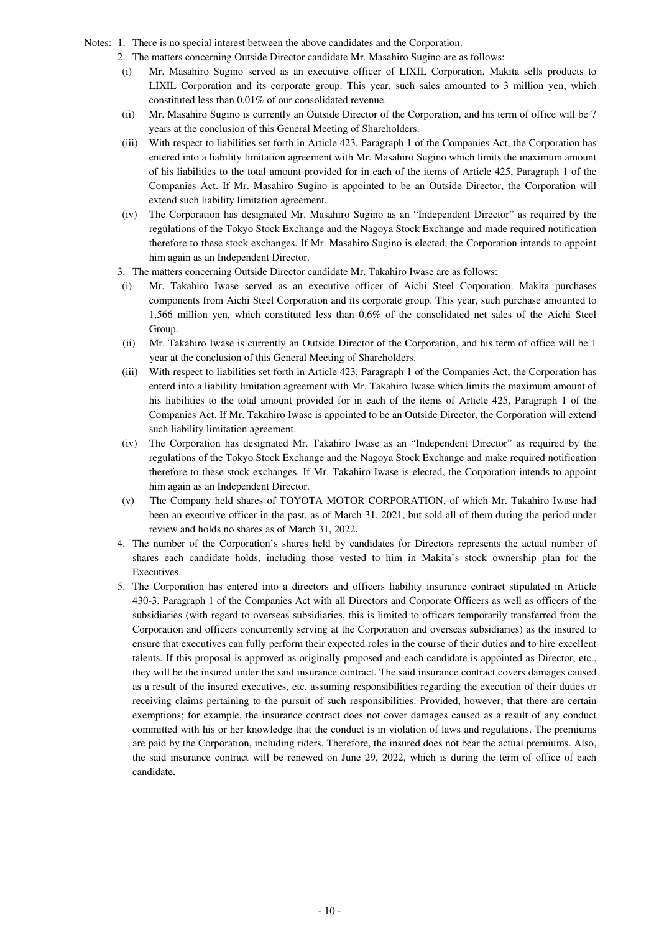Notes: 1. There is no special interest between the above candidates and the Corporation.

- 2. The matters concerning Outside Director candidate Mr. Masahiro Sugino are as follows:
- (i) Mr. Masahiro Sugino served as an executive officer of LIXIL Corporation. Makita sells products to LIXIL Corporation and its corporate group. This year, such sales amounted to 3 million yen, which constituted less than 0.01% of our consolidated revenue.
- (ii) Mr. Masahiro Sugino is currently an Outside Director of the Corporation, and his term of office will be 7 years at the conclusion of this General Meeting of Shareholders.
- (iii) With respect to liabilities set forth in Article 423, Paragraph 1 of the Companies Act, the Corporation has entered into a liability limitation agreement with Mr. Masahiro Sugino which limits the maximum amount of his liabilities to the total amount provided for in each of the items of Article 425, Paragraph 1 of the Companies Act. If Mr. Masahiro Sugino is appointed to be an Outside Director, the Corporation will extend such liability limitation agreement.
- (iv) The Corporation has designated Mr. Masahiro Sugino as an "Independent Director" as required by the regulations of the Tokyo Stock Exchange and the Nagoya Stock Exchange and made required notification therefore to these stock exchanges. If Mr. Masahiro Sugino is elected, the Corporation intends to appoint him again as an Independent Director.
- 3. The matters concerning Outside Director candidate Mr. Takahiro Iwase are as follows:
- (i) Mr. Takahiro Iwase served as an executive officer of Aichi Steel Corporation. Makita purchases components from Aichi Steel Corporation and its corporate group. This year, such purchase amounted to 1,566 million yen, which constituted less than 0.6% of the consolidated net sales of the Aichi Steel Group.
- (ii) Mr. Takahiro Iwase is currently an Outside Director of the Corporation, and his term of office will be 1 year at the conclusion of this General Meeting of Shareholders.
- (iii) With respect to liabilities set forth in Article 423, Paragraph 1 of the Companies Act, the Corporation has enterd into a liability limitation agreement with Mr. Takahiro Iwase which limits the maximum amount of his liabilities to the total amount provided for in each of the items of Article 425, Paragraph 1 of the Companies Act. If Mr. Takahiro Iwase is appointed to be an Outside Director, the Corporation will extend such liability limitation agreement.
- (iv) The Corporation has designated Mr. Takahiro Iwase as an "Independent Director" as required by the regulations of the Tokyo Stock Exchange and the Nagoya Stock Exchange and make required notification therefore to these stock exchanges. If Mr. Takahiro Iwase is elected, the Corporation intends to appoint him again as an Independent Director.
- (v) The Company held shares of TOYOTA MOTOR CORPORATION, of which Mr. Takahiro Iwase had been an executive officer in the past, as of March 31, 2021, but sold all of them during the period under review and holds no shares as of March 31, 2022.
- 4. The number of the Corporation's shares held by candidates for Directors represents the actual number of shares each candidate holds, including those vested to him in Makita's stock ownership plan for the Executives.
- 5. The Corporation has entered into a directors and officers liability insurance contract stipulated in Article 430-3, Paragraph 1 of the Companies Act with all Directors and Corporate Officers as well as officers of the subsidiaries (with regard to overseas subsidiaries, this is limited to officers temporarily transferred from the Corporation and officers concurrently serving at the Corporation and overseas subsidiaries) as the insured to ensure that executives can fully perform their expected roles in the course of their duties and to hire excellent talents. If this proposal is approved as originally proposed and each candidate is appointed as Director, etc., they will be the insured under the said insurance contract. The said insurance contract covers damages caused as a result of the insured executives, etc. assuming responsibilities regarding the execution of their duties or receiving claims pertaining to the pursuit of such responsibilities. Provided, however, that there are certain exemptions; for example, the insurance contract does not cover damages caused as a result of any conduct committed with his or her knowledge that the conduct is in violation of laws and regulations. The premiums are paid by the Corporation, including riders. Therefore, the insured does not bear the actual premiums. Also, the said insurance contract will be renewed on June 29, 2022, which is during the term of office of each candidate.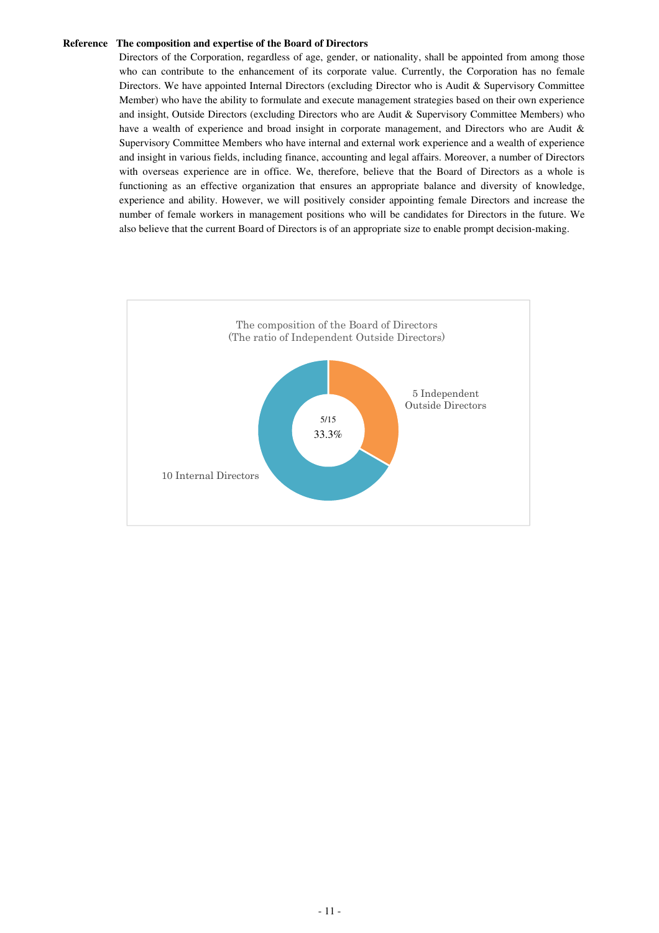#### **Reference The composition and expertise of the Board of Directors**

Directors of the Corporation, regardless of age, gender, or nationality, shall be appointed from among those who can contribute to the enhancement of its corporate value. Currently, the Corporation has no female Directors. We have appointed Internal Directors (excluding Director who is Audit & Supervisory Committee Member) who have the ability to formulate and execute management strategies based on their own experience and insight, Outside Directors (excluding Directors who are Audit & Supervisory Committee Members) who have a wealth of experience and broad insight in corporate management, and Directors who are Audit & Supervisory Committee Members who have internal and external work experience and a wealth of experience and insight in various fields, including finance, accounting and legal affairs. Moreover, a number of Directors with overseas experience are in office. We, therefore, believe that the Board of Directors as a whole is functioning as an effective organization that ensures an appropriate balance and diversity of knowledge, experience and ability. However, we will positively consider appointing female Directors and increase the number of female workers in management positions who will be candidates for Directors in the future. We also believe that the current Board of Directors is of an appropriate size to enable prompt decision-making.

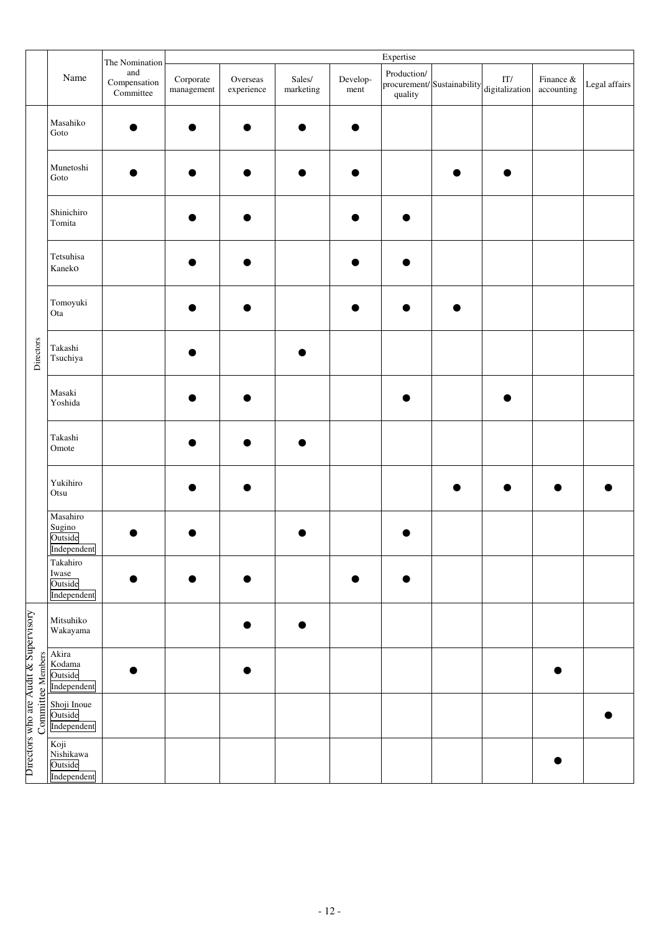|                                                            |                                              | The Nomination                   | Expertise               |                        |                     |                  |                        |                            |                             |                            |               |
|------------------------------------------------------------|----------------------------------------------|----------------------------------|-------------------------|------------------------|---------------------|------------------|------------------------|----------------------------|-----------------------------|----------------------------|---------------|
|                                                            | Name                                         | and<br>Compensation<br>Committee | Corporate<br>management | Overseas<br>experience | Sales/<br>marketing | Develop-<br>ment | Production/<br>quality | procurement/Sustainability | $\rm IT/$<br>digitalization | Finance $\&$<br>accounting | Legal affairs |
|                                                            | Masahiko<br>Goto                             |                                  |                         |                        |                     |                  |                        |                            |                             |                            |               |
|                                                            | Munetoshi<br>Goto                            |                                  |                         |                        |                     |                  |                        |                            |                             |                            |               |
|                                                            | Shinichiro<br>Tomita                         |                                  |                         |                        |                     |                  |                        |                            |                             |                            |               |
|                                                            | Tetsuhisa<br>Kaneko                          |                                  |                         |                        |                     |                  |                        |                            |                             |                            |               |
|                                                            | Tomoyuki<br>Ota                              |                                  |                         |                        |                     |                  |                        |                            |                             |                            |               |
| Directors                                                  | Takashi<br>Tsuchiya                          |                                  |                         |                        |                     |                  |                        |                            |                             |                            |               |
|                                                            | Masaki<br>Yoshida                            |                                  |                         |                        |                     |                  |                        |                            |                             |                            |               |
|                                                            | Takashi<br>Omote                             |                                  |                         |                        |                     |                  |                        |                            |                             |                            |               |
|                                                            | Yukihiro<br>Otsu                             |                                  |                         |                        |                     |                  |                        |                            |                             |                            |               |
|                                                            | Masahiro<br>Sugino<br>Outside<br>Independent |                                  |                         |                        |                     |                  |                        |                            |                             |                            |               |
|                                                            | Takahiro<br>Iwase<br>Outside<br>Independent  |                                  |                         |                        |                     |                  |                        |                            |                             |                            |               |
|                                                            | Mitsuhiko<br>Wakayama                        |                                  |                         |                        |                     |                  |                        |                            |                             |                            |               |
|                                                            | Akira<br>Kodama<br>Outside<br>Independent    |                                  |                         |                        |                     |                  |                        |                            |                             | 0                          |               |
| Directors who are Audit & Supervisory<br>Committee Members | Shoji Inoue<br>Outside<br>Independent        |                                  |                         |                        |                     |                  |                        |                            |                             |                            |               |
|                                                            | Koji<br>Nishikawa<br>Outside<br>Independent  |                                  |                         |                        |                     |                  |                        |                            |                             |                            |               |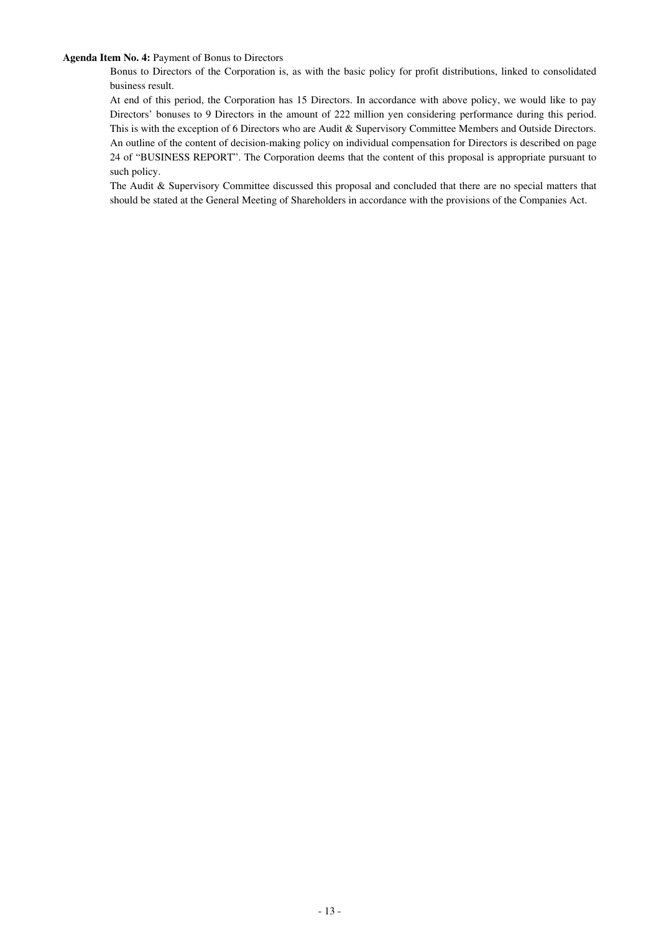# **Agenda Item No. 4:** Payment of Bonus to Directors

Bonus to Directors of the Corporation is, as with the basic policy for profit distributions, linked to consolidated business result.

At end of this period, the Corporation has 15 Directors. In accordance with above policy, we would like to pay Directors' bonuses to 9 Directors in the amount of 222 million yen considering performance during this period. This is with the exception of 6 Directors who are Audit & Supervisory Committee Members and Outside Directors. An outline of the content of decision-making policy on individual compensation for Directors is described on page 24 of "BUSINESS REPORT". The Corporation deems that the content of this proposal is appropriate pursuant to such policy.

The Audit & Supervisory Committee discussed this proposal and concluded that there are no special matters that should be stated at the General Meeting of Shareholders in accordance with the provisions of the Companies Act.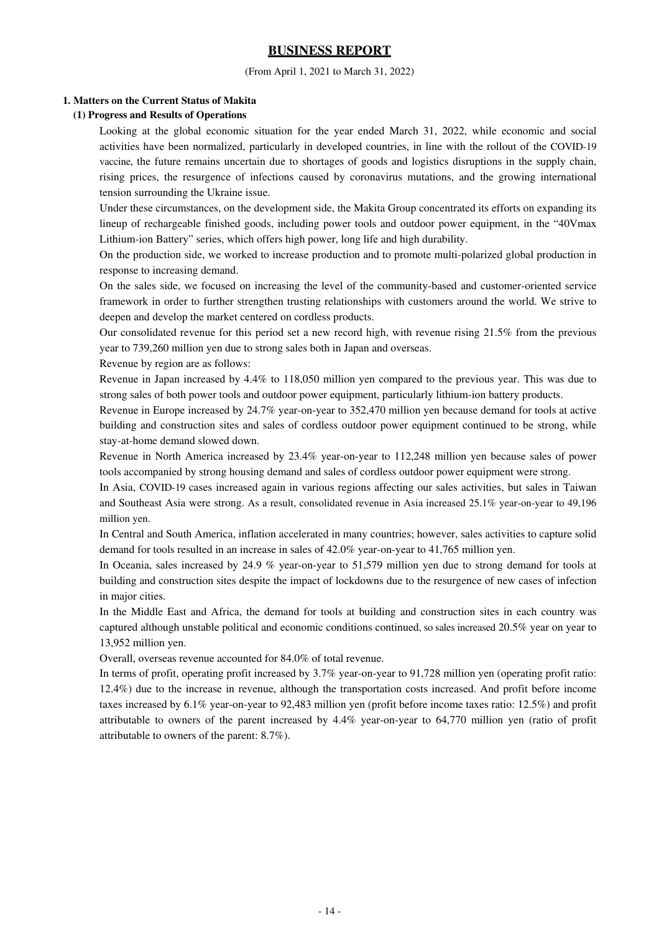# **BUSINESS REPORT**

(From April 1, 2021 to March 31, 2022)

# **1. Matters on the Current Status of Makita**

## **(1) Progress and Results of Operations**

Looking at the global economic situation for the year ended March 31, 2022, while economic and social activities have been normalized, particularly in developed countries, in line with the rollout of the COVID-19 vaccine, the future remains uncertain due to shortages of goods and logistics disruptions in the supply chain, rising prices, the resurgence of infections caused by coronavirus mutations, and the growing international tension surrounding the Ukraine issue.

Under these circumstances, on the development side, the Makita Group concentrated its efforts on expanding its lineup of rechargeable finished goods, including power tools and outdoor power equipment, in the "40Vmax Lithium-ion Battery" series, which offers high power, long life and high durability.

On the production side, we worked to increase production and to promote multi-polarized global production in response to increasing demand.

On the sales side, we focused on increasing the level of the community-based and customer-oriented service framework in order to further strengthen trusting relationships with customers around the world. We strive to deepen and develop the market centered on cordless products.

Our consolidated revenue for this period set a new record high, with revenue rising 21.5% from the previous year to 739,260 million yen due to strong sales both in Japan and overseas.

Revenue by region are as follows:

Revenue in Japan increased by 4.4% to 118,050 million yen compared to the previous year. This was due to strong sales of both power tools and outdoor power equipment, particularly lithium-ion battery products.

Revenue in Europe increased by 24.7% year-on-year to 352,470 million yen because demand for tools at active building and construction sites and sales of cordless outdoor power equipment continued to be strong, while stay-at-home demand slowed down.

Revenue in North America increased by 23.4% year-on-year to 112,248 million yen because sales of power tools accompanied by strong housing demand and sales of cordless outdoor power equipment were strong.

In Asia, COVID-19 cases increased again in various regions affecting our sales activities, but sales in Taiwan and Southeast Asia were strong. As a result, consolidated revenue in Asia increased 25.1% year-on-year to 49,196 million yen.

In Central and South America, inflation accelerated in many countries; however, sales activities to capture solid demand for tools resulted in an increase in sales of 42.0% year-on-year to 41,765 million yen.

In Oceania, sales increased by 24.9 % year-on-year to 51,579 million yen due to strong demand for tools at building and construction sites despite the impact of lockdowns due to the resurgence of new cases of infection in major cities.

In the Middle East and Africa, the demand for tools at building and construction sites in each country was captured although unstable political and economic conditions continued, so sales increased 20.5% year on year to 13,952 million yen.

Overall, overseas revenue accounted for 84.0% of total revenue.

In terms of profit, operating profit increased by 3.7% year-on-year to 91,728 million yen (operating profit ratio: 12.4%) due to the increase in revenue, although the transportation costs increased. And profit before income taxes increased by 6.1% year-on-year to 92,483 million yen (profit before income taxes ratio: 12.5%) and profit attributable to owners of the parent increased by 4.4% year-on-year to 64,770 million yen (ratio of profit attributable to owners of the parent: 8.7%).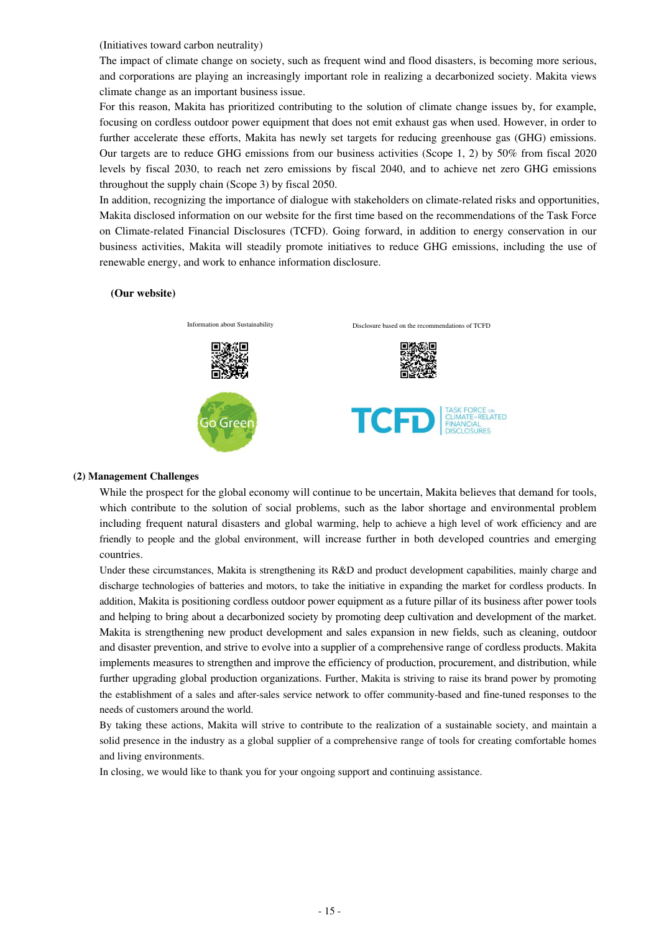(Initiatives toward carbon neutrality)

The impact of climate change on society, such as frequent wind and flood disasters, is becoming more serious, and corporations are playing an increasingly important role in realizing a decarbonized society. Makita views climate change as an important business issue.

For this reason, Makita has prioritized contributing to the solution of climate change issues by, for example, focusing on cordless outdoor power equipment that does not emit exhaust gas when used. However, in order to further accelerate these efforts, Makita has newly set targets for reducing greenhouse gas (GHG) emissions. Our targets are to reduce GHG emissions from our business activities (Scope 1, 2) by 50% from fiscal 2020 levels by fiscal 2030, to reach net zero emissions by fiscal 2040, and to achieve net zero GHG emissions throughout the supply chain (Scope 3) by fiscal 2050.

In addition, recognizing the importance of dialogue with stakeholders on climate-related risks and opportunities, Makita disclosed information on our website for the first time based on the recommendations of the Task Force on Climate-related Financial Disclosures (TCFD). Going forward, in addition to energy conservation in our business activities, Makita will steadily promote initiatives to reduce GHG emissions, including the use of renewable energy, and work to enhance information disclosure.

#### **(Our website)**



#### **(2) Management Challenges**

While the prospect for the global economy will continue to be uncertain, Makita believes that demand for tools, which contribute to the solution of social problems, such as the labor shortage and environmental problem including frequent natural disasters and global warming, help to achieve a high level of work efficiency and are friendly to people and the global environment, will increase further in both developed countries and emerging countries.

Under these circumstances, Makita is strengthening its R&D and product development capabilities, mainly charge and discharge technologies of batteries and motors, to take the initiative in expanding the market for cordless products. In addition, Makita is positioning cordless outdoor power equipment as a future pillar of its business after power tools and helping to bring about a decarbonized society by promoting deep cultivation and development of the market. Makita is strengthening new product development and sales expansion in new fields, such as cleaning, outdoor and disaster prevention, and strive to evolve into a supplier of a comprehensive range of cordless products. Makita implements measures to strengthen and improve the efficiency of production, procurement, and distribution, while further upgrading global production organizations. Further, Makita is striving to raise its brand power by promoting the establishment of a sales and after-sales service network to offer community-based and fine-tuned responses to the needs of customers around the world.

By taking these actions, Makita will strive to contribute to the realization of a sustainable society, and maintain a solid presence in the industry as a global supplier of a comprehensive range of tools for creating comfortable homes and living environments.

In closing, we would like to thank you for your ongoing support and continuing assistance.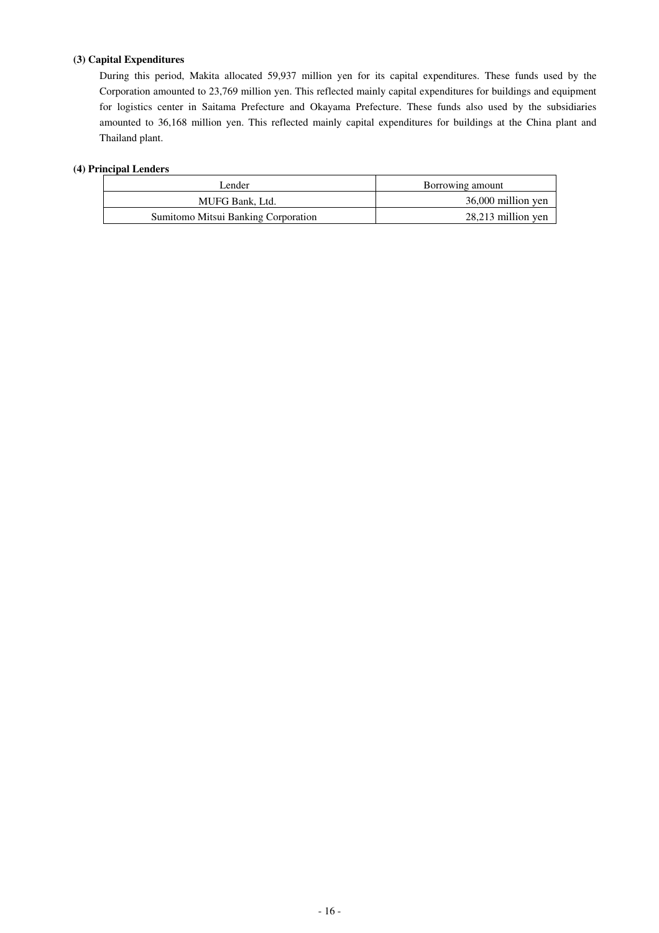# **(3) Capital Expenditures**

During this period, Makita allocated 59,937 million yen for its capital expenditures. These funds used by the Corporation amounted to 23,769 million yen. This reflected mainly capital expenditures for buildings and equipment for logistics center in Saitama Prefecture and Okayama Prefecture. These funds also used by the subsidiaries amounted to 36,168 million yen. This reflected mainly capital expenditures for buildings at the China plant and Thailand plant.

# **(4) Principal Lenders**

| Lender                              | Borrowing amount   |
|-------------------------------------|--------------------|
| MUFG Bank, Ltd.                     | 36,000 million yen |
| Sumitomo Mitsui Banking Corporation | 28,213 million yen |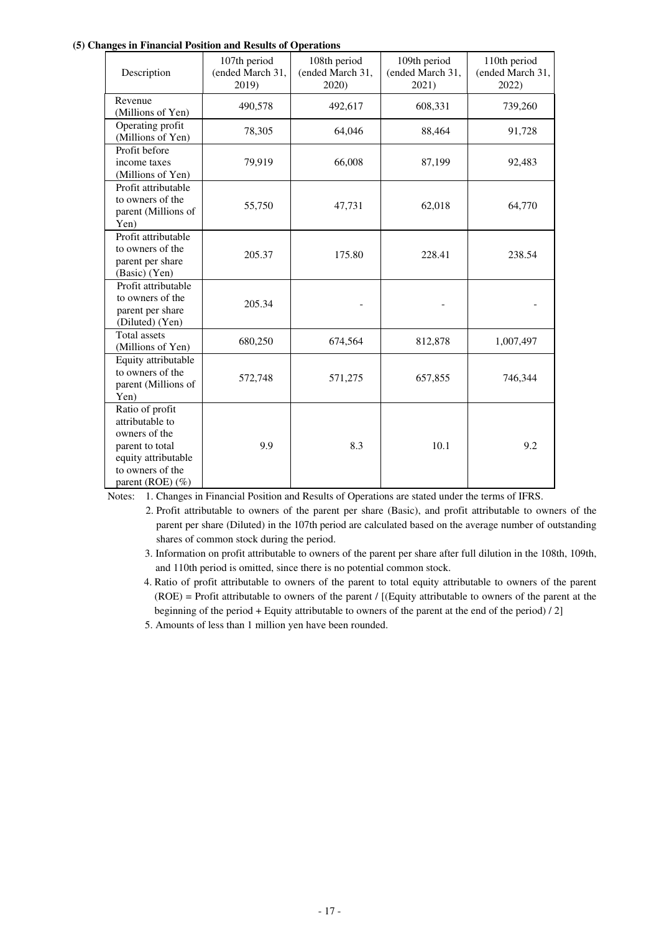| Description                                                                                                                              | 107th period<br>(ended March 31,<br>2019) | 108th period<br>(ended March 31,<br>2020) | 109th period<br>(ended March 31,<br>2021) | 110th period<br>(ended March 31,<br>2022) |
|------------------------------------------------------------------------------------------------------------------------------------------|-------------------------------------------|-------------------------------------------|-------------------------------------------|-------------------------------------------|
| Revenue<br>(Millions of Yen)                                                                                                             | 490,578                                   | 492,617                                   | 608,331                                   | 739,260                                   |
| Operating profit<br>(Millions of Yen)                                                                                                    | 78,305                                    | 64,046                                    | 88,464                                    | 91,728                                    |
| Profit before<br>income taxes<br>(Millions of Yen)                                                                                       | 79,919                                    | 66,008                                    | 87,199                                    | 92,483                                    |
| Profit attributable<br>to owners of the<br>parent (Millions of<br>Yen)                                                                   | 55,750                                    | 47,731                                    | 62,018                                    | 64,770                                    |
| Profit attributable<br>to owners of the<br>parent per share<br>(Basic) (Yen)                                                             | 205.37                                    | 175.80                                    | 228.41                                    | 238.54                                    |
| Profit attributable<br>to owners of the<br>parent per share<br>(Diluted) (Yen)                                                           | 205.34                                    |                                           |                                           |                                           |
| Total assets<br>(Millions of Yen)                                                                                                        | 680,250                                   | 674,564                                   | 812,878                                   | 1,007,497                                 |
| Equity attributable<br>to owners of the<br>parent (Millions of<br>Yen)                                                                   | 572,748                                   | 571,275                                   | 657,855                                   | 746,344                                   |
| Ratio of profit<br>attributable to<br>owners of the<br>parent to total<br>equity attributable<br>to owners of the<br>parent (ROE) $(\%)$ | 9.9                                       | 8.3                                       | 10.1                                      | 9.2                                       |

 **(5) Changes in Financial Position and Results of Operations** 

Notes: 1. Changes in Financial Position and Results of Operations are stated under the terms of IFRS.

2. Profit attributable to owners of the parent per share (Basic), and profit attributable to owners of the parent per share (Diluted) in the 107th period are calculated based on the average number of outstanding shares of common stock during the period.

3. Information on profit attributable to owners of the parent per share after full dilution in the 108th, 109th, and 110th period is omitted, since there is no potential common stock.

4. Ratio of profit attributable to owners of the parent to total equity attributable to owners of the parent (ROE) = Profit attributable to owners of the parent / [(Equity attributable to owners of the parent at the beginning of the period + Equity attributable to owners of the parent at the end of the period) / 2]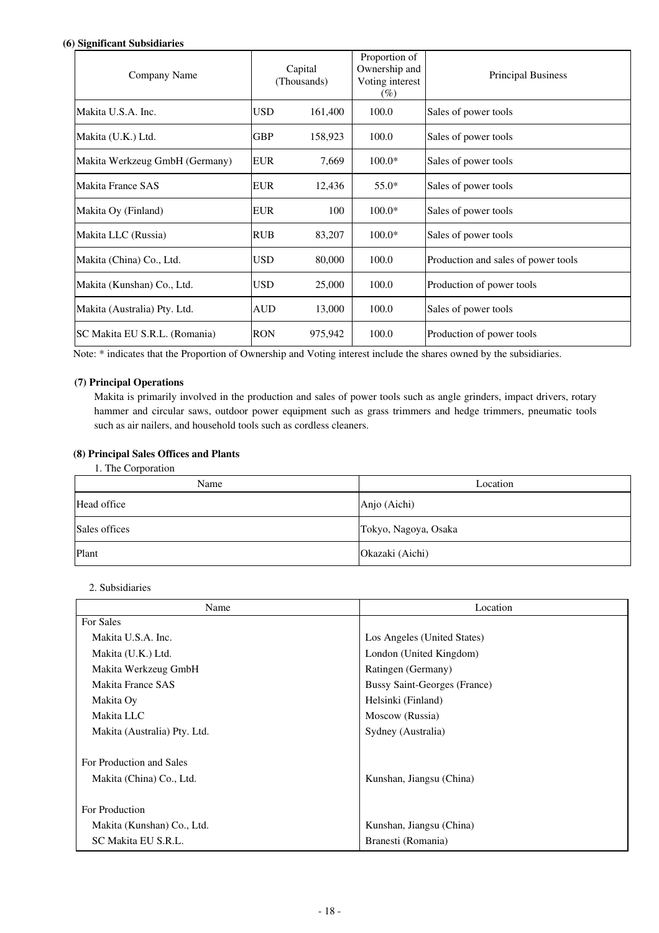# **(6) Significant Subsidiaries**

| Company Name                   |            | Capital<br>(Thousands) | Proportion of<br>Ownership and<br>Voting interest<br>$(\%)$ | <b>Principal Business</b>           |
|--------------------------------|------------|------------------------|-------------------------------------------------------------|-------------------------------------|
| Makita U.S.A. Inc.             | <b>USD</b> | 161,400                | 100.0                                                       | Sales of power tools                |
| Makita (U.K.) Ltd.             | <b>GBP</b> | 158,923                | 100.0                                                       | Sales of power tools                |
| Makita Werkzeug GmbH (Germany) | <b>EUR</b> | 7,669                  | $100.0*$                                                    | Sales of power tools                |
| Makita France SAS              | <b>EUR</b> | 12,436                 | $55.0*$                                                     | Sales of power tools                |
| Makita Oy (Finland)            | <b>EUR</b> | 100                    | $100.0*$                                                    | Sales of power tools                |
| Makita LLC (Russia)            | <b>RUB</b> | 83,207                 | $100.0*$                                                    | Sales of power tools                |
| Makita (China) Co., Ltd.       | <b>USD</b> | 80,000                 | 100.0                                                       | Production and sales of power tools |
| Makita (Kunshan) Co., Ltd.     | <b>USD</b> | 25,000                 | 100.0                                                       | Production of power tools           |
| Makita (Australia) Pty. Ltd.   | <b>AUD</b> | 13,000                 | 100.0                                                       | Sales of power tools                |
| SC Makita EU S.R.L. (Romania)  | <b>RON</b> | 975,942                | 100.0                                                       | Production of power tools           |

Note: \* indicates that the Proportion of Ownership and Voting interest include the shares owned by the subsidiaries.

# **(7) Principal Operations**

Makita is primarily involved in the production and sales of power tools such as angle grinders, impact drivers, rotary hammer and circular saws, outdoor power equipment such as grass trimmers and hedge trimmers, pneumatic tools such as air nailers, and household tools such as cordless cleaners.

# **(8) Principal Sales Offices and Plants**

1. The Corporation

| Name          | Location             |
|---------------|----------------------|
| Head office   | Anjo (Aichi)         |
| Sales offices | Tokyo, Nagoya, Osaka |
| Plant         | Okazaki (Aichi)      |

# 2. Subsidiaries

| Name                         | Location                     |  |  |
|------------------------------|------------------------------|--|--|
| For Sales                    |                              |  |  |
| Makita U.S.A. Inc.           | Los Angeles (United States)  |  |  |
| Makita (U.K.) Ltd.           | London (United Kingdom)      |  |  |
| Makita Werkzeug GmbH         | Ratingen (Germany)           |  |  |
| Makita France SAS            | Bussy Saint-Georges (France) |  |  |
| Makita Oy                    | Helsinki (Finland)           |  |  |
| Makita LLC                   | Moscow (Russia)              |  |  |
| Makita (Australia) Pty. Ltd. | Sydney (Australia)           |  |  |
|                              |                              |  |  |
| For Production and Sales     |                              |  |  |
| Makita (China) Co., Ltd.     | Kunshan, Jiangsu (China)     |  |  |
|                              |                              |  |  |
| For Production               |                              |  |  |
| Makita (Kunshan) Co., Ltd.   | Kunshan, Jiangsu (China)     |  |  |
| SC Makita EU S.R.L.          | Branesti (Romania)           |  |  |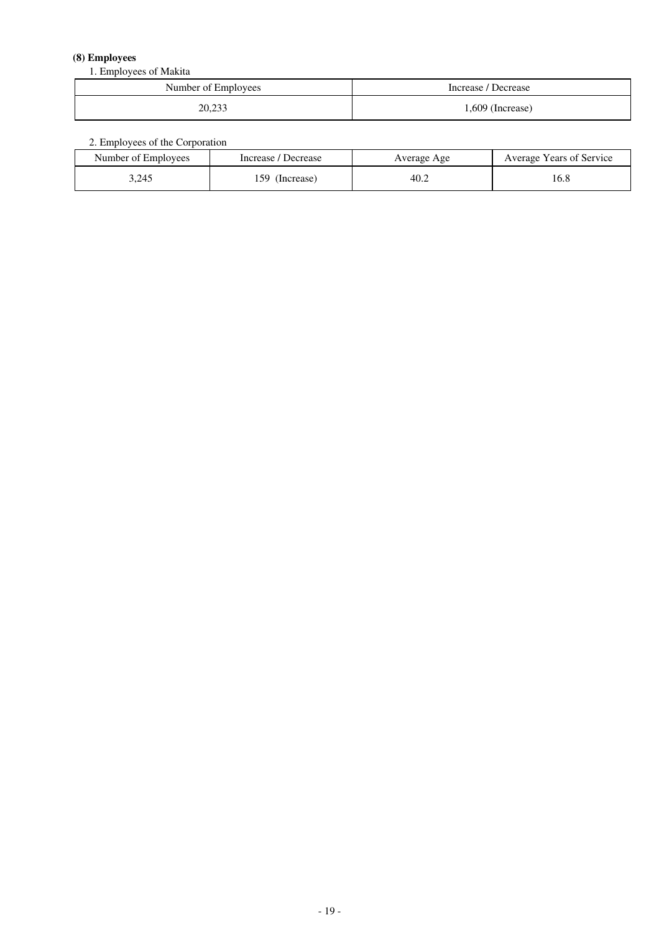# **(8) Employees**

# 1. Employees of Makita

| Number of Employees | Increase / Decrease |
|---------------------|---------------------|
| 20,233              | $1,609$ (Increase)  |

# 2. Employees of the Corporation

| Number of Employees | Increase / Decrease | Average Age | Average Years of Service |
|---------------------|---------------------|-------------|--------------------------|
| 3.245               | 159 (Increase)      | 40.2        | l6.8                     |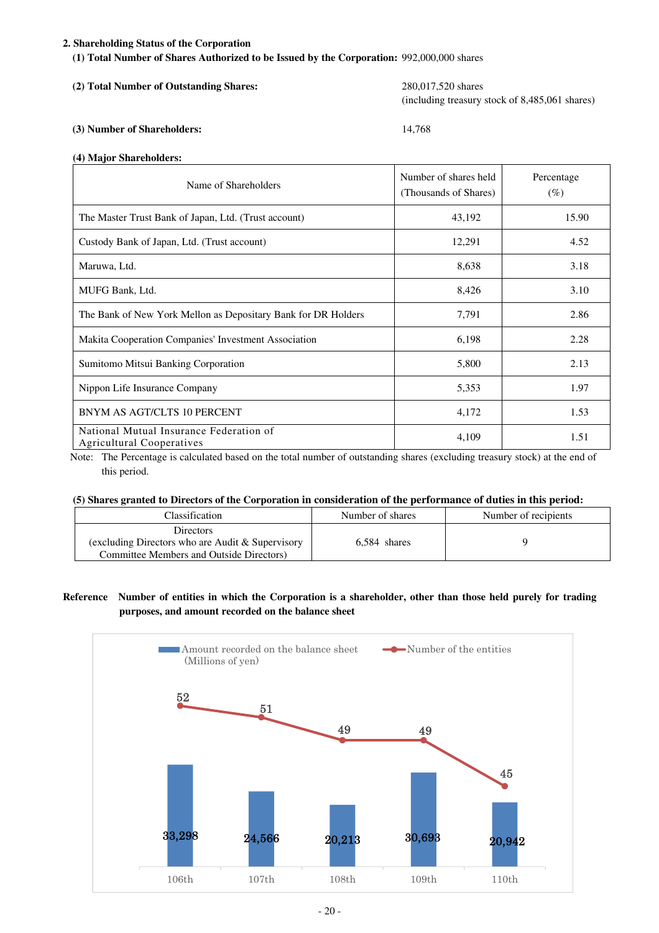# **2. Shareholding Status of the Corporation**

**(1) Total Number of Shares Authorized to be Issued by the Corporation:** 992,000,000 shares

| (2) Total Number of Outstanding Shares: | 280,017,520 shares                             |
|-----------------------------------------|------------------------------------------------|
|                                         | (including treasury stock of 8,485,061 shares) |
|                                         |                                                |

# **(3) Number of Shareholders:** 14,768

# **(4) Major Shareholders:**

| Name of Shareholders                                                        | Number of shares held<br>(Thousands of Shares) | Percentage<br>$(\%)$ |
|-----------------------------------------------------------------------------|------------------------------------------------|----------------------|
| The Master Trust Bank of Japan, Ltd. (Trust account)                        | 43,192                                         | 15.90                |
| Custody Bank of Japan, Ltd. (Trust account)                                 | 12,291                                         | 4.52                 |
| Maruwa, Ltd.                                                                | 8,638                                          | 3.18                 |
| MUFG Bank, Ltd.                                                             | 8,426                                          | 3.10                 |
| The Bank of New York Mellon as Depositary Bank for DR Holders               | 7,791                                          | 2.86                 |
| Makita Cooperation Companies' Investment Association                        | 6,198                                          | 2.28                 |
| Sumitomo Mitsui Banking Corporation                                         | 5,800                                          | 2.13                 |
| Nippon Life Insurance Company                                               | 5,353                                          | 1.97                 |
| BNYM AS AGT/CLTS 10 PERCENT                                                 | 4,172                                          | 1.53                 |
| National Mutual Insurance Federation of<br><b>Agricultural Cooperatives</b> | 4,109                                          | 1.51                 |

Note: The Percentage is calculated based on the total number of outstanding shares (excluding treasury stock) at the end of this period.

# **(5) Shares granted to Directors of the Corporation in consideration of the performance of duties in this period:**

| Classification                                                                                            | Number of shares | Number of recipients |
|-----------------------------------------------------------------------------------------------------------|------------------|----------------------|
| Directors<br>(excluding Directors who are Audit & Supervisory<br>Committee Members and Outside Directors) | 6.584 shares     |                      |

# **Reference Number of entities in which the Corporation is a shareholder, other than those held purely for trading purposes, and amount recorded on the balance sheet**

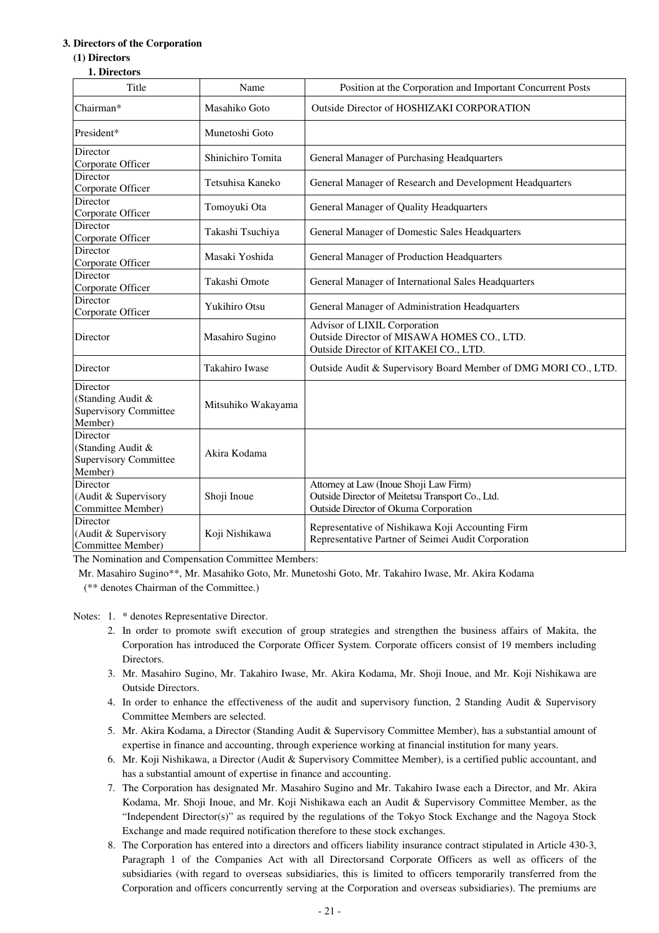# **3. Directors of the Corporation**

# **(1) Directors**

# **1. Directors**

| Title                                                                    | Name               | Position at the Corporation and Important Concurrent Posts                                                                          |
|--------------------------------------------------------------------------|--------------------|-------------------------------------------------------------------------------------------------------------------------------------|
| Chairman*                                                                | Masahiko Goto      | Outside Director of HOSHIZAKI CORPORATION                                                                                           |
| President*                                                               | Munetoshi Goto     |                                                                                                                                     |
| Director<br>Corporate Officer                                            | Shinichiro Tomita  | General Manager of Purchasing Headquarters                                                                                          |
| Director<br>Corporate Officer                                            | Tetsuhisa Kaneko   | General Manager of Research and Development Headquarters                                                                            |
| Director<br>Corporate Officer                                            | Tomoyuki Ota       | General Manager of Quality Headquarters                                                                                             |
| Director<br>Corporate Officer                                            | Takashi Tsuchiya   | General Manager of Domestic Sales Headquarters                                                                                      |
| Director<br>Corporate Officer                                            | Masaki Yoshida     | General Manager of Production Headquarters                                                                                          |
| Director<br>Corporate Officer                                            | Takashi Omote      | General Manager of International Sales Headquarters                                                                                 |
| Director<br>Corporate Officer                                            | Yukihiro Otsu      | General Manager of Administration Headquarters                                                                                      |
| Director                                                                 | Masahiro Sugino    | Advisor of LIXIL Corporation<br>Outside Director of MISAWA HOMES CO., LTD.<br>Outside Director of KITAKEI CO., LTD.                 |
| Director                                                                 | Takahiro Iwase     | Outside Audit & Supervisory Board Member of DMG MORI CO., LTD.                                                                      |
| Director<br>(Standing Audit &<br><b>Supervisory Committee</b><br>Member) | Mitsuhiko Wakayama |                                                                                                                                     |
| Director<br>(Standing Audit &<br><b>Supervisory Committee</b><br>Member) | Akira Kodama       |                                                                                                                                     |
| Director<br>(Audit & Supervisory<br>Committee Member)                    | Shoji Inoue        | Attorney at Law (Inoue Shoji Law Firm)<br>Outside Director of Meitetsu Transport Co., Ltd.<br>Outside Director of Okuma Corporation |
| Director<br>(Audit & Supervisory<br>Committee Member)                    | Koji Nishikawa     | Representative of Nishikawa Koji Accounting Firm<br>Representative Partner of Seimei Audit Corporation                              |

The Nomination and Compensation Committee Members:

Mr. Masahiro Sugino\*\*, Mr. Masahiko Goto, Mr. Munetoshi Goto, Mr. Takahiro Iwase, Mr. Akira Kodama

(\*\* denotes Chairman of the Committee.)

Notes: 1. \* denotes Representative Director.

- 2. In order to promote swift execution of group strategies and strengthen the business affairs of Makita, the Corporation has introduced the Corporate Officer System. Corporate officers consist of 19 members including Directors.
- 3. Mr. Masahiro Sugino, Mr. Takahiro Iwase, Mr. Akira Kodama, Mr. Shoji Inoue, and Mr. Koji Nishikawa are Outside Directors.
- 4. In order to enhance the effectiveness of the audit and supervisory function, 2 Standing Audit & Supervisory Committee Members are selected.
- 5. Mr. Akira Kodama, a Director (Standing Audit & Supervisory Committee Member), has a substantial amount of expertise in finance and accounting, through experience working at financial institution for many years.
- 6. Mr. Koji Nishikawa, a Director (Audit & Supervisory Committee Member), is a certified public accountant, and has a substantial amount of expertise in finance and accounting.
- 7. The Corporation has designated Mr. Masahiro Sugino and Mr. Takahiro Iwase each a Director, and Mr. Akira Kodama, Mr. Shoji Inoue, and Mr. Koji Nishikawa each an Audit & Supervisory Committee Member, as the "Independent Director(s)" as required by the regulations of the Tokyo Stock Exchange and the Nagoya Stock Exchange and made required notification therefore to these stock exchanges.
- 8. The Corporation has entered into a directors and officers liability insurance contract stipulated in Article 430-3, Paragraph 1 of the Companies Act with all Directorsand Corporate Officers as well as officers of the subsidiaries (with regard to overseas subsidiaries, this is limited to officers temporarily transferred from the Corporation and officers concurrently serving at the Corporation and overseas subsidiaries). The premiums are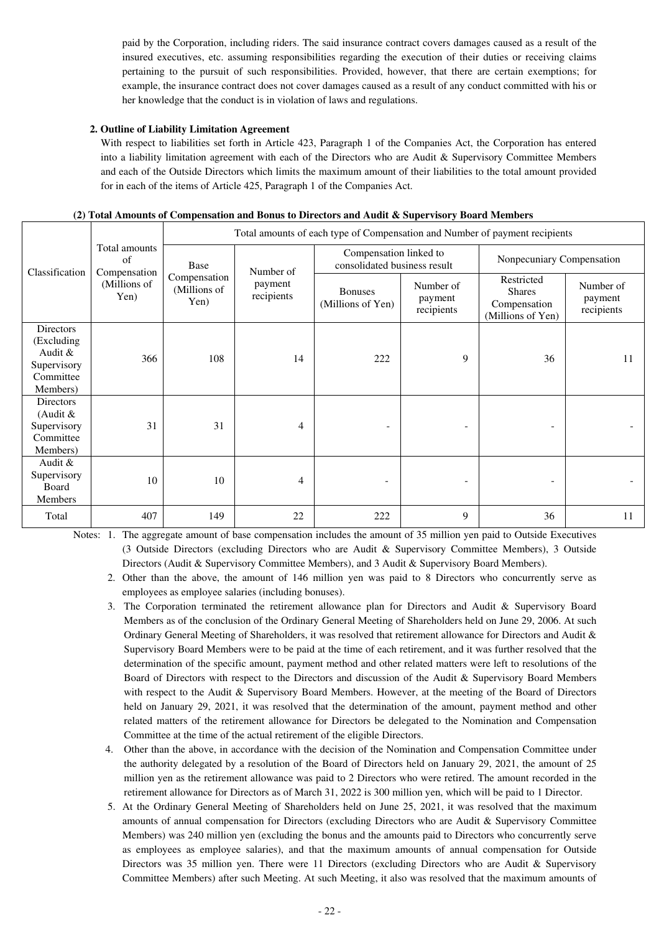paid by the Corporation, including riders. The said insurance contract covers damages caused as a result of the insured executives, etc. assuming responsibilities regarding the execution of their duties or receiving claims pertaining to the pursuit of such responsibilities. Provided, however, that there are certain exemptions; for example, the insurance contract does not cover damages caused as a result of any conduct committed with his or her knowledge that the conduct is in violation of laws and regulations.

# **2. Outline of Liability Limitation Agreement**

With respect to liabilities set forth in Article 423, Paragraph 1 of the Companies Act, the Corporation has entered into a liability limitation agreement with each of the Directors who are Audit & Supervisory Committee Members and each of the Outside Directors which limits the maximum amount of their liabilities to the total amount provided for in each of the items of Article 425, Paragraph 1 of the Companies Act.

|                                                                             |                                      | Total amounts of each type of Compensation and Number of payment recipients |                       |                                                        |                                    |                                                                  |                                    |
|-----------------------------------------------------------------------------|--------------------------------------|-----------------------------------------------------------------------------|-----------------------|--------------------------------------------------------|------------------------------------|------------------------------------------------------------------|------------------------------------|
| Total amounts<br>of<br>Classification                                       | Base                                 | Number of                                                                   |                       | Compensation linked to<br>consolidated business result |                                    | Nonpecuniary Compensation                                        |                                    |
|                                                                             | Compensation<br>(Millions of<br>Yen) | Compensation<br>(Millions of<br>Yen)                                        | payment<br>recipients | <b>Bonuses</b><br>(Millions of Yen)                    | Number of<br>payment<br>recipients | Restricted<br><b>Shares</b><br>Compensation<br>(Millions of Yen) | Number of<br>payment<br>recipients |
| Directors<br>(Excluding)<br>Audit &<br>Supervisory<br>Committee<br>Members) | 366                                  | 108                                                                         | 14                    | 222                                                    | 9                                  | 36                                                               | 11                                 |
| <b>Directors</b><br>(Audit &<br>Supervisory<br>Committee<br>Members)        | 31                                   | 31                                                                          | $\overline{4}$        |                                                        | $\overline{\phantom{a}}$           |                                                                  |                                    |
| Audit $\&$<br>Supervisory<br><b>Board</b><br>Members                        | 10                                   | 10                                                                          | 4                     | $\overline{\phantom{a}}$                               | $\overline{\phantom{a}}$           |                                                                  |                                    |
| Total                                                                       | 407                                  | 149                                                                         | 22                    | 222                                                    | 9                                  | 36                                                               | 11                                 |

#### **(2) Total Amounts of Compensation and Bonus to Directors and Audit & Supervisory Board Members**

Notes: 1. The aggregate amount of base compensation includes the amount of 35 million yen paid to Outside Executives (3 Outside Directors (excluding Directors who are Audit & Supervisory Committee Members), 3 Outside Directors (Audit & Supervisory Committee Members), and 3 Audit & Supervisory Board Members).

- 2. Other than the above, the amount of 146 million yen was paid to 8 Directors who concurrently serve as employees as employee salaries (including bonuses).
- 3. The Corporation terminated the retirement allowance plan for Directors and Audit & Supervisory Board Members as of the conclusion of the Ordinary General Meeting of Shareholders held on June 29, 2006. At such Ordinary General Meeting of Shareholders, it was resolved that retirement allowance for Directors and Audit & Supervisory Board Members were to be paid at the time of each retirement, and it was further resolved that the determination of the specific amount, payment method and other related matters were left to resolutions of the Board of Directors with respect to the Directors and discussion of the Audit & Supervisory Board Members with respect to the Audit & Supervisory Board Members. However, at the meeting of the Board of Directors held on January 29, 2021, it was resolved that the determination of the amount, payment method and other related matters of the retirement allowance for Directors be delegated to the Nomination and Compensation Committee at the time of the actual retirement of the eligible Directors.
- 4. Other than the above, in accordance with the decision of the Nomination and Compensation Committee under the authority delegated by a resolution of the Board of Directors held on January 29, 2021, the amount of 25 million yen as the retirement allowance was paid to 2 Directors who were retired. The amount recorded in the retirement allowance for Directors as of March 31, 2022 is 300 million yen, which will be paid to 1 Director.
- 5. At the Ordinary General Meeting of Shareholders held on June 25, 2021, it was resolved that the maximum amounts of annual compensation for Directors (excluding Directors who are Audit & Supervisory Committee Members) was 240 million yen (excluding the bonus and the amounts paid to Directors who concurrently serve as employees as employee salaries), and that the maximum amounts of annual compensation for Outside Directors was 35 million yen. There were 11 Directors (excluding Directors who are Audit & Supervisory Committee Members) after such Meeting. At such Meeting, it also was resolved that the maximum amounts of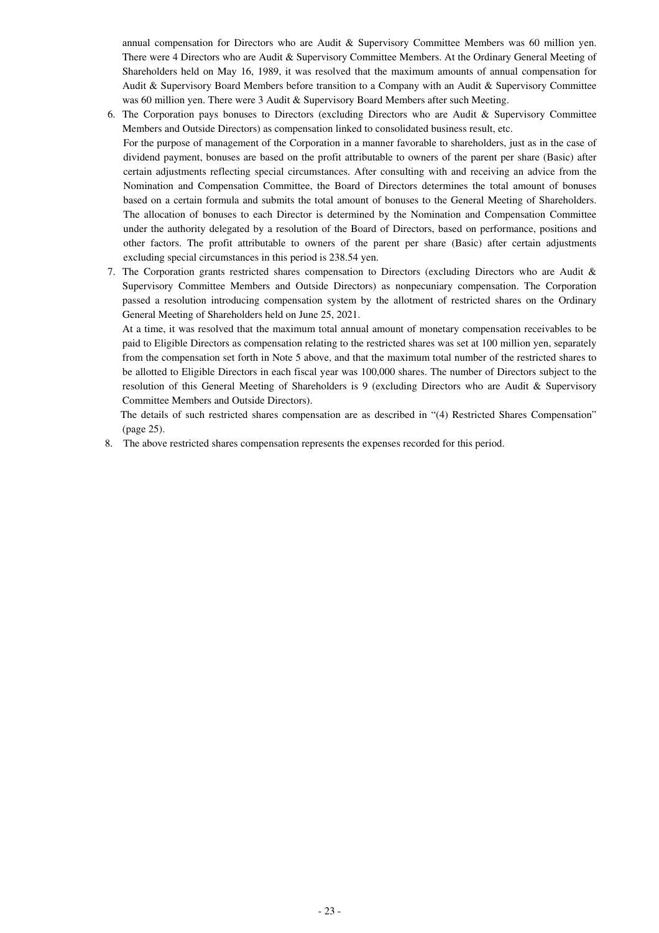annual compensation for Directors who are Audit & Supervisory Committee Members was 60 million yen. There were 4 Directors who are Audit & Supervisory Committee Members. At the Ordinary General Meeting of Shareholders held on May 16, 1989, it was resolved that the maximum amounts of annual compensation for Audit & Supervisory Board Members before transition to a Company with an Audit & Supervisory Committee was 60 million yen. There were 3 Audit & Supervisory Board Members after such Meeting.

6. The Corporation pays bonuses to Directors (excluding Directors who are Audit & Supervisory Committee Members and Outside Directors) as compensation linked to consolidated business result, etc.

For the purpose of management of the Corporation in a manner favorable to shareholders, just as in the case of dividend payment, bonuses are based on the profit attributable to owners of the parent per share (Basic) after certain adjustments reflecting special circumstances. After consulting with and receiving an advice from the Nomination and Compensation Committee, the Board of Directors determines the total amount of bonuses based on a certain formula and submits the total amount of bonuses to the General Meeting of Shareholders. The allocation of bonuses to each Director is determined by the Nomination and Compensation Committee under the authority delegated by a resolution of the Board of Directors, based on performance, positions and other factors. The profit attributable to owners of the parent per share (Basic) after certain adjustments excluding special circumstances in this period is 238.54 yen.

 7. The Corporation grants restricted shares compensation to Directors (excluding Directors who are Audit & Supervisory Committee Members and Outside Directors) as nonpecuniary compensation. The Corporation passed a resolution introducing compensation system by the allotment of restricted shares on the Ordinary General Meeting of Shareholders held on June 25, 2021.

At a time, it was resolved that the maximum total annual amount of monetary compensation receivables to be paid to Eligible Directors as compensation relating to the restricted shares was set at 100 million yen, separately from the compensation set forth in Note 5 above, and that the maximum total number of the restricted shares to be allotted to Eligible Directors in each fiscal year was 100,000 shares. The number of Directors subject to the resolution of this General Meeting of Shareholders is 9 (excluding Directors who are Audit & Supervisory Committee Members and Outside Directors).

 The details of such restricted shares compensation are as described in "(4) Restricted Shares Compensation" (page 25).

The above restricted shares compensation represents the expenses recorded for this period.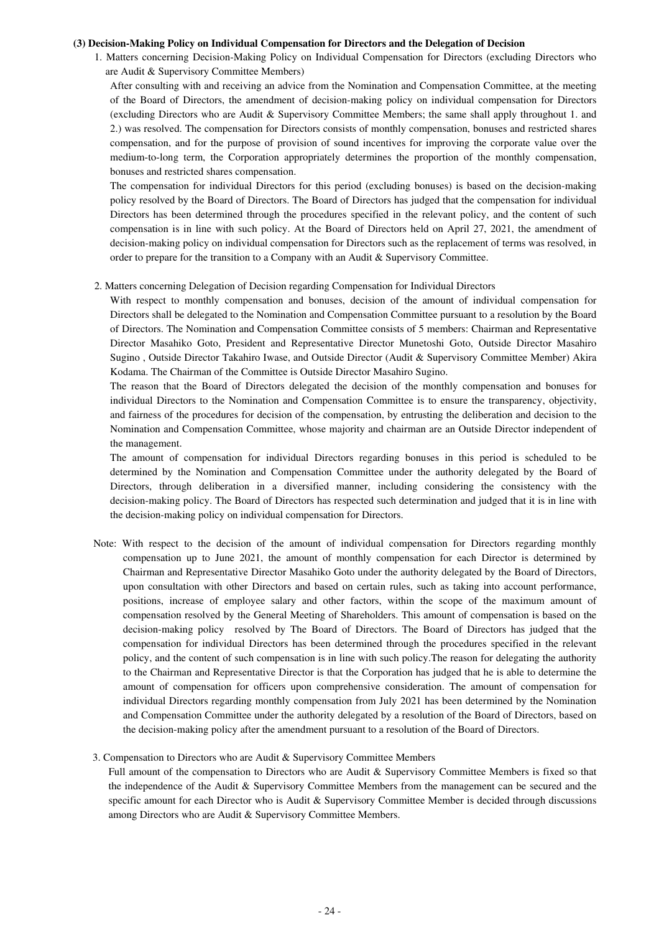#### **(3) Decision-Making Policy on Individual Compensation for Directors and the Delegation of Decision**

1. Matters concerning Decision-Making Policy on Individual Compensation for Directors (excluding Directors who are Audit & Supervisory Committee Members)

After consulting with and receiving an advice from the Nomination and Compensation Committee, at the meeting of the Board of Directors, the amendment of decision-making policy on individual compensation for Directors (excluding Directors who are Audit & Supervisory Committee Members; the same shall apply throughout 1. and 2.) was resolved. The compensation for Directors consists of monthly compensation, bonuses and restricted shares compensation, and for the purpose of provision of sound incentives for improving the corporate value over the medium-to-long term, the Corporation appropriately determines the proportion of the monthly compensation, bonuses and restricted shares compensation.

The compensation for individual Directors for this period (excluding bonuses) is based on the decision-making policy resolved by the Board of Directors. The Board of Directors has judged that the compensation for individual Directors has been determined through the procedures specified in the relevant policy, and the content of such compensation is in line with such policy. At the Board of Directors held on April 27, 2021, the amendment of decision-making policy on individual compensation for Directors such as the replacement of terms was resolved, in order to prepare for the transition to a Company with an Audit & Supervisory Committee.

# 2. Matters concerning Delegation of Decision regarding Compensation for Individual Directors

With respect to monthly compensation and bonuses, decision of the amount of individual compensation for Directors shall be delegated to the Nomination and Compensation Committee pursuant to a resolution by the Board of Directors. The Nomination and Compensation Committee consists of 5 members: Chairman and Representative Director Masahiko Goto, President and Representative Director Munetoshi Goto, Outside Director Masahiro Sugino , Outside Director Takahiro Iwase, and Outside Director (Audit & Supervisory Committee Member) Akira Kodama. The Chairman of the Committee is Outside Director Masahiro Sugino.

The reason that the Board of Directors delegated the decision of the monthly compensation and bonuses for individual Directors to the Nomination and Compensation Committee is to ensure the transparency, objectivity, and fairness of the procedures for decision of the compensation, by entrusting the deliberation and decision to the Nomination and Compensation Committee, whose majority and chairman are an Outside Director independent of the management.

The amount of compensation for individual Directors regarding bonuses in this period is scheduled to be determined by the Nomination and Compensation Committee under the authority delegated by the Board of Directors, through deliberation in a diversified manner, including considering the consistency with the decision-making policy. The Board of Directors has respected such determination and judged that it is in line with the decision-making policy on individual compensation for Directors.

Note: With respect to the decision of the amount of individual compensation for Directors regarding monthly compensation up to June 2021, the amount of monthly compensation for each Director is determined by Chairman and Representative Director Masahiko Goto under the authority delegated by the Board of Directors, upon consultation with other Directors and based on certain rules, such as taking into account performance, positions, increase of employee salary and other factors, within the scope of the maximum amount of compensation resolved by the General Meeting of Shareholders. This amount of compensation is based on the decision-making policy resolved by The Board of Directors. The Board of Directors has judged that the compensation for individual Directors has been determined through the procedures specified in the relevant policy, and the content of such compensation is in line with such policy.The reason for delegating the authority to the Chairman and Representative Director is that the Corporation has judged that he is able to determine the amount of compensation for officers upon comprehensive consideration. The amount of compensation for individual Directors regarding monthly compensation from July 2021 has been determined by the Nomination and Compensation Committee under the authority delegated by a resolution of the Board of Directors, based on the decision-making policy after the amendment pursuant to a resolution of the Board of Directors.

#### 3. Compensation to Directors who are Audit & Supervisory Committee Members

Full amount of the compensation to Directors who are Audit & Supervisory Committee Members is fixed so that the independence of the Audit & Supervisory Committee Members from the management can be secured and the specific amount for each Director who is Audit & Supervisory Committee Member is decided through discussions among Directors who are Audit & Supervisory Committee Members.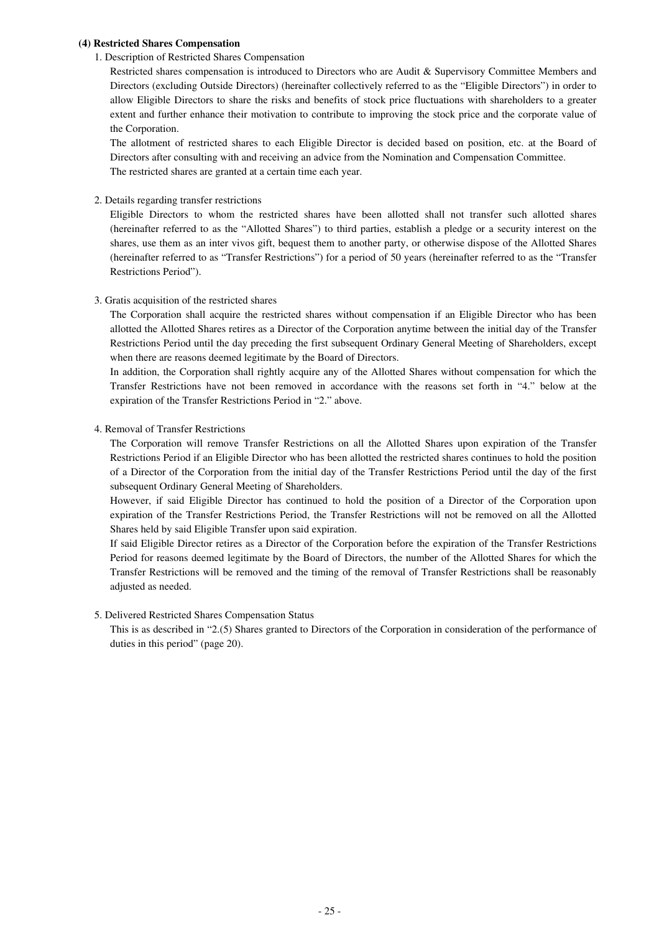## **(4) Restricted Shares Compensation**

# 1. Description of Restricted Shares Compensation

 Restricted shares compensation is introduced to Directors who are Audit & Supervisory Committee Members and Directors (excluding Outside Directors) (hereinafter collectively referred to as the "Eligible Directors") in order to allow Eligible Directors to share the risks and benefits of stock price fluctuations with shareholders to a greater extent and further enhance their motivation to contribute to improving the stock price and the corporate value of the Corporation.

 The allotment of restricted shares to each Eligible Director is decided based on position, etc. at the Board of Directors after consulting with and receiving an advice from the Nomination and Compensation Committee. The restricted shares are granted at a certain time each year.

# 2. Details regarding transfer restrictions

Eligible Directors to whom the restricted shares have been allotted shall not transfer such allotted shares (hereinafter referred to as the "Allotted Shares") to third parties, establish a pledge or a security interest on the shares, use them as an inter vivos gift, bequest them to another party, or otherwise dispose of the Allotted Shares (hereinafter referred to as "Transfer Restrictions") for a period of 50 years (hereinafter referred to as the "Transfer Restrictions Period").

# 3. Gratis acquisition of the restricted shares

The Corporation shall acquire the restricted shares without compensation if an Eligible Director who has been allotted the Allotted Shares retires as a Director of the Corporation anytime between the initial day of the Transfer Restrictions Period until the day preceding the first subsequent Ordinary General Meeting of Shareholders, except when there are reasons deemed legitimate by the Board of Directors.

In addition, the Corporation shall rightly acquire any of the Allotted Shares without compensation for which the Transfer Restrictions have not been removed in accordance with the reasons set forth in "4." below at the expiration of the Transfer Restrictions Period in "2." above.

# 4. Removal of Transfer Restrictions

The Corporation will remove Transfer Restrictions on all the Allotted Shares upon expiration of the Transfer Restrictions Period if an Eligible Director who has been allotted the restricted shares continues to hold the position of a Director of the Corporation from the initial day of the Transfer Restrictions Period until the day of the first subsequent Ordinary General Meeting of Shareholders.

However, if said Eligible Director has continued to hold the position of a Director of the Corporation upon expiration of the Transfer Restrictions Period, the Transfer Restrictions will not be removed on all the Allotted Shares held by said Eligible Transfer upon said expiration.

If said Eligible Director retires as a Director of the Corporation before the expiration of the Transfer Restrictions Period for reasons deemed legitimate by the Board of Directors, the number of the Allotted Shares for which the Transfer Restrictions will be removed and the timing of the removal of Transfer Restrictions shall be reasonably adjusted as needed.

## 5. Delivered Restricted Shares Compensation Status

 This is as described in "2.(5) Shares granted to Directors of the Corporation in consideration of the performance of duties in this period" (page 20).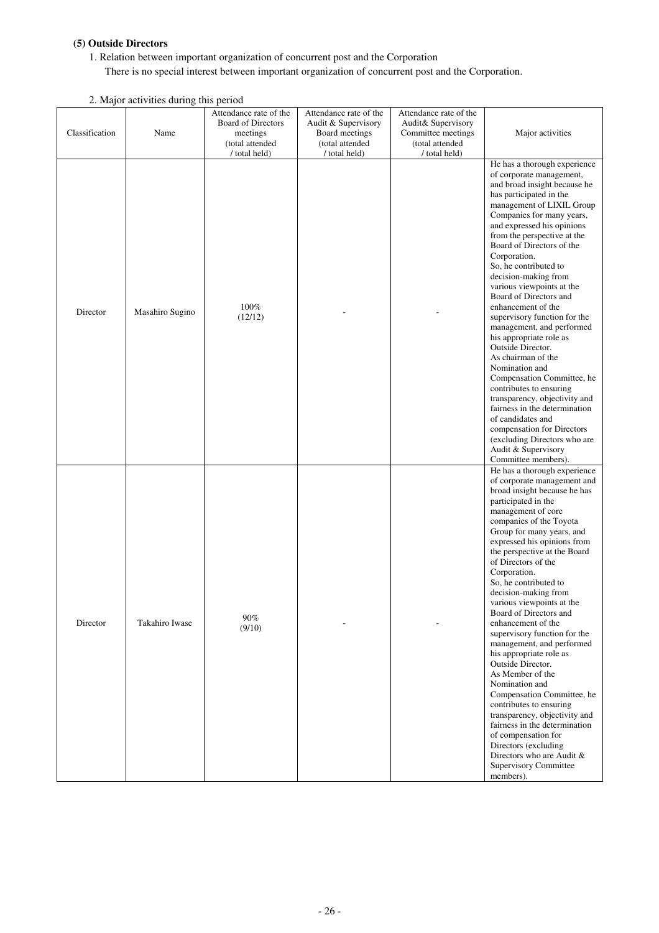# **(5) Outside Directors**

# 1. Relation between important organization of concurrent post and the Corporation

There is no special interest between important organization of concurrent post and the Corporation.

# 2. Major activities during this period

| Classification | Name            | Attendance rate of the<br><b>Board of Directors</b><br>meetings<br>(total attended<br>/ total held) | Attendance rate of the<br>Audit & Supervisory<br>Board meetings<br>(total attended<br>/ total held) | Attendance rate of the<br>Audit& Supervisory<br>Committee meetings<br>(total attended<br>/ total held) | Major activities                                                                                                                                                                                                                                                                                                                                                                                                                                                                                                                                                                                                                                                                                                                                                                                                                       |
|----------------|-----------------|-----------------------------------------------------------------------------------------------------|-----------------------------------------------------------------------------------------------------|--------------------------------------------------------------------------------------------------------|----------------------------------------------------------------------------------------------------------------------------------------------------------------------------------------------------------------------------------------------------------------------------------------------------------------------------------------------------------------------------------------------------------------------------------------------------------------------------------------------------------------------------------------------------------------------------------------------------------------------------------------------------------------------------------------------------------------------------------------------------------------------------------------------------------------------------------------|
| Director       | Masahiro Sugino | 100%<br>(12/12)                                                                                     |                                                                                                     |                                                                                                        | He has a thorough experience<br>of corporate management,<br>and broad insight because he<br>has participated in the<br>management of LIXIL Group<br>Companies for many years,<br>and expressed his opinions<br>from the perspective at the<br>Board of Directors of the<br>Corporation.<br>So, he contributed to<br>decision-making from<br>various viewpoints at the<br>Board of Directors and<br>enhancement of the<br>supervisory function for the<br>management, and performed<br>his appropriate role as<br>Outside Director.<br>As chairman of the<br>Nomination and<br>Compensation Committee, he<br>contributes to ensuring<br>transparency, objectivity and<br>fairness in the determination<br>of candidates and<br>compensation for Directors<br>(excluding Directors who are<br>Audit & Supervisory<br>Committee members). |
| Director       | Takahiro Iwase  | 90%<br>(9/10)                                                                                       |                                                                                                     |                                                                                                        | He has a thorough experience<br>of corporate management and<br>broad insight because he has<br>participated in the<br>management of core<br>companies of the Toyota<br>Group for many years, and<br>expressed his opinions from<br>the perspective at the Board<br>of Directors of the<br>Corporation.<br>So, he contributed to<br>decision-making from<br>various viewpoints at the<br>Board of Directors and<br>enhancement of the<br>supervisory function for the<br>management, and performed<br>his appropriate role as<br>Outside Director.<br>As Member of the<br>Nomination and<br>Compensation Committee, he<br>contributes to ensuring<br>transparency, objectivity and<br>fairness in the determination<br>of compensation for<br>Directors (excluding<br>Directors who are Audit &<br>Supervisory Committee<br>members).   |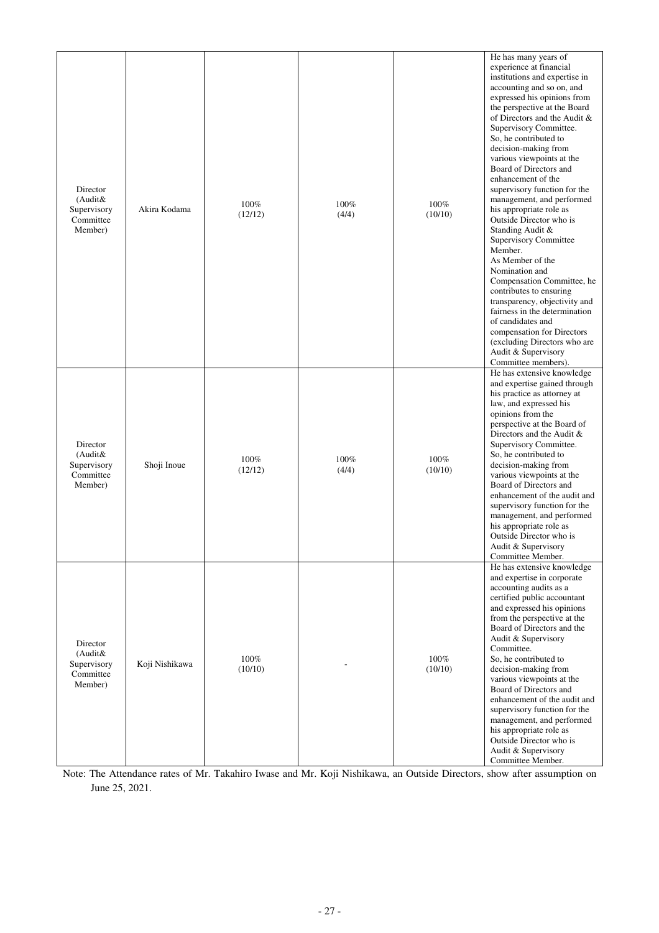| Director<br>(Audit&<br>Supervisory<br>Committee<br>Member) | Akira Kodama   | 100%<br>(12/12) | 100%<br>(4/4) | 100%<br>(10/10) | He has many years of<br>experience at financial<br>institutions and expertise in<br>accounting and so on, and<br>expressed his opinions from<br>the perspective at the Board<br>of Directors and the Audit &<br>Supervisory Committee.<br>So, he contributed to<br>decision-making from<br>various viewpoints at the<br>Board of Directors and<br>enhancement of the<br>supervisory function for the<br>management, and performed<br>his appropriate role as<br>Outside Director who is<br>Standing Audit &<br>Supervisory Committee<br>Member.<br>As Member of the<br>Nomination and<br>Compensation Committee, he<br>contributes to ensuring<br>transparency, objectivity and<br>fairness in the determination<br>of candidates and<br>compensation for Directors<br>(excluding Directors who are<br>Audit & Supervisory<br>Committee members). |
|------------------------------------------------------------|----------------|-----------------|---------------|-----------------|---------------------------------------------------------------------------------------------------------------------------------------------------------------------------------------------------------------------------------------------------------------------------------------------------------------------------------------------------------------------------------------------------------------------------------------------------------------------------------------------------------------------------------------------------------------------------------------------------------------------------------------------------------------------------------------------------------------------------------------------------------------------------------------------------------------------------------------------------|
| Director<br>(Audit&<br>Supervisory<br>Committee<br>Member) | Shoji Inoue    | 100%<br>(12/12) | 100%<br>(4/4) | 100%<br>(10/10) | He has extensive knowledge<br>and expertise gained through<br>his practice as attorney at<br>law, and expressed his<br>opinions from the<br>perspective at the Board of<br>Directors and the Audit &<br>Supervisory Committee.<br>So, he contributed to<br>decision-making from<br>various viewpoints at the<br>Board of Directors and<br>enhancement of the audit and<br>supervisory function for the<br>management, and performed<br>his appropriate role as<br>Outside Director who is<br>Audit & Supervisory<br>Committee Member.                                                                                                                                                                                                                                                                                                             |
| Director<br>(Audit&<br>Supervisory<br>Committee<br>Member) | Koji Nishikawa | 100%<br>(10/10) |               | 100%<br>(10/10) | He has extensive knowledge<br>and expertise in corporate<br>accounting audits as a<br>certified public accountant<br>and expressed his opinions<br>from the perspective at the<br>Board of Directors and the<br>Audit & Supervisory<br>Committee.<br>So, he contributed to<br>decision-making from<br>various viewpoints at the<br>Board of Directors and<br>enhancement of the audit and<br>supervisory function for the<br>management, and performed<br>his appropriate role as<br>Outside Director who is<br>Audit & Supervisory<br>Committee Member.                                                                                                                                                                                                                                                                                          |

Note: The Attendance rates of Mr. Takahiro Iwase and Mr. Koji Nishikawa, an Outside Directors, show after assumption on June 25, 2021.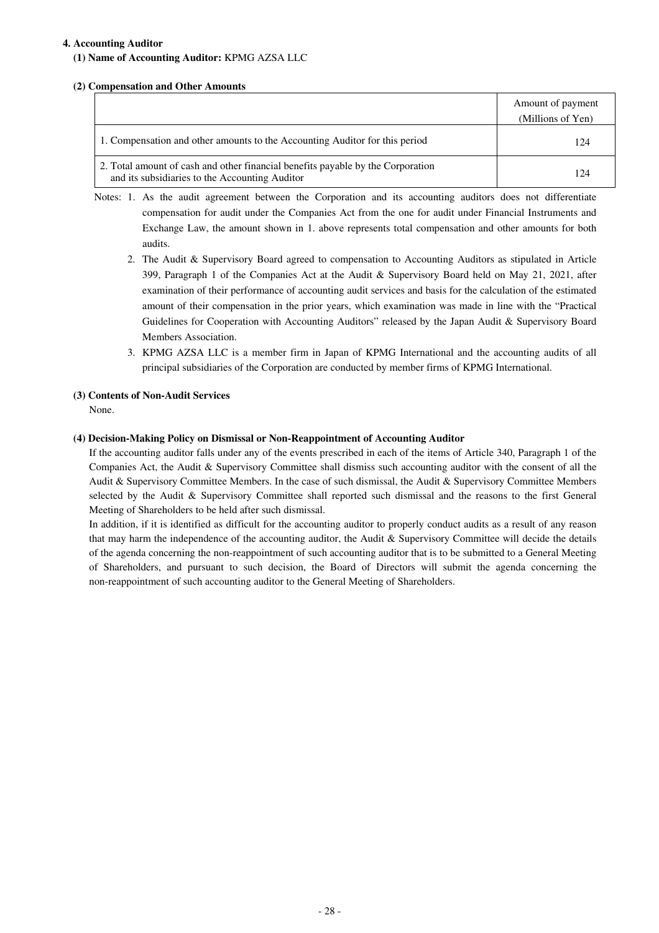# **4. Accounting Auditor**

# **(1) Name of Accounting Auditor:** KPMG AZSA LLC

## **(2) Compensation and Other Amounts**

|                                                                                                                                   | Amount of payment<br>(Millions of Yen) |
|-----------------------------------------------------------------------------------------------------------------------------------|----------------------------------------|
| 1. Compensation and other amounts to the Accounting Auditor for this period                                                       | 124                                    |
| 2. Total amount of cash and other financial benefits payable by the Corporation<br>and its subsidiaries to the Accounting Auditor | 124                                    |

- Notes: 1. As the audit agreement between the Corporation and its accounting auditors does not differentiate compensation for audit under the Companies Act from the one for audit under Financial Instruments and Exchange Law, the amount shown in 1. above represents total compensation and other amounts for both audits.
	- 2. The Audit & Supervisory Board agreed to compensation to Accounting Auditors as stipulated in Article 399, Paragraph 1 of the Companies Act at the Audit & Supervisory Board held on May 21, 2021, after examination of their performance of accounting audit services and basis for the calculation of the estimated amount of their compensation in the prior years, which examination was made in line with the "Practical Guidelines for Cooperation with Accounting Auditors" released by the Japan Audit & Supervisory Board Members Association.
	- 3. KPMG AZSA LLC is a member firm in Japan of KPMG International and the accounting audits of all principal subsidiaries of the Corporation are conducted by member firms of KPMG International.

# **(3) Contents of Non-Audit Services**

None.

# **(4) Decision-Making Policy on Dismissal or Non-Reappointment of Accounting Auditor**

If the accounting auditor falls under any of the events prescribed in each of the items of Article 340, Paragraph 1 of the Companies Act, the Audit & Supervisory Committee shall dismiss such accounting auditor with the consent of all the Audit & Supervisory Committee Members. In the case of such dismissal, the Audit & Supervisory Committee Members selected by the Audit & Supervisory Committee shall reported such dismissal and the reasons to the first General Meeting of Shareholders to be held after such dismissal.

In addition, if it is identified as difficult for the accounting auditor to properly conduct audits as a result of any reason that may harm the independence of the accounting auditor, the Audit & Supervisory Committee will decide the details of the agenda concerning the non-reappointment of such accounting auditor that is to be submitted to a General Meeting of Shareholders, and pursuant to such decision, the Board of Directors will submit the agenda concerning the non-reappointment of such accounting auditor to the General Meeting of Shareholders.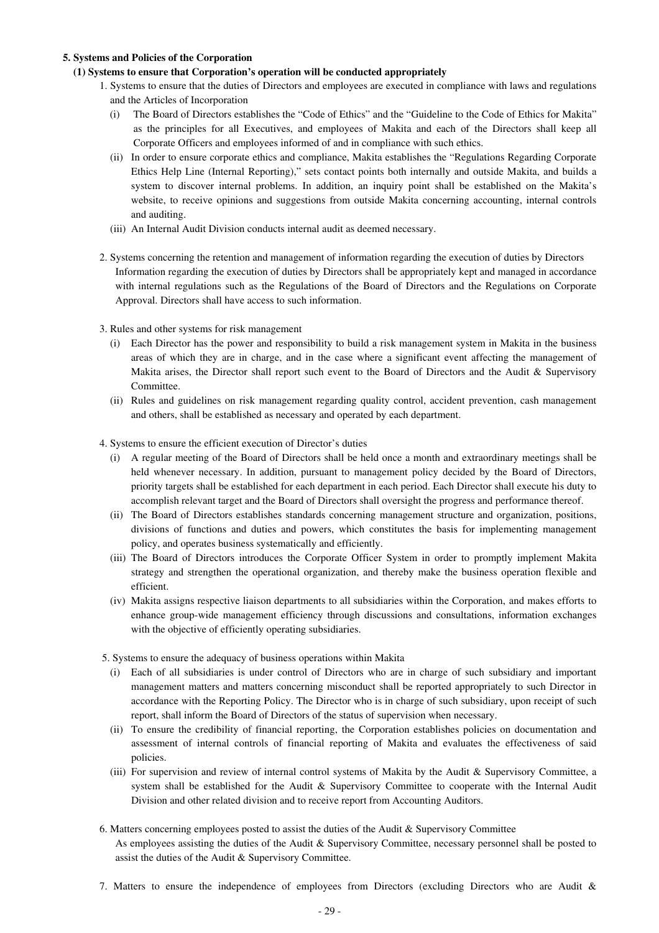# **5. Systems and Policies of the Corporation**

## **(1) Systems to ensure that Corporation's operation will be conducted appropriately**

- 1. Systems to ensure that the duties of Directors and employees are executed in compliance with laws and regulations and the Articles of Incorporation
	- (i) The Board of Directors establishes the "Code of Ethics" and the "Guideline to the Code of Ethics for Makita" as the principles for all Executives, and employees of Makita and each of the Directors shall keep all Corporate Officers and employees informed of and in compliance with such ethics.
	- (ii) In order to ensure corporate ethics and compliance, Makita establishes the "Regulations Regarding Corporate Ethics Help Line (Internal Reporting)," sets contact points both internally and outside Makita, and builds a system to discover internal problems. In addition, an inquiry point shall be established on the Makita's website, to receive opinions and suggestions from outside Makita concerning accounting, internal controls and auditing.
	- (iii) An Internal Audit Division conducts internal audit as deemed necessary.
- 2. Systems concerning the retention and management of information regarding the execution of duties by Directors Information regarding the execution of duties by Directors shall be appropriately kept and managed in accordance with internal regulations such as the Regulations of the Board of Directors and the Regulations on Corporate Approval. Directors shall have access to such information.
- 3. Rules and other systems for risk management
	- (i) Each Director has the power and responsibility to build a risk management system in Makita in the business areas of which they are in charge, and in the case where a significant event affecting the management of Makita arises, the Director shall report such event to the Board of Directors and the Audit & Supervisory Committee.
	- (ii) Rules and guidelines on risk management regarding quality control, accident prevention, cash management and others, shall be established as necessary and operated by each department.
- 4. Systems to ensure the efficient execution of Director's duties
	- (i) A regular meeting of the Board of Directors shall be held once a month and extraordinary meetings shall be held whenever necessary. In addition, pursuant to management policy decided by the Board of Directors, priority targets shall be established for each department in each period. Each Director shall execute his duty to accomplish relevant target and the Board of Directors shall oversight the progress and performance thereof.
	- (ii) The Board of Directors establishes standards concerning management structure and organization, positions, divisions of functions and duties and powers, which constitutes the basis for implementing management policy, and operates business systematically and efficiently.
	- (iii) The Board of Directors introduces the Corporate Officer System in order to promptly implement Makita strategy and strengthen the operational organization, and thereby make the business operation flexible and efficient.
	- (iv) Makita assigns respective liaison departments to all subsidiaries within the Corporation, and makes efforts to enhance group-wide management efficiency through discussions and consultations, information exchanges with the objective of efficiently operating subsidiaries.
- 5. Systems to ensure the adequacy of business operations within Makita
	- (i) Each of all subsidiaries is under control of Directors who are in charge of such subsidiary and important management matters and matters concerning misconduct shall be reported appropriately to such Director in accordance with the Reporting Policy. The Director who is in charge of such subsidiary, upon receipt of such report, shall inform the Board of Directors of the status of supervision when necessary.
	- (ii) To ensure the credibility of financial reporting, the Corporation establishes policies on documentation and assessment of internal controls of financial reporting of Makita and evaluates the effectiveness of said policies.
	- (iii) For supervision and review of internal control systems of Makita by the Audit & Supervisory Committee, a system shall be established for the Audit & Supervisory Committee to cooperate with the Internal Audit Division and other related division and to receive report from Accounting Auditors.
- 6. Matters concerning employees posted to assist the duties of the Audit & Supervisory Committee

As employees assisting the duties of the Audit & Supervisory Committee, necessary personnel shall be posted to assist the duties of the Audit & Supervisory Committee.

7. Matters to ensure the independence of employees from Directors (excluding Directors who are Audit &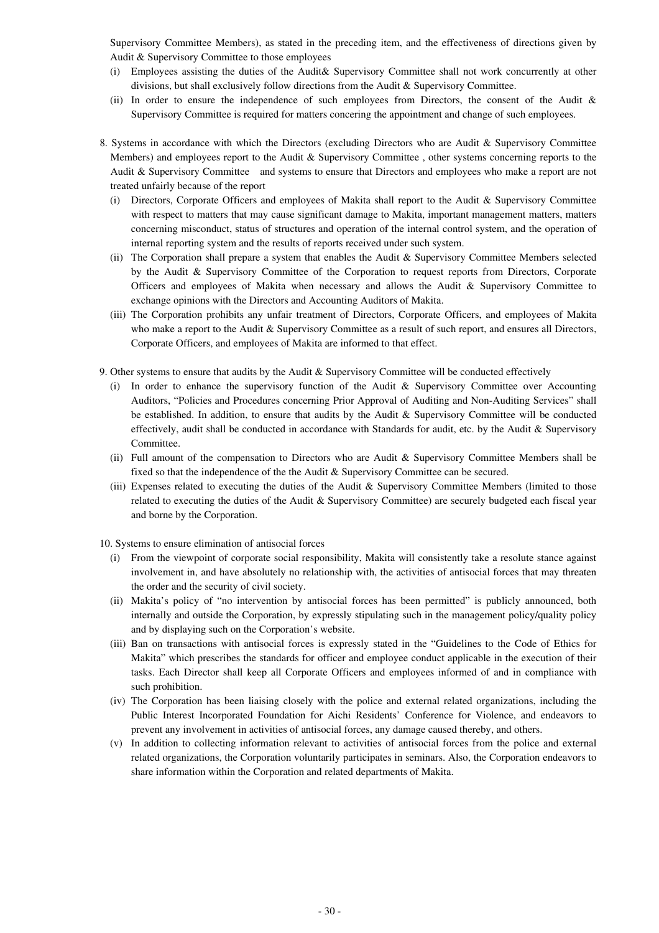Supervisory Committee Members), as stated in the preceding item, and the effectiveness of directions given by Audit & Supervisory Committee to those employees

- (i) Employees assisting the duties of the Audit& Supervisory Committee shall not work concurrently at other divisions, but shall exclusively follow directions from the Audit & Supervisory Committee.
- (ii) In order to ensure the independence of such employees from Directors, the consent of the Audit & Supervisory Committee is required for matters concering the appointment and change of such employees.
- 8. Systems in accordance with which the Directors (excluding Directors who are Audit & Supervisory Committee Members) and employees report to the Audit & Supervisory Committee , other systems concerning reports to the Audit & Supervisory Committee and systems to ensure that Directors and employees who make a report are not treated unfairly because of the report
	- (i) Directors, Corporate Officers and employees of Makita shall report to the Audit & Supervisory Committee with respect to matters that may cause significant damage to Makita, important management matters, matters concerning misconduct, status of structures and operation of the internal control system, and the operation of internal reporting system and the results of reports received under such system.
	- (ii) The Corporation shall prepare a system that enables the Audit & Supervisory Committee Members selected by the Audit & Supervisory Committee of the Corporation to request reports from Directors, Corporate Officers and employees of Makita when necessary and allows the Audit & Supervisory Committee to exchange opinions with the Directors and Accounting Auditors of Makita.
	- (iii) The Corporation prohibits any unfair treatment of Directors, Corporate Officers, and employees of Makita who make a report to the Audit & Supervisory Committee as a result of such report, and ensures all Directors, Corporate Officers, and employees of Makita are informed to that effect.
- 9. Other systems to ensure that audits by the Audit & Supervisory Committee will be conducted effectively
	- (i) In order to enhance the supervisory function of the Audit & Supervisory Committee over Accounting Auditors, "Policies and Procedures concerning Prior Approval of Auditing and Non-Auditing Services" shall be established. In addition, to ensure that audits by the Audit & Supervisory Committee will be conducted effectively, audit shall be conducted in accordance with Standards for audit, etc. by the Audit & Supervisory Committee.
	- (ii) Full amount of the compensation to Directors who are Audit & Supervisory Committee Members shall be fixed so that the independence of the the Audit & Supervisory Committee can be secured.
	- (iii) Expenses related to executing the duties of the Audit & Supervisory Committee Members (limited to those related to executing the duties of the Audit & Supervisory Committee) are securely budgeted each fiscal year and borne by the Corporation.

10. Systems to ensure elimination of antisocial forces

- (i) From the viewpoint of corporate social responsibility, Makita will consistently take a resolute stance against involvement in, and have absolutely no relationship with, the activities of antisocial forces that may threaten the order and the security of civil society.
- (ii) Makita's policy of "no intervention by antisocial forces has been permitted" is publicly announced, both internally and outside the Corporation, by expressly stipulating such in the management policy/quality policy and by displaying such on the Corporation's website.
- (iii) Ban on transactions with antisocial forces is expressly stated in the "Guidelines to the Code of Ethics for Makita" which prescribes the standards for officer and employee conduct applicable in the execution of their tasks. Each Director shall keep all Corporate Officers and employees informed of and in compliance with such prohibition.
- (iv) The Corporation has been liaising closely with the police and external related organizations, including the Public Interest Incorporated Foundation for Aichi Residents' Conference for Violence, and endeavors to prevent any involvement in activities of antisocial forces, any damage caused thereby, and others.
- (v) In addition to collecting information relevant to activities of antisocial forces from the police and external related organizations, the Corporation voluntarily participates in seminars. Also, the Corporation endeavors to share information within the Corporation and related departments of Makita.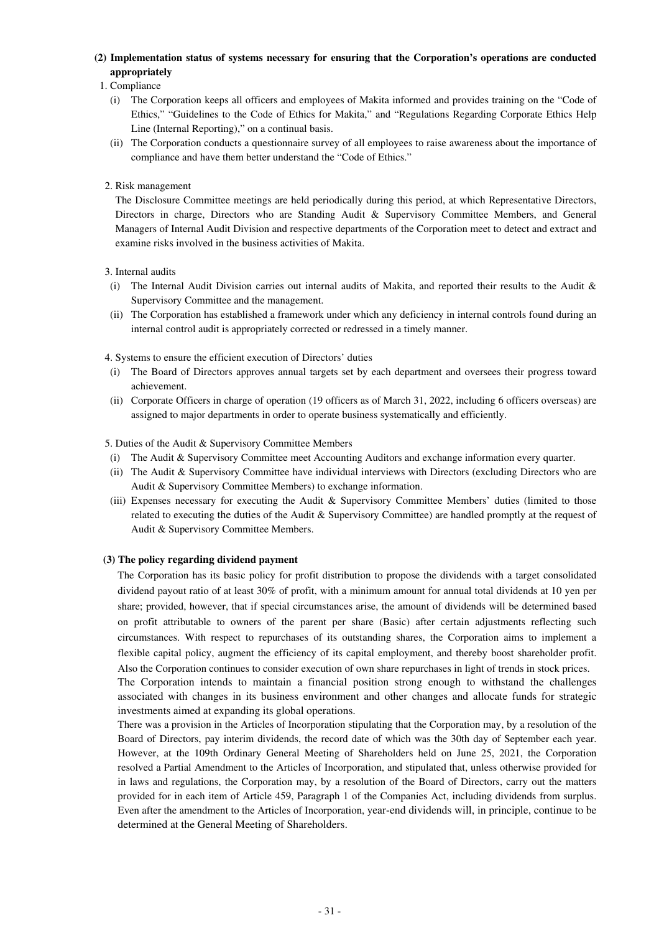**(2) Implementation status of systems necessary for ensuring that the Corporation's operations are conducted appropriately** 

# 1. Compliance

- (i) The Corporation keeps all officers and employees of Makita informed and provides training on the "Code of Ethics," "Guidelines to the Code of Ethics for Makita," and "Regulations Regarding Corporate Ethics Help Line (Internal Reporting)," on a continual basis.
- (ii) The Corporation conducts a questionnaire survey of all employees to raise awareness about the importance of compliance and have them better understand the "Code of Ethics."

# 2. Risk management

The Disclosure Committee meetings are held periodically during this period, at which Representative Directors, Directors in charge, Directors who are Standing Audit & Supervisory Committee Members, and General Managers of Internal Audit Division and respective departments of the Corporation meet to detect and extract and examine risks involved in the business activities of Makita.

# 3. Internal audits

- (i) The Internal Audit Division carries out internal audits of Makita, and reported their results to the Audit & Supervisory Committee and the management.
- (ii) The Corporation has established a framework under which any deficiency in internal controls found during an internal control audit is appropriately corrected or redressed in a timely manner.

4. Systems to ensure the efficient execution of Directors' duties

- (i) The Board of Directors approves annual targets set by each department and oversees their progress toward achievement.
- (ii) Corporate Officers in charge of operation (19 officers as of March 31, 2022, including 6 officers overseas) are assigned to major departments in order to operate business systematically and efficiently.

# 5. Duties of the Audit & Supervisory Committee Members

- (i) The Audit & Supervisory Committee meet Accounting Auditors and exchange information every quarter.
- (ii) The Audit & Supervisory Committee have individual interviews with Directors (excluding Directors who are Audit & Supervisory Committee Members) to exchange information.
- (iii) Expenses necessary for executing the Audit & Supervisory Committee Members' duties (limited to those related to executing the duties of the Audit & Supervisory Committee) are handled promptly at the request of Audit & Supervisory Committee Members.

# **(3) The policy regarding dividend payment**

The Corporation has its basic policy for profit distribution to propose the dividends with a target consolidated dividend payout ratio of at least 30% of profit, with a minimum amount for annual total dividends at 10 yen per share; provided, however, that if special circumstances arise, the amount of dividends will be determined based on profit attributable to owners of the parent per share (Basic) after certain adjustments reflecting such circumstances. With respect to repurchases of its outstanding shares, the Corporation aims to implement a flexible capital policy, augment the efficiency of its capital employment, and thereby boost shareholder profit. Also the Corporation continues to consider execution of own share repurchases in light of trends in stock prices.

The Corporation intends to maintain a financial position strong enough to withstand the challenges associated with changes in its business environment and other changes and allocate funds for strategic investments aimed at expanding its global operations.

There was a provision in the Articles of Incorporation stipulating that the Corporation may, by a resolution of the Board of Directors, pay interim dividends, the record date of which was the 30th day of September each year. However, at the 109th Ordinary General Meeting of Shareholders held on June 25, 2021, the Corporation resolved a Partial Amendment to the Articles of Incorporation, and stipulated that, unless otherwise provided for in laws and regulations, the Corporation may, by a resolution of the Board of Directors, carry out the matters provided for in each item of Article 459, Paragraph 1 of the Companies Act, including dividends from surplus. Even after the amendment to the Articles of Incorporation, year-end dividends will, in principle, continue to be determined at the General Meeting of Shareholders.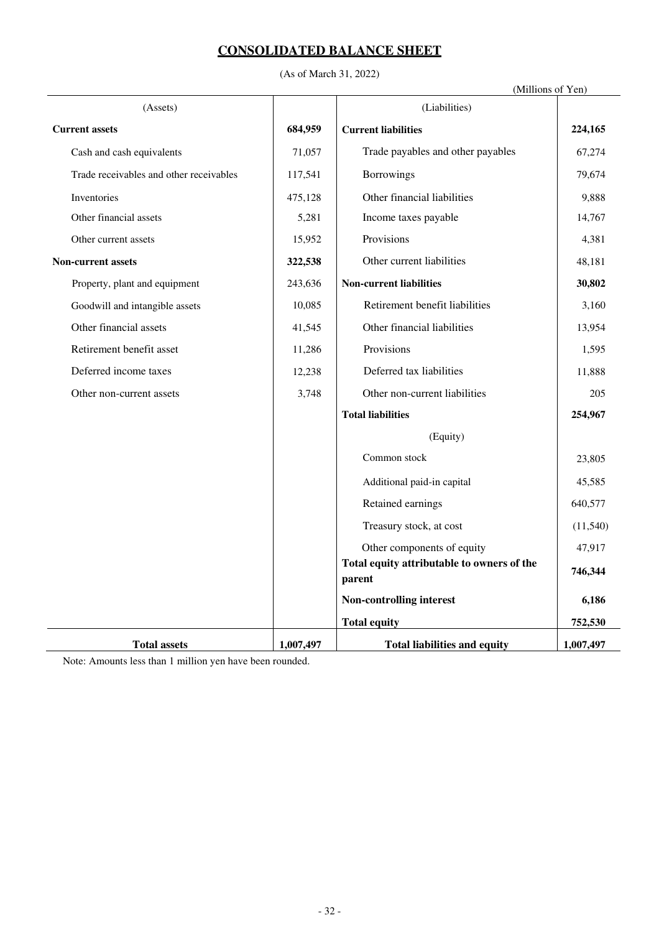# **CONSOLIDATED BALANCE SHEET**

(As of March 31, 2022)

|                                         |           | (Millions of Yen)                                    |           |
|-----------------------------------------|-----------|------------------------------------------------------|-----------|
| (Assets)                                |           | (Liabilities)                                        |           |
| <b>Current assets</b>                   | 684,959   | <b>Current liabilities</b>                           | 224,165   |
| Cash and cash equivalents               | 71,057    | Trade payables and other payables                    | 67,274    |
| Trade receivables and other receivables | 117,541   | Borrowings                                           | 79,674    |
| Inventories                             | 475,128   | Other financial liabilities                          | 9,888     |
| Other financial assets                  | 5,281     | Income taxes payable                                 | 14,767    |
| Other current assets                    | 15,952    | Provisions                                           | 4,381     |
| <b>Non-current assets</b>               | 322,538   | Other current liabilities                            | 48,181    |
| Property, plant and equipment           | 243,636   | <b>Non-current liabilities</b>                       | 30,802    |
| Goodwill and intangible assets          | 10,085    | Retirement benefit liabilities                       | 3,160     |
| Other financial assets                  | 41,545    | Other financial liabilities                          | 13,954    |
| Retirement benefit asset                | 11,286    | Provisions                                           | 1,595     |
| Deferred income taxes                   | 12,238    | Deferred tax liabilities                             | 11,888    |
| Other non-current assets                | 3,748     | Other non-current liabilities                        | 205       |
|                                         |           | <b>Total liabilities</b>                             | 254,967   |
|                                         |           | (Equity)                                             |           |
|                                         |           | Common stock                                         | 23,805    |
|                                         |           | Additional paid-in capital                           | 45,585    |
|                                         |           | Retained earnings                                    | 640,577   |
|                                         |           | Treasury stock, at cost                              | (11,540)  |
|                                         |           | Other components of equity                           | 47,917    |
|                                         |           | Total equity attributable to owners of the<br>parent | 746,344   |
|                                         |           | Non-controlling interest                             | 6,186     |
|                                         |           | <b>Total equity</b>                                  | 752,530   |
| <b>Total assets</b>                     | 1,007,497 | <b>Total liabilities and equity</b>                  | 1,007,497 |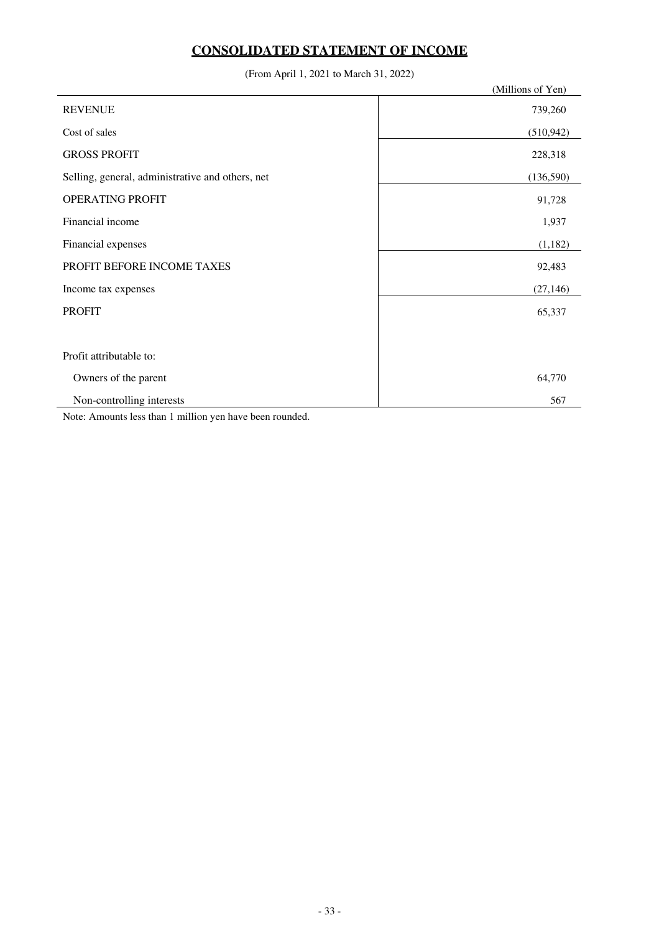# **CONSOLIDATED STATEMENT OF INCOME**

(From April 1, 2021 to March 31, 2022)

|                                                  | (Millions of Yen) |
|--------------------------------------------------|-------------------|
| <b>REVENUE</b>                                   | 739,260           |
| Cost of sales                                    | (510, 942)        |
| <b>GROSS PROFIT</b>                              | 228,318           |
| Selling, general, administrative and others, net | (136,590)         |
| OPERATING PROFIT                                 | 91,728            |
| Financial income                                 | 1,937             |
| Financial expenses                               | (1,182)           |
| PROFIT BEFORE INCOME TAXES                       | 92,483            |
| Income tax expenses                              | (27, 146)         |
| <b>PROFIT</b>                                    | 65,337            |
|                                                  |                   |
| Profit attributable to:                          |                   |
| Owners of the parent                             | 64,770            |
| Non-controlling interests                        | 567               |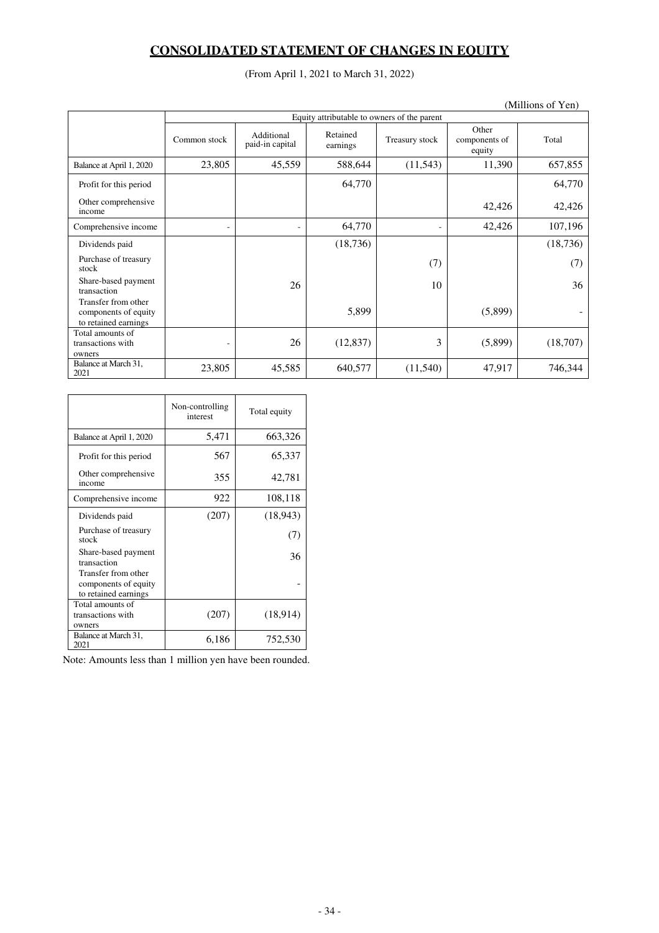# **CONSOLIDATED STATEMENT OF CHANGES IN EQUITY**

(From April 1, 2021 to March 31, 2022)

| (IVIIIIIOIIS OL TEIL)                                               |                                             |                               |                      |                |                                  |           |  |  |
|---------------------------------------------------------------------|---------------------------------------------|-------------------------------|----------------------|----------------|----------------------------------|-----------|--|--|
|                                                                     | Equity attributable to owners of the parent |                               |                      |                |                                  |           |  |  |
|                                                                     | Common stock                                | Additional<br>paid-in capital | Retained<br>earnings | Treasury stock | Other<br>components of<br>equity | Total     |  |  |
| Balance at April 1, 2020                                            | 23,805                                      | 45,559                        | 588,644              | (11, 543)      | 11,390                           | 657,855   |  |  |
| Profit for this period                                              |                                             |                               | 64,770               |                |                                  | 64,770    |  |  |
| Other comprehensive<br>income                                       |                                             |                               |                      |                | 42,426                           | 42,426    |  |  |
| Comprehensive income                                                | ۰                                           | $\overline{\phantom{a}}$      | 64,770               |                | 42,426                           | 107,196   |  |  |
| Dividends paid                                                      |                                             |                               | (18, 736)            |                |                                  | (18, 736) |  |  |
| Purchase of treasury<br>stock                                       |                                             |                               |                      | (7)            |                                  | (7)       |  |  |
| Share-based payment<br>transaction                                  |                                             | 26                            |                      | 10             |                                  | 36        |  |  |
| Transfer from other<br>components of equity<br>to retained earnings |                                             |                               | 5,899                |                | (5,899)                          |           |  |  |
| Total amounts of<br>transactions with<br>owners                     | ۰                                           | 26                            | (12, 837)            | 3              | (5,899)                          | (18,707)  |  |  |
| Balance at March 31,<br>2021                                        | 23,805                                      | 45,585                        | 640,577              | (11,540)       | 47,917                           | 746,344   |  |  |

|                                                                     | Non-controlling<br>interest | Total equity |
|---------------------------------------------------------------------|-----------------------------|--------------|
| Balance at April 1, 2020                                            | 5,471                       | 663,326      |
| Profit for this period                                              | 567                         | 65,337       |
| Other comprehensive<br>income                                       | 355                         | 42,781       |
| Comprehensive income                                                | 922                         | 108,118      |
| Dividends paid                                                      | (207)                       | (18, 943)    |
| Purchase of treasury<br>stock                                       |                             | (7)          |
| Share-based payment<br>transaction                                  |                             | 36           |
| Transfer from other<br>components of equity<br>to retained earnings |                             |              |
| Total amounts of<br>transactions with<br>owners                     | (207)                       | (18,914)     |
| Balance at March 31,<br>2021                                        | 6,186                       | 752,530      |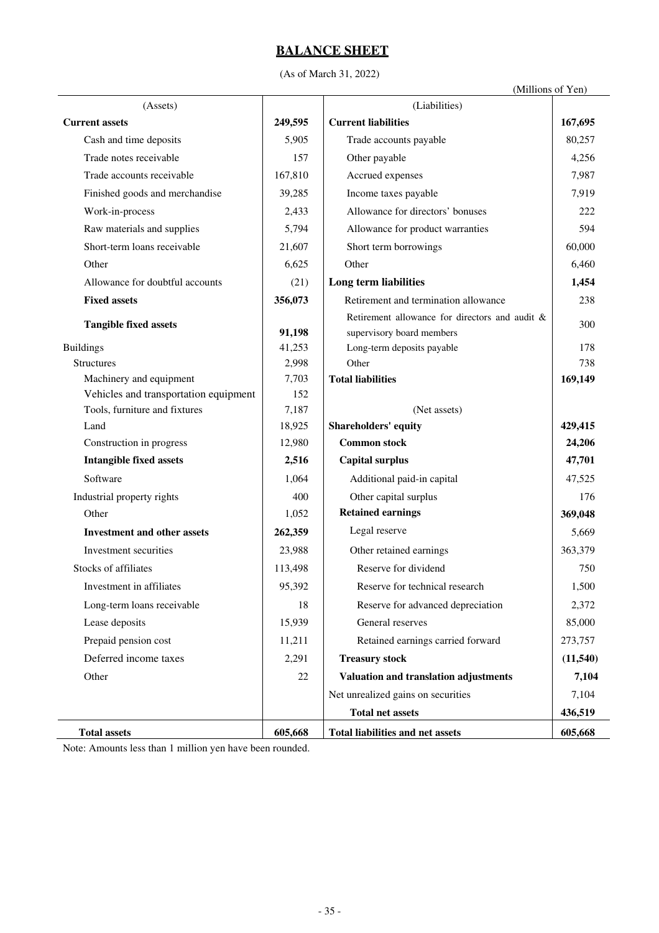# **BALANCE SHEET**

# (As of March 31, 2022)

|                                       |         | (Millions of Yen)                              |          |  |
|---------------------------------------|---------|------------------------------------------------|----------|--|
| (Assets)                              |         | (Liabilities)                                  |          |  |
| <b>Current assets</b>                 | 249,595 | <b>Current liabilities</b>                     | 167,695  |  |
| Cash and time deposits                | 5,905   | Trade accounts payable                         | 80,257   |  |
| Trade notes receivable                | 157     | Other payable                                  | 4,256    |  |
| Trade accounts receivable             | 167,810 | Accrued expenses                               | 7,987    |  |
| Finished goods and merchandise        | 39,285  | Income taxes payable                           | 7,919    |  |
| Work-in-process                       | 2,433   | Allowance for directors' bonuses               | 222      |  |
| Raw materials and supplies            | 5,794   | Allowance for product warranties               | 594      |  |
| Short-term loans receivable           | 21,607  | Short term borrowings                          | 60,000   |  |
| Other                                 | 6,625   | Other                                          | 6,460    |  |
| Allowance for doubtful accounts       | (21)    | Long term liabilities                          | 1,454    |  |
| <b>Fixed assets</b>                   | 356,073 | Retirement and termination allowance           | 238      |  |
|                                       |         | Retirement allowance for directors and audit & |          |  |
| <b>Tangible fixed assets</b>          | 91,198  | supervisory board members                      | 300      |  |
| <b>Buildings</b>                      | 41,253  | Long-term deposits payable                     | 178      |  |
| <b>Structures</b>                     | 2,998   | Other                                          | 738      |  |
| Machinery and equipment               | 7,703   | <b>Total liabilities</b>                       | 169,149  |  |
| Vehicles and transportation equipment | 152     |                                                |          |  |
| Tools, furniture and fixtures         | 7,187   | (Net assets)                                   |          |  |
| Land                                  | 18,925  | <b>Shareholders' equity</b>                    | 429,415  |  |
| Construction in progress              | 12,980  | <b>Common stock</b>                            | 24,206   |  |
| <b>Intangible fixed assets</b>        | 2,516   | <b>Capital surplus</b>                         | 47,701   |  |
| Software                              | 1,064   | Additional paid-in capital                     | 47,525   |  |
| Industrial property rights            | 400     | Other capital surplus                          | 176      |  |
| Other                                 | 1,052   | <b>Retained earnings</b>                       | 369,048  |  |
| <b>Investment and other assets</b>    | 262,359 | Legal reserve                                  | 5,669    |  |
| Investment securities                 | 23,988  | Other retained earnings                        | 363,379  |  |
| Stocks of affiliates                  | 113,498 | Reserve for dividend                           | 750      |  |
| Investment in affiliates              | 95,392  | Reserve for technical research                 | 1,500    |  |
| Long-term loans receivable            | 18      | Reserve for advanced depreciation              | 2,372    |  |
| Lease deposits                        | 15,939  | General reserves                               | 85,000   |  |
| Prepaid pension cost                  | 11,211  | Retained earnings carried forward              | 273,757  |  |
| Deferred income taxes                 | 2,291   | <b>Treasury stock</b>                          | (11,540) |  |
| Other                                 | 22      | <b>Valuation and translation adjustments</b>   | 7,104    |  |
|                                       |         | Net unrealized gains on securities             | 7,104    |  |
|                                       |         | <b>Total net assets</b>                        | 436,519  |  |
| <b>Total assets</b>                   | 605,668 | <b>Total liabilities and net assets</b>        | 605,668  |  |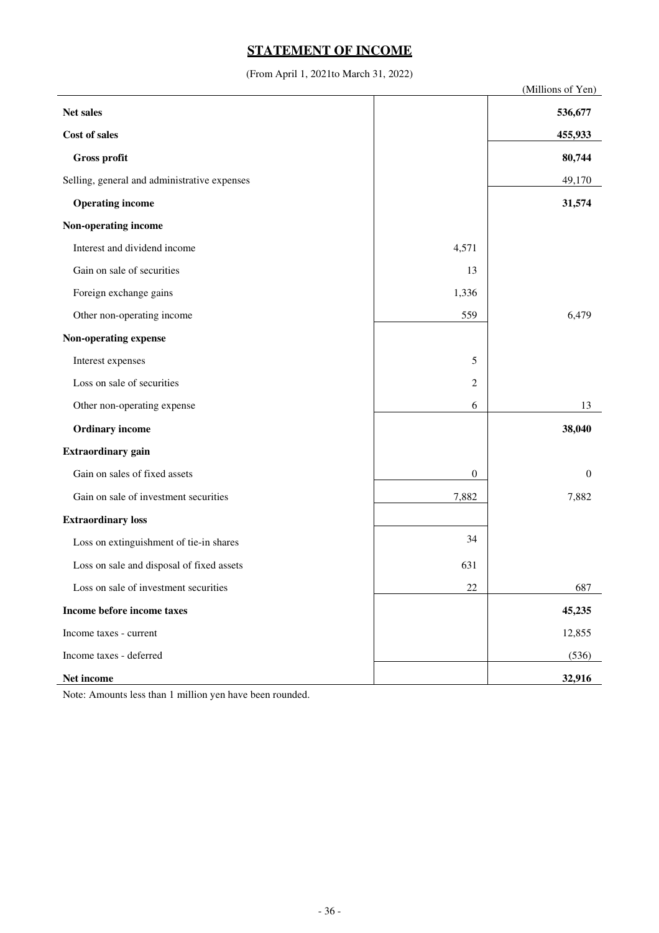# **STATEMENT OF INCOME**

# (From April 1, 2021to March 31, 2022)

|                                              |              | (Millions of Yen) |
|----------------------------------------------|--------------|-------------------|
| Net sales                                    |              | 536,677           |
| Cost of sales                                |              | 455,933           |
| Gross profit                                 |              | 80,744            |
| Selling, general and administrative expenses |              | 49,170            |
| <b>Operating income</b>                      |              | 31,574            |
| Non-operating income                         |              |                   |
| Interest and dividend income                 | 4,571        |                   |
| Gain on sale of securities                   | 13           |                   |
| Foreign exchange gains                       | 1,336        |                   |
| Other non-operating income                   | 559          | 6,479             |
| Non-operating expense                        |              |                   |
| Interest expenses                            | 5            |                   |
| Loss on sale of securities                   | 2            |                   |
| Other non-operating expense                  | 6            | 13                |
| <b>Ordinary income</b>                       |              | 38,040            |
| <b>Extraordinary</b> gain                    |              |                   |
| Gain on sales of fixed assets                | $\mathbf{0}$ | $\theta$          |
| Gain on sale of investment securities        | 7,882        | 7,882             |
| <b>Extraordinary loss</b>                    |              |                   |
| Loss on extinguishment of tie-in shares      | 34           |                   |
| Loss on sale and disposal of fixed assets    | 631          |                   |
| Loss on sale of investment securities        | 22           | 687               |
| Income before income taxes                   |              | 45,235            |
| Income taxes - current                       |              | 12,855            |
| Income taxes - deferred                      |              | (536)             |
| Net income                                   |              | 32,916            |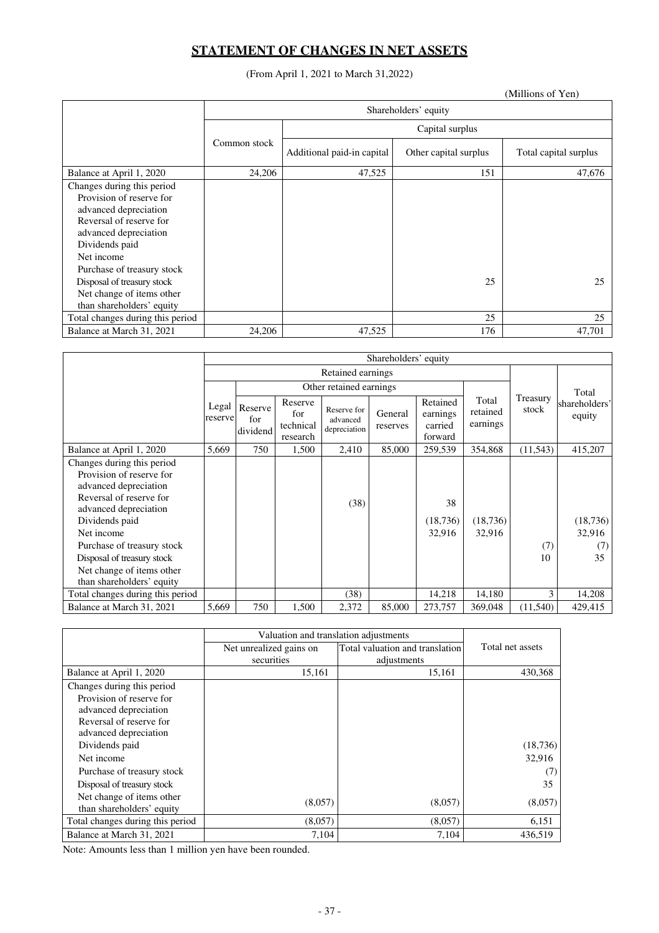# **STATEMENT OF CHANGES IN NET ASSETS**

(From April 1, 2021 to March 31,2022)

|                                  |                      |                            |                       | (Millions of Yen)     |  |  |
|----------------------------------|----------------------|----------------------------|-----------------------|-----------------------|--|--|
|                                  | Shareholders' equity |                            |                       |                       |  |  |
|                                  |                      |                            |                       |                       |  |  |
|                                  | Common stock         | Additional paid-in capital | Other capital surplus | Total capital surplus |  |  |
| Balance at April 1, 2020         | 24,206               | 47,525                     | 151                   | 47,676                |  |  |
| Changes during this period       |                      |                            |                       |                       |  |  |
| Provision of reserve for         |                      |                            |                       |                       |  |  |
| advanced depreciation            |                      |                            |                       |                       |  |  |
| Reversal of reserve for          |                      |                            |                       |                       |  |  |
| advanced depreciation            |                      |                            |                       |                       |  |  |
| Dividends paid                   |                      |                            |                       |                       |  |  |
| Net income                       |                      |                            |                       |                       |  |  |
| Purchase of treasury stock       |                      |                            |                       |                       |  |  |
| Disposal of treasury stock       |                      |                            | 25                    | 25                    |  |  |
| Net change of items other        |                      |                            |                       |                       |  |  |
| than shareholders' equity        |                      |                            |                       |                       |  |  |
| Total changes during this period |                      |                            | 25                    | 25                    |  |  |
| Balance at March 31, 2021        | 24,206               | 47,525                     | 176                   | 47,701                |  |  |

|                                                                                                                                                                                                                                                                                           | Shareholders' equity |                            |                                         |                                         |                     |                                            |                               |                   |                                  |
|-------------------------------------------------------------------------------------------------------------------------------------------------------------------------------------------------------------------------------------------------------------------------------------------|----------------------|----------------------------|-----------------------------------------|-----------------------------------------|---------------------|--------------------------------------------|-------------------------------|-------------------|----------------------------------|
|                                                                                                                                                                                                                                                                                           |                      | Retained earnings          |                                         |                                         |                     |                                            |                               |                   |                                  |
|                                                                                                                                                                                                                                                                                           |                      | Other retained earnings    |                                         |                                         |                     |                                            |                               | Total             |                                  |
|                                                                                                                                                                                                                                                                                           | Legal<br>reserve     | Reserve<br>for<br>dividend | Reserve<br>for<br>technical<br>research | Reserve for<br>advanced<br>depreciation | General<br>reserves | Retained<br>earnings<br>carried<br>forward | Total<br>retained<br>earnings | Treasury<br>stock | shareholders'<br>equity          |
| Balance at April 1, 2020                                                                                                                                                                                                                                                                  | 5,669                | 750                        | 1,500                                   | 2,410                                   | 85,000              | 259,539                                    | 354,868                       | (11, 543)         | 415,207                          |
| Changes during this period<br>Provision of reserve for<br>advanced depreciation<br>Reversal of reserve for<br>advanced depreciation<br>Dividends paid<br>Net income<br>Purchase of treasury stock<br>Disposal of treasury stock<br>Net change of items other<br>than shareholders' equity |                      |                            |                                         | (38)                                    |                     | 38<br>(18, 736)<br>32,916                  | (18, 736)<br>32,916           | (7)<br>10         | (18, 736)<br>32,916<br>(7)<br>35 |
| Total changes during this period                                                                                                                                                                                                                                                          |                      |                            |                                         | (38)                                    |                     | 14,218                                     | 14,180                        | 3                 | 14,208                           |
| Balance at March 31, 2021                                                                                                                                                                                                                                                                 | 5,669                | 750                        | 1,500                                   | 2,372                                   | 85,000              | 273,757                                    | 369,048                       | (11, 540)         | 429,415                          |

|                                  | Valuation and translation adjustments |                                 |                  |
|----------------------------------|---------------------------------------|---------------------------------|------------------|
|                                  | Net unrealized gains on               | Total valuation and translation | Total net assets |
|                                  | securities                            | adjustments                     |                  |
| Balance at April 1, 2020         | 15,161                                | 15,161                          | 430,368          |
| Changes during this period       |                                       |                                 |                  |
| Provision of reserve for         |                                       |                                 |                  |
| advanced depreciation            |                                       |                                 |                  |
| Reversal of reserve for          |                                       |                                 |                  |
| advanced depreciation            |                                       |                                 |                  |
| Dividends paid                   |                                       |                                 | (18, 736)        |
| Net income                       |                                       |                                 | 32,916           |
| Purchase of treasury stock       |                                       |                                 | (7)              |
| Disposal of treasury stock       |                                       |                                 | 35               |
| Net change of items other        | (8,057)                               | (8,057)                         | (8,057)          |
| than shareholders' equity        |                                       |                                 |                  |
| Total changes during this period | (8,057)                               | (8,057)                         | 6,151            |
| Balance at March 31, 2021        | 7,104                                 | 7,104                           | 436.519          |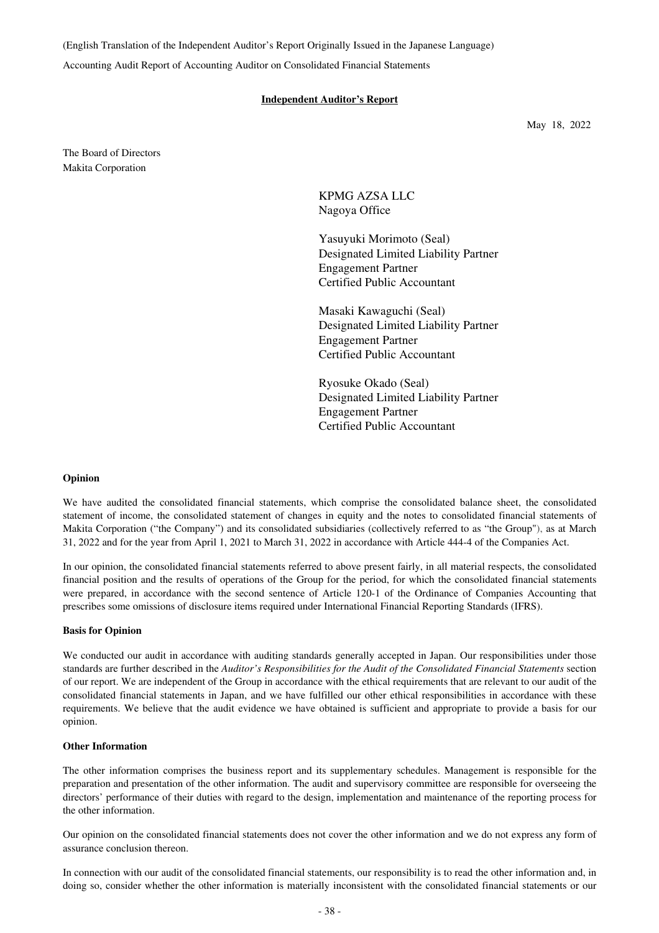(English Translation of the Independent Auditor's Report Originally Issued in the Japanese Language)

Accounting Audit Report of Accounting Auditor on Consolidated Financial Statements

# **Independent Auditor's Report**

May 18, 2022

The Board of Directors Makita Corporation

> KPMG AZSA LLC Nagoya Office

Yasuyuki Morimoto (Seal) Designated Limited Liability Partner Engagement Partner Certified Public Accountant

Masaki Kawaguchi (Seal) Designated Limited Liability Partner Engagement Partner Certified Public Accountant

Ryosuke Okado (Seal) Designated Limited Liability Partner Engagement Partner Certified Public Accountant

#### **Opinion**

We have audited the consolidated financial statements, which comprise the consolidated balance sheet, the consolidated statement of income, the consolidated statement of changes in equity and the notes to consolidated financial statements of Makita Corporation ("the Company") and its consolidated subsidiaries (collectively referred to as "the Group"), as at March 31, 2022 and for the year from April 1, 2021 to March 31, 2022 in accordance with Article 444-4 of the Companies Act.

In our opinion, the consolidated financial statements referred to above present fairly, in all material respects, the consolidated financial position and the results of operations of the Group for the period, for which the consolidated financial statements were prepared, in accordance with the second sentence of Article 120-1 of the Ordinance of Companies Accounting that prescribes some omissions of disclosure items required under International Financial Reporting Standards (IFRS).

#### **Basis for Opinion**

We conducted our audit in accordance with auditing standards generally accepted in Japan. Our responsibilities under those standards are further described in the *Auditor's Responsibilities for the Audit of the Consolidated Financial Statements* section of our report. We are independent of the Group in accordance with the ethical requirements that are relevant to our audit of the consolidated financial statements in Japan, and we have fulfilled our other ethical responsibilities in accordance with these requirements. We believe that the audit evidence we have obtained is sufficient and appropriate to provide a basis for our opinion.

#### **Other Information**

The other information comprises the business report and its supplementary schedules. Management is responsible for the preparation and presentation of the other information. The audit and supervisory committee are responsible for overseeing the directors' performance of their duties with regard to the design, implementation and maintenance of the reporting process for the other information.

Our opinion on the consolidated financial statements does not cover the other information and we do not express any form of assurance conclusion thereon.

In connection with our audit of the consolidated financial statements, our responsibility is to read the other information and, in doing so, consider whether the other information is materially inconsistent with the consolidated financial statements or our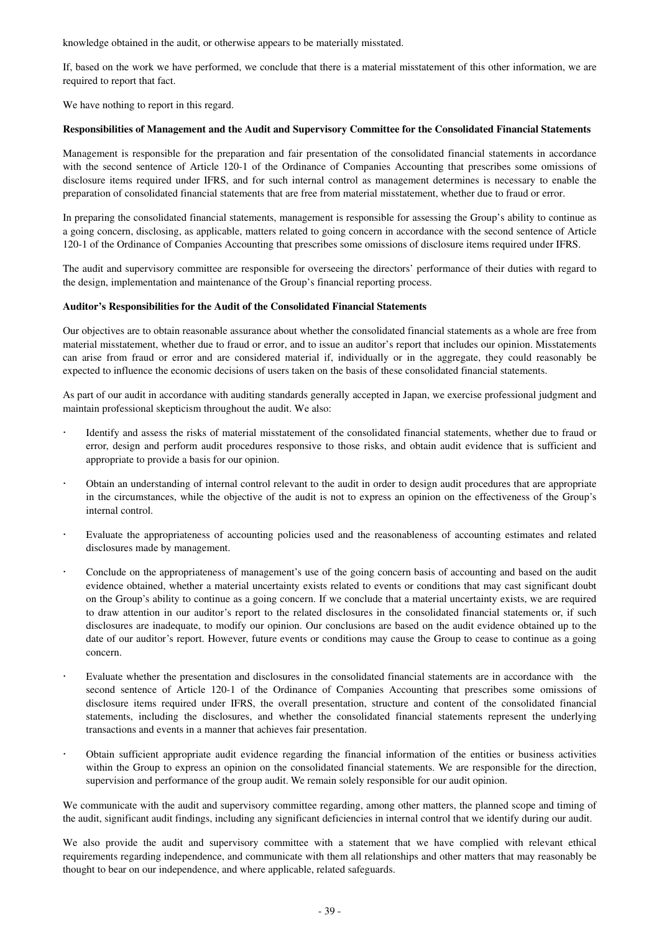knowledge obtained in the audit, or otherwise appears to be materially misstated.

If, based on the work we have performed, we conclude that there is a material misstatement of this other information, we are required to report that fact.

We have nothing to report in this regard.

## **Responsibilities of Management and the Audit and Supervisory Committee for the Consolidated Financial Statements**

Management is responsible for the preparation and fair presentation of the consolidated financial statements in accordance with the second sentence of Article 120-1 of the Ordinance of Companies Accounting that prescribes some omissions of disclosure items required under IFRS, and for such internal control as management determines is necessary to enable the preparation of consolidated financial statements that are free from material misstatement, whether due to fraud or error.

In preparing the consolidated financial statements, management is responsible for assessing the Group's ability to continue as a going concern, disclosing, as applicable, matters related to going concern in accordance with the second sentence of Article 120-1 of the Ordinance of Companies Accounting that prescribes some omissions of disclosure items required under IFRS.

The audit and supervisory committee are responsible for overseeing the directors' performance of their duties with regard to the design, implementation and maintenance of the Group's financial reporting process.

# **Auditor's Responsibilities for the Audit of the Consolidated Financial Statements**

Our objectives are to obtain reasonable assurance about whether the consolidated financial statements as a whole are free from material misstatement, whether due to fraud or error, and to issue an auditor's report that includes our opinion. Misstatements can arise from fraud or error and are considered material if, individually or in the aggregate, they could reasonably be expected to influence the economic decisions of users taken on the basis of these consolidated financial statements.

As part of our audit in accordance with auditing standards generally accepted in Japan, we exercise professional judgment and maintain professional skepticism throughout the audit. We also:

- Identify and assess the risks of material misstatement of the consolidated financial statements, whether due to fraud or error, design and perform audit procedures responsive to those risks, and obtain audit evidence that is sufficient and appropriate to provide a basis for our opinion.
- Obtain an understanding of internal control relevant to the audit in order to design audit procedures that are appropriate in the circumstances, while the objective of the audit is not to express an opinion on the effectiveness of the Group's internal control.
- Evaluate the appropriateness of accounting policies used and the reasonableness of accounting estimates and related disclosures made by management.
- Conclude on the appropriateness of management's use of the going concern basis of accounting and based on the audit evidence obtained, whether a material uncertainty exists related to events or conditions that may cast significant doubt on the Group's ability to continue as a going concern. If we conclude that a material uncertainty exists, we are required to draw attention in our auditor's report to the related disclosures in the consolidated financial statements or, if such disclosures are inadequate, to modify our opinion. Our conclusions are based on the audit evidence obtained up to the date of our auditor's report. However, future events or conditions may cause the Group to cease to continue as a going concern.
- Evaluate whether the presentation and disclosures in the consolidated financial statements are in accordance with the second sentence of Article 120-1 of the Ordinance of Companies Accounting that prescribes some omissions of disclosure items required under IFRS, the overall presentation, structure and content of the consolidated financial statements, including the disclosures, and whether the consolidated financial statements represent the underlying transactions and events in a manner that achieves fair presentation.
- Obtain sufficient appropriate audit evidence regarding the financial information of the entities or business activities within the Group to express an opinion on the consolidated financial statements. We are responsible for the direction, supervision and performance of the group audit. We remain solely responsible for our audit opinion.

We communicate with the audit and supervisory committee regarding, among other matters, the planned scope and timing of the audit, significant audit findings, including any significant deficiencies in internal control that we identify during our audit.

We also provide the audit and supervisory committee with a statement that we have complied with relevant ethical requirements regarding independence, and communicate with them all relationships and other matters that may reasonably be thought to bear on our independence, and where applicable, related safeguards.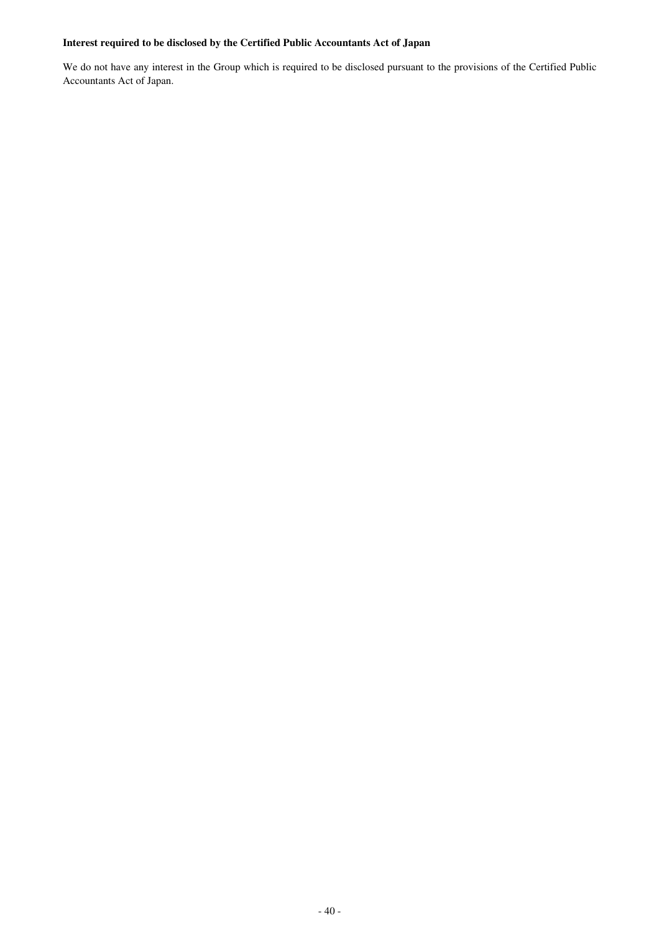# **Interest required to be disclosed by the Certified Public Accountants Act of Japan**

We do not have any interest in the Group which is required to be disclosed pursuant to the provisions of the Certified Public Accountants Act of Japan.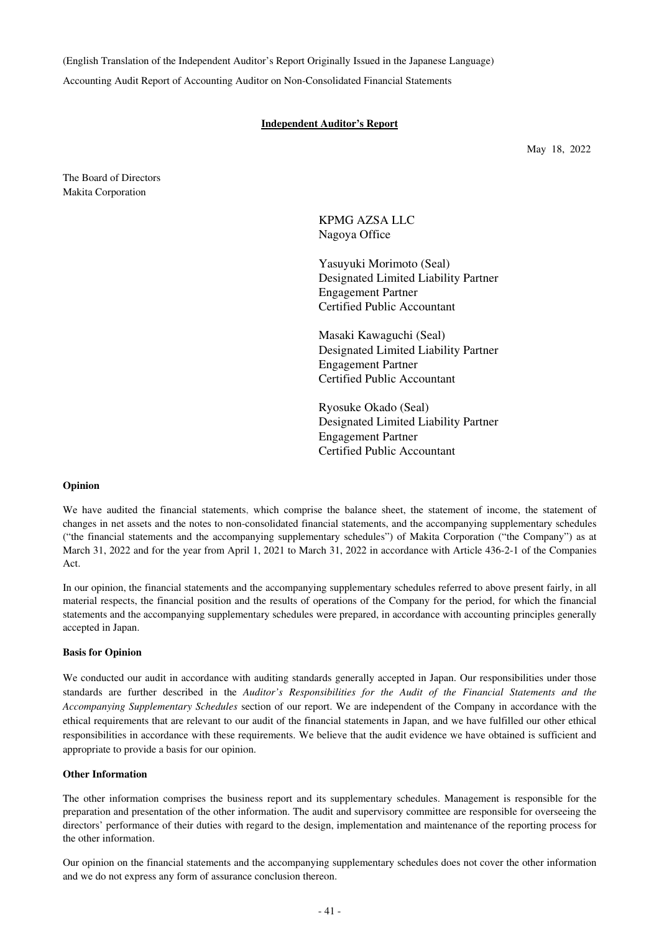(English Translation of the Independent Auditor's Report Originally Issued in the Japanese Language) Accounting Audit Report of Accounting Auditor on Non-Consolidated Financial Statements

# **Independent Auditor's Report**

May 18, 2022

The Board of Directors Makita Corporation

> KPMG AZSA LLC Nagoya Office

Yasuyuki Morimoto (Seal) Designated Limited Liability Partner Engagement Partner Certified Public Accountant

Masaki Kawaguchi (Seal) Designated Limited Liability Partner Engagement Partner Certified Public Accountant

Ryosuke Okado (Seal) Designated Limited Liability Partner Engagement Partner Certified Public Accountant

#### **Opinion**

We have audited the financial statements, which comprise the balance sheet, the statement of income, the statement of changes in net assets and the notes to non-consolidated financial statements, and the accompanying supplementary schedules ("the financial statements and the accompanying supplementary schedules") of Makita Corporation ("the Company") as at March 31, 2022 and for the year from April 1, 2021 to March 31, 2022 in accordance with Article 436-2-1 of the Companies Act.

In our opinion, the financial statements and the accompanying supplementary schedules referred to above present fairly, in all material respects, the financial position and the results of operations of the Company for the period, for which the financial statements and the accompanying supplementary schedules were prepared, in accordance with accounting principles generally accepted in Japan.

#### **Basis for Opinion**

We conducted our audit in accordance with auditing standards generally accepted in Japan. Our responsibilities under those standards are further described in the *Auditor's Responsibilities for the Audit of the Financial Statements and the Accompanying Supplementary Schedules* section of our report. We are independent of the Company in accordance with the ethical requirements that are relevant to our audit of the financial statements in Japan, and we have fulfilled our other ethical responsibilities in accordance with these requirements. We believe that the audit evidence we have obtained is sufficient and appropriate to provide a basis for our opinion.

#### **Other Information**

The other information comprises the business report and its supplementary schedules. Management is responsible for the preparation and presentation of the other information. The audit and supervisory committee are responsible for overseeing the directors' performance of their duties with regard to the design, implementation and maintenance of the reporting process for the other information.

Our opinion on the financial statements and the accompanying supplementary schedules does not cover the other information and we do not express any form of assurance conclusion thereon.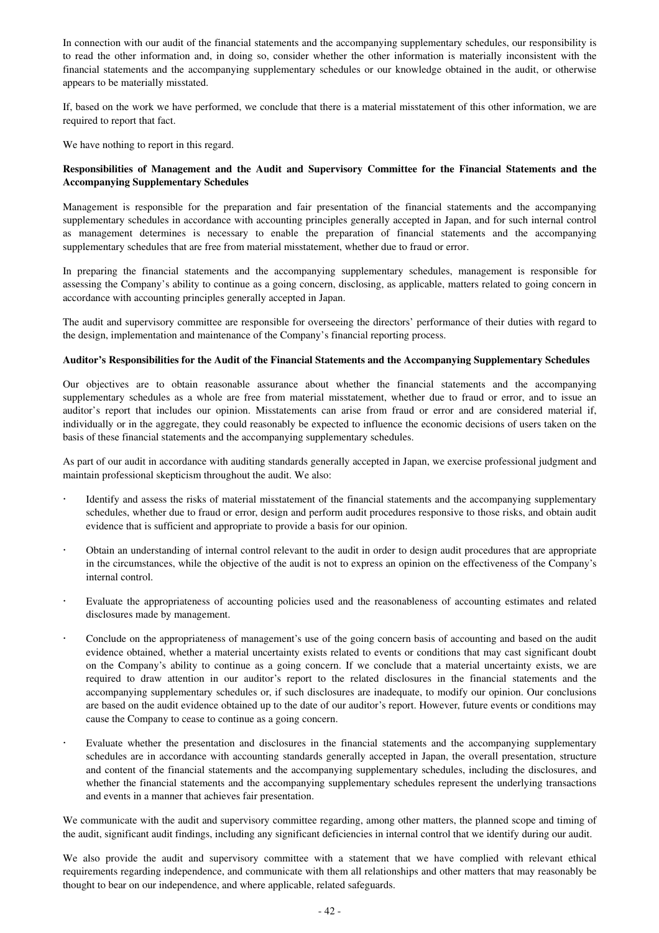In connection with our audit of the financial statements and the accompanying supplementary schedules, our responsibility is to read the other information and, in doing so, consider whether the other information is materially inconsistent with the financial statements and the accompanying supplementary schedules or our knowledge obtained in the audit, or otherwise appears to be materially misstated.

If, based on the work we have performed, we conclude that there is a material misstatement of this other information, we are required to report that fact.

We have nothing to report in this regard.

# **Responsibilities of Management and the Audit and Supervisory Committee for the Financial Statements and the Accompanying Supplementary Schedules**

Management is responsible for the preparation and fair presentation of the financial statements and the accompanying supplementary schedules in accordance with accounting principles generally accepted in Japan, and for such internal control as management determines is necessary to enable the preparation of financial statements and the accompanying supplementary schedules that are free from material misstatement, whether due to fraud or error.

In preparing the financial statements and the accompanying supplementary schedules, management is responsible for assessing the Company's ability to continue as a going concern, disclosing, as applicable, matters related to going concern in accordance with accounting principles generally accepted in Japan.

The audit and supervisory committee are responsible for overseeing the directors' performance of their duties with regard to the design, implementation and maintenance of the Company's financial reporting process.

# **Auditor's Responsibilities for the Audit of the Financial Statements and the Accompanying Supplementary Schedules**

Our objectives are to obtain reasonable assurance about whether the financial statements and the accompanying supplementary schedules as a whole are free from material misstatement, whether due to fraud or error, and to issue an auditor's report that includes our opinion. Misstatements can arise from fraud or error and are considered material if, individually or in the aggregate, they could reasonably be expected to influence the economic decisions of users taken on the basis of these financial statements and the accompanying supplementary schedules.

As part of our audit in accordance with auditing standards generally accepted in Japan, we exercise professional judgment and maintain professional skepticism throughout the audit. We also:

- Identify and assess the risks of material misstatement of the financial statements and the accompanying supplementary schedules, whether due to fraud or error, design and perform audit procedures responsive to those risks, and obtain audit evidence that is sufficient and appropriate to provide a basis for our opinion.
- Obtain an understanding of internal control relevant to the audit in order to design audit procedures that are appropriate in the circumstances, while the objective of the audit is not to express an opinion on the effectiveness of the Company's internal control.
- Evaluate the appropriateness of accounting policies used and the reasonableness of accounting estimates and related disclosures made by management.
- Conclude on the appropriateness of management's use of the going concern basis of accounting and based on the audit evidence obtained, whether a material uncertainty exists related to events or conditions that may cast significant doubt on the Company's ability to continue as a going concern. If we conclude that a material uncertainty exists, we are required to draw attention in our auditor's report to the related disclosures in the financial statements and the accompanying supplementary schedules or, if such disclosures are inadequate, to modify our opinion. Our conclusions are based on the audit evidence obtained up to the date of our auditor's report. However, future events or conditions may cause the Company to cease to continue as a going concern.
- Evaluate whether the presentation and disclosures in the financial statements and the accompanying supplementary schedules are in accordance with accounting standards generally accepted in Japan, the overall presentation, structure and content of the financial statements and the accompanying supplementary schedules, including the disclosures, and whether the financial statements and the accompanying supplementary schedules represent the underlying transactions and events in a manner that achieves fair presentation.

We communicate with the audit and supervisory committee regarding, among other matters, the planned scope and timing of the audit, significant audit findings, including any significant deficiencies in internal control that we identify during our audit.

We also provide the audit and supervisory committee with a statement that we have complied with relevant ethical requirements regarding independence, and communicate with them all relationships and other matters that may reasonably be thought to bear on our independence, and where applicable, related safeguards.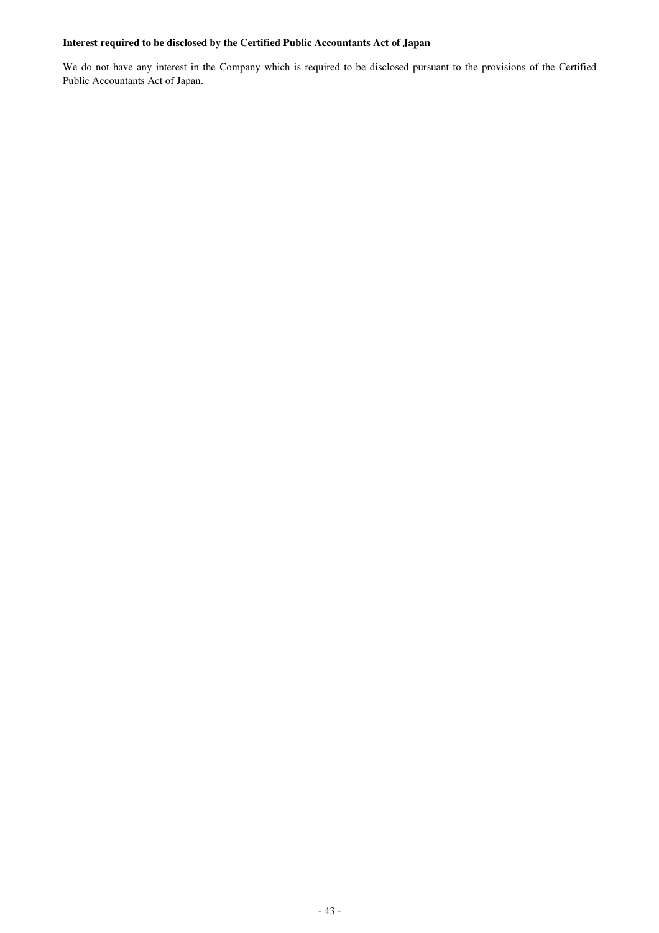# **Interest required to be disclosed by the Certified Public Accountants Act of Japan**

We do not have any interest in the Company which is required to be disclosed pursuant to the provisions of the Certified Public Accountants Act of Japan.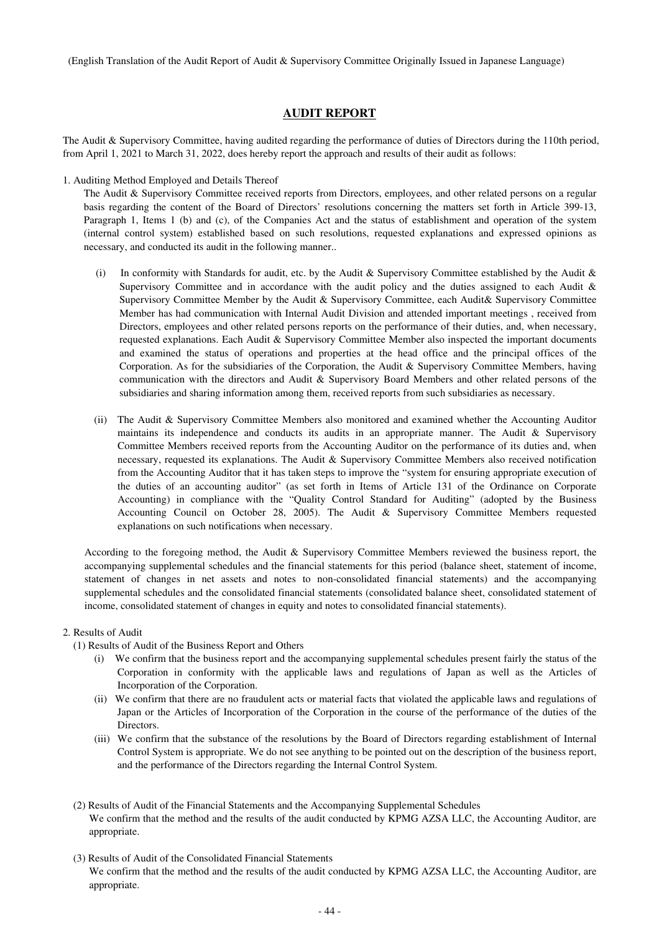(English Translation of the Audit Report of Audit & Supervisory Committee Originally Issued in Japanese Language)

# **AUDIT REPORT**

The Audit & Supervisory Committee, having audited regarding the performance of duties of Directors during the 110th period, from April 1, 2021 to March 31, 2022, does hereby report the approach and results of their audit as follows:

1. Auditing Method Employed and Details Thereof

 The Audit & Supervisory Committee received reports from Directors, employees, and other related persons on a regular basis regarding the content of the Board of Directors' resolutions concerning the matters set forth in Article 399-13, Paragraph 1, Items 1 (b) and (c), of the Companies Act and the status of establishment and operation of the system (internal control system) established based on such resolutions, requested explanations and expressed opinions as necessary, and conducted its audit in the following manner..

- (i) In conformity with Standards for audit, etc. by the Audit & Supervisory Committee established by the Audit & Supervisory Committee and in accordance with the audit policy and the duties assigned to each Audit  $\&$ Supervisory Committee Member by the Audit & Supervisory Committee, each Audit& Supervisory Committee Member has had communication with Internal Audit Division and attended important meetings , received from Directors, employees and other related persons reports on the performance of their duties, and, when necessary, requested explanations. Each Audit & Supervisory Committee Member also inspected the important documents and examined the status of operations and properties at the head office and the principal offices of the Corporation. As for the subsidiaries of the Corporation, the Audit & Supervisory Committee Members, having communication with the directors and Audit & Supervisory Board Members and other related persons of the subsidiaries and sharing information among them, received reports from such subsidiaries as necessary.
- (ii) The Audit & Supervisory Committee Members also monitored and examined whether the Accounting Auditor maintains its independence and conducts its audits in an appropriate manner. The Audit & Supervisory Committee Members received reports from the Accounting Auditor on the performance of its duties and, when necessary, requested its explanations. The Audit & Supervisory Committee Members also received notification from the Accounting Auditor that it has taken steps to improve the "system for ensuring appropriate execution of the duties of an accounting auditor" (as set forth in Items of Article 131 of the Ordinance on Corporate Accounting) in compliance with the "Quality Control Standard for Auditing" (adopted by the Business Accounting Council on October 28, 2005). The Audit & Supervisory Committee Members requested explanations on such notifications when necessary.

According to the foregoing method, the Audit & Supervisory Committee Members reviewed the business report, the accompanying supplemental schedules and the financial statements for this period (balance sheet, statement of income, statement of changes in net assets and notes to non-consolidated financial statements) and the accompanying supplemental schedules and the consolidated financial statements (consolidated balance sheet, consolidated statement of income, consolidated statement of changes in equity and notes to consolidated financial statements).

#### 2. Results of Audit

- (1) Results of Audit of the Business Report and Others
	- (i) We confirm that the business report and the accompanying supplemental schedules present fairly the status of the Corporation in conformity with the applicable laws and regulations of Japan as well as the Articles of Incorporation of the Corporation.
	- (ii) We confirm that there are no fraudulent acts or material facts that violated the applicable laws and regulations of Japan or the Articles of Incorporation of the Corporation in the course of the performance of the duties of the Directors.
	- (iii) We confirm that the substance of the resolutions by the Board of Directors regarding establishment of Internal Control System is appropriate. We do not see anything to be pointed out on the description of the business report, and the performance of the Directors regarding the Internal Control System.
- (2) Results of Audit of the Financial Statements and the Accompanying Supplemental Schedules We confirm that the method and the results of the audit conducted by KPMG AZSA LLC, the Accounting Auditor, are appropriate.
- (3) Results of Audit of the Consolidated Financial Statements We confirm that the method and the results of the audit conducted by KPMG AZSA LLC, the Accounting Auditor, are appropriate.